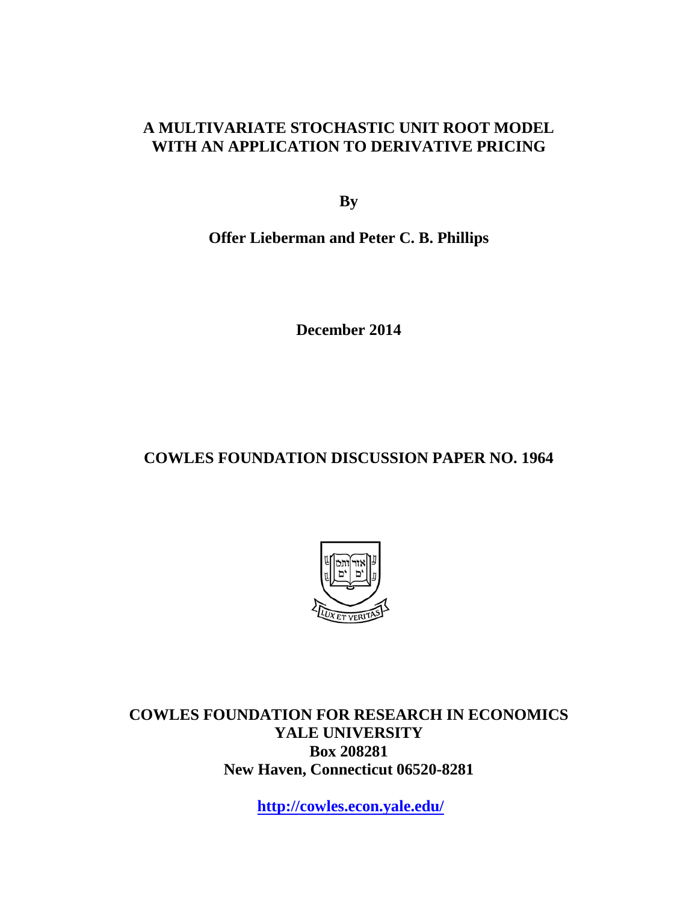### **A MULTIVARIATE STOCHASTIC UNIT ROOT MODEL WITH AN APPLICATION TO DERIVATIVE PRICING**

**By**

**Offer Lieberman and Peter C. B. Phillips**

**December 2014**

### **COWLES FOUNDATION DISCUSSION PAPER NO. 1964**



**COWLES FOUNDATION FOR RESEARCH IN ECONOMICS YALE UNIVERSITY Box 208281 New Haven, Connecticut 06520-8281**

**<http://cowles.econ.yale.edu/>**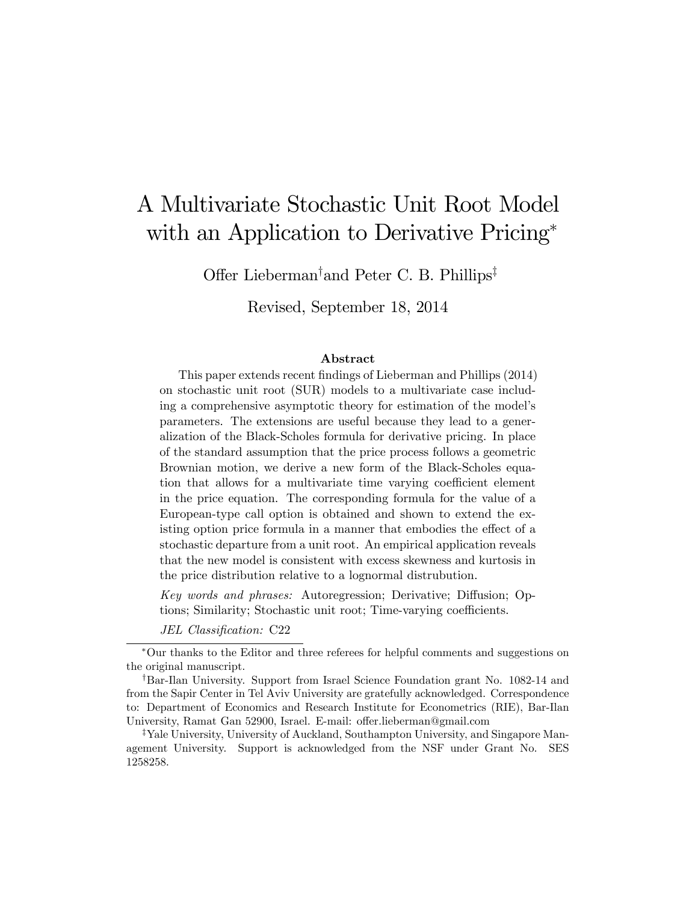# A Multivariate Stochastic Unit Root Model with an Application to Derivative Pricing<sup>\*</sup>

Offer Lieberman<sup>†</sup> and Peter C. B. Phillips<sup>‡</sup>

Revised, September 18, 2014

#### Abstract

This paper extends recent findings of Lieberman and Phillips (2014) on stochastic unit root (SUR) models to a multivariate case including a comprehensive asymptotic theory for estimation of the model's parameters. The extensions are useful because they lead to a generalization of the Black-Scholes formula for derivative pricing. In place of the standard assumption that the price process follows a geometric Brownian motion, we derive a new form of the Black-Scholes equation that allows for a multivariate time varying coefficient element in the price equation. The corresponding formula for the value of a European-type call option is obtained and shown to extend the existing option price formula in a manner that embodies the effect of a stochastic departure from a unit root. An empirical application reveals that the new model is consistent with excess skewness and kurtosis in the price distribution relative to a lognormal distrubution.

Key words and phrases: Autoregression; Derivative; Diffusion; Options; Similarity; Stochastic unit root; Time-varying coefficients.

JEL Classification: C22

Our thanks to the Editor and three referees for helpful comments and suggestions on the original manuscript.

<sup>&</sup>lt;sup>†</sup>Bar-Ilan University. Support from Israel Science Foundation grant No. 1082-14 and from the Sapir Center in Tel Aviv University are gratefully acknowledged. Correspondence to: Department of Economics and Research Institute for Econometrics (RIE), Bar-Ilan University, Ramat Gan 52900, Israel. E-mail: offer.lieberman@gmail.com

<sup>&</sup>lt;sup>‡</sup>Yale University, University of Auckland, Southampton University, and Singapore Management University. Support is acknowledged from the NSF under Grant No. SES 1258258.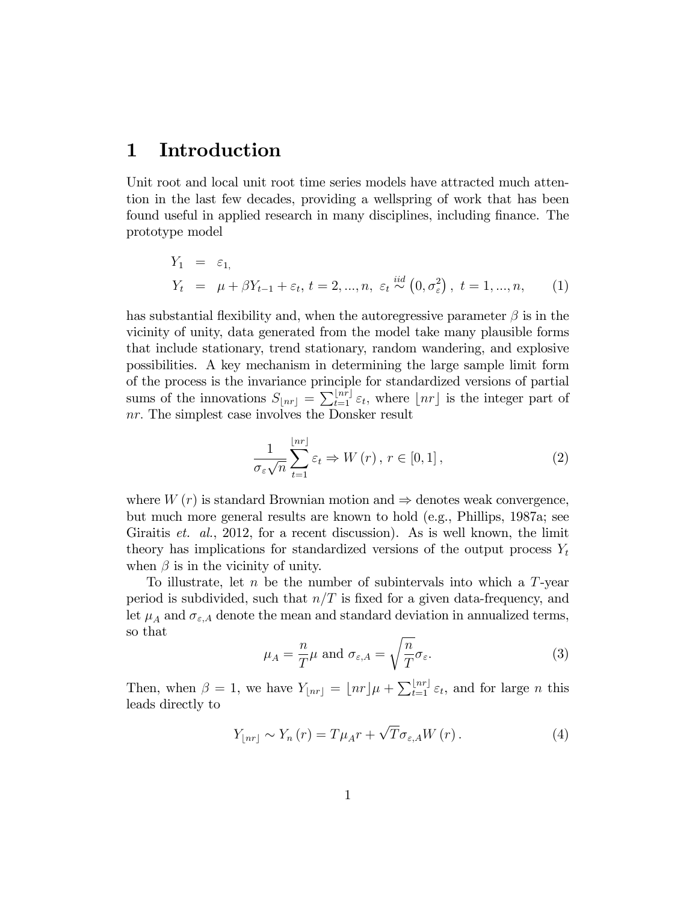### 1 Introduction

Unit root and local unit root time series models have attracted much attention in the last few decades, providing a wellspring of work that has been found useful in applied research in many disciplines, including finance. The prototype model

$$
Y_1 = \varepsilon_1,
$$
  
\n
$$
Y_t = \mu + \beta Y_{t-1} + \varepsilon_t, t = 2, ..., n, \varepsilon_t \stackrel{iid}{\sim} (0, \sigma_\varepsilon^2), t = 1, ..., n,
$$
 (1)

has substantial flexibility and, when the autoregressive parameter  $\beta$  is in the vicinity of unity, data generated from the model take many plausible forms that include stationary, trend stationary, random wandering, and explosive possibilities. A key mechanism in determining the large sample limit form of the process is the invariance principle for standardized versions of partial sums of the innovations  $S_{\lfloor nr\rfloor} = \sum_{t=1}^{\lfloor nr\rfloor} \varepsilon_t$ , where  $\lfloor nr\rfloor$  is the integer part of nr: The simplest case involves the Donsker result

$$
\frac{1}{\sigma_{\varepsilon}\sqrt{n}}\sum_{t=1}^{\lfloor nr\rfloor}\varepsilon_{t}\Rightarrow W(r),\,r\in[0,1]\,,\tag{2}
$$

where  $W(r)$  is standard Brownian motion and  $\Rightarrow$  denotes weak convergence, but much more general results are known to hold (e.g., Phillips, 1987a; see Giraitis et. al., 2012, for a recent discussion). As is well known, the limit theory has implications for standardized versions of the output process  $Y_t$ when  $\beta$  is in the vicinity of unity.

To illustrate, let  $n$  be the number of subintervals into which a  $T$ -year period is subdivided, such that  $n/T$  is fixed for a given data-frequency, and let  $\mu_A$  and  $\sigma_{\varepsilon,A}$  denote the mean and standard deviation in annualized terms, so that

$$
\mu_A = \frac{n}{T} \mu \text{ and } \sigma_{\varepsilon, A} = \sqrt{\frac{n}{T}} \sigma_{\varepsilon}.
$$
\n(3)

Then, when  $\beta = 1$ , we have  $Y_{\lfloor nr \rfloor} = \lfloor nr \rfloor \mu + \sum_{t=1}^{\lfloor nr \rfloor} \varepsilon_t$ , and for large *n* this leads directly to

$$
Y_{\lfloor nr \rfloor} \sim Y_n(r) = T\mu_A r + \sqrt{T}\sigma_{\varepsilon, A} W(r). \tag{4}
$$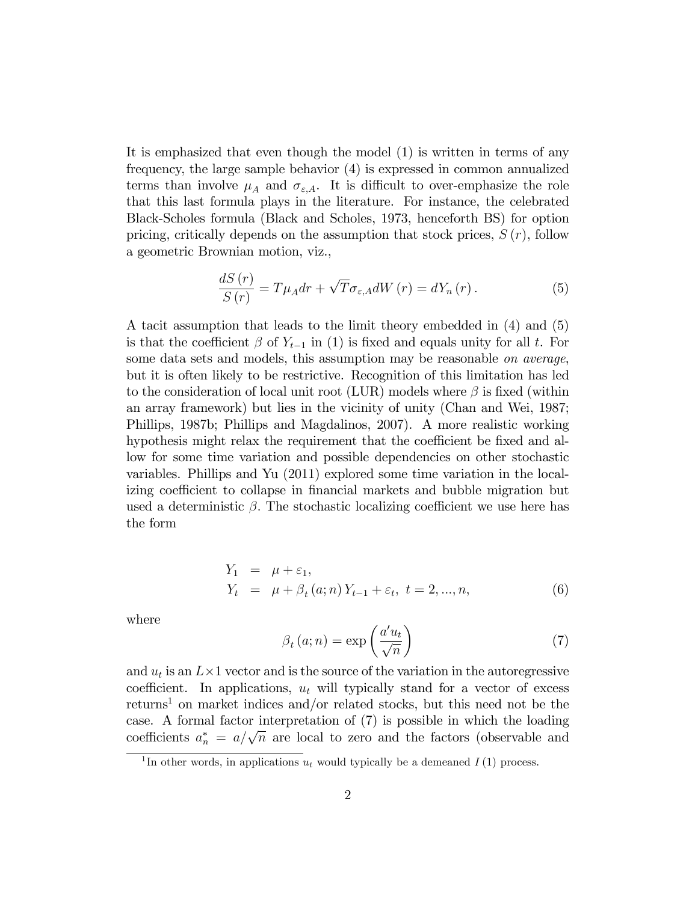It is emphasized that even though the model (1) is written in terms of any frequency, the large sample behavior (4) is expressed in common annualized terms than involve  $\mu_A$  and  $\sigma_{\varepsilon,A}$ . It is difficult to over-emphasize the role that this last formula plays in the literature. For instance, the celebrated Black-Scholes formula (Black and Scholes, 1973, henceforth BS) for option pricing, critically depends on the assumption that stock prices,  $S(r)$ , follow a geometric Brownian motion, viz.,

$$
\frac{dS(r)}{S(r)} = T\mu_A dr + \sqrt{T}\sigma_{\varepsilon, A} dW(r) = dY_n(r). \tag{5}
$$

A tacit assumption that leads to the limit theory embedded in (4) and (5) is that the coefficient  $\beta$  of  $Y_{t-1}$  in (1) is fixed and equals unity for all t. For some data sets and models, this assumption may be reasonable on average, but it is often likely to be restrictive. Recognition of this limitation has led to the consideration of local unit root (LUR) models where  $\beta$  is fixed (within an array framework) but lies in the vicinity of unity (Chan and Wei, 1987; Phillips, 1987b; Phillips and Magdalinos, 2007). A more realistic working hypothesis might relax the requirement that the coefficient be fixed and allow for some time variation and possible dependencies on other stochastic variables. Phillips and Yu (2011) explored some time variation in the localizing coefficient to collapse in financial markets and bubble migration but used a deterministic  $\beta$ . The stochastic localizing coefficient we use here has the form

$$
Y_1 = \mu + \varepsilon_1,
$$
  
\n
$$
Y_t = \mu + \beta_t (a; n) Y_{t-1} + \varepsilon_t, t = 2, ..., n,
$$
\n(6)

where

$$
\beta_t(a;n) = \exp\left(\frac{a'u_t}{\sqrt{n}}\right) \tag{7}
$$

and  $u_t$  is an  $L \times 1$  vector and is the source of the variation in the autoregressive coefficient. In applications,  $u_t$  will typically stand for a vector of excess returns<sup>1</sup> on market indices and/or related stocks, but this need not be the case. A formal factor interpretation of (7) is possible in which the loading coefficients  $a_n^* = a/\sqrt{n}$  are local to zero and the factors (observable and

<sup>&</sup>lt;sup>1</sup>In other words, in applications  $u_t$  would typically be a demeaned  $I(1)$  process.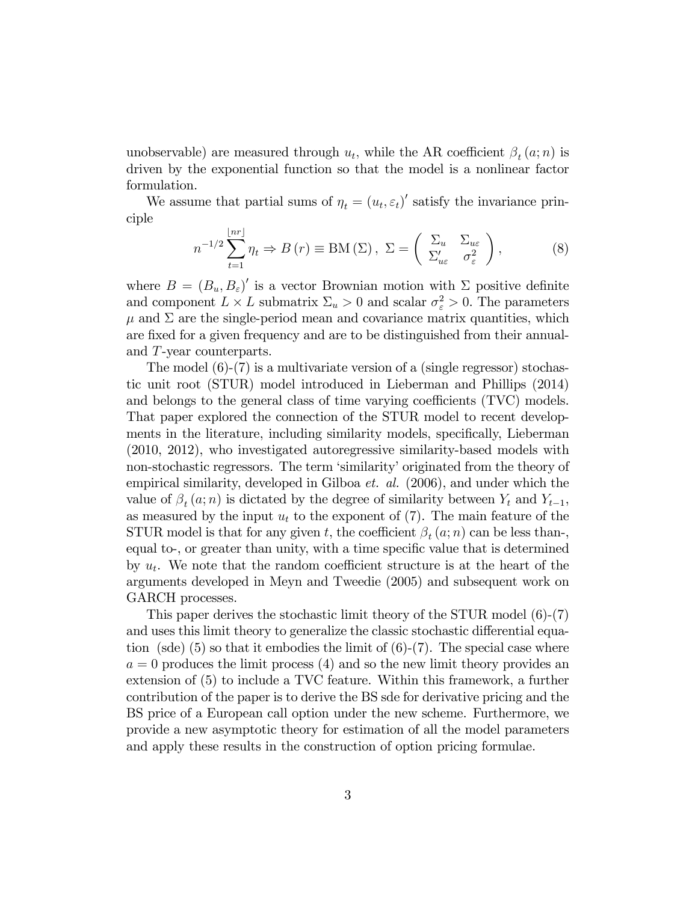unobservable) are measured through  $u_t$ , while the AR coefficient  $\beta_t(a; n)$  is driven by the exponential function so that the model is a nonlinear factor formulation.

We assume that partial sums of  $\eta_t = (u_t, \varepsilon_t)'$  satisfy the invariance principle

$$
n^{-1/2} \sum_{t=1}^{\lfloor nr \rfloor} \eta_t \Rightarrow B(r) \equiv \text{BM}(\Sigma), \ \Sigma = \left( \begin{array}{cc} \Sigma_u & \Sigma_{u\varepsilon} \\ \Sigma'_{u\varepsilon} & \sigma_{\varepsilon}^2 \end{array} \right), \tag{8}
$$

where  $B = (B_u, B_{\varepsilon})'$  is a vector Brownian motion with  $\Sigma$  positive definite and component  $L \times L$  submatrix  $\Sigma_u > 0$  and scalar  $\sigma_{\varepsilon}^2 > 0$ . The parameters  $\mu$  and  $\Sigma$  are the single-period mean and covariance matrix quantities, which are fixed for a given frequency and are to be distinguished from their annualand T-year counterparts.

The model (6)-(7) is a multivariate version of a (single regressor) stochastic unit root (STUR) model introduced in Lieberman and Phillips (2014) and belongs to the general class of time varying coefficients  $(TVC)$  models. That paper explored the connection of the STUR model to recent developments in the literature, including similarity models, specifically, Lieberman (2010, 2012), who investigated autoregressive similarity-based models with non-stochastic regressors. The term 'similarity' originated from the theory of empirical similarity, developed in Gilboa  $et.$  al. (2006), and under which the value of  $\beta_t(a; n)$  is dictated by the degree of similarity between  $Y_t$  and  $Y_{t-1}$ , as measured by the input  $u_t$  to the exponent of (7). The main feature of the STUR model is that for any given t, the coefficient  $\beta_t(a; n)$  can be less than-, equal to-, or greater than unity, with a time specific value that is determined by  $u_t$ . We note that the random coefficient structure is at the heart of the arguments developed in Meyn and Tweedie (2005) and subsequent work on GARCH processes.

This paper derives the stochastic limit theory of the STUR model (6)-(7) and uses this limit theory to generalize the classic stochastic differential equation (sde) (5) so that it embodies the limit of  $(6)-(7)$ . The special case where  $a = 0$  produces the limit process  $(4)$  and so the new limit theory provides an extension of (5) to include a TVC feature. Within this framework, a further contribution of the paper is to derive the BS sde for derivative pricing and the BS price of a European call option under the new scheme. Furthermore, we provide a new asymptotic theory for estimation of all the model parameters and apply these results in the construction of option pricing formulae.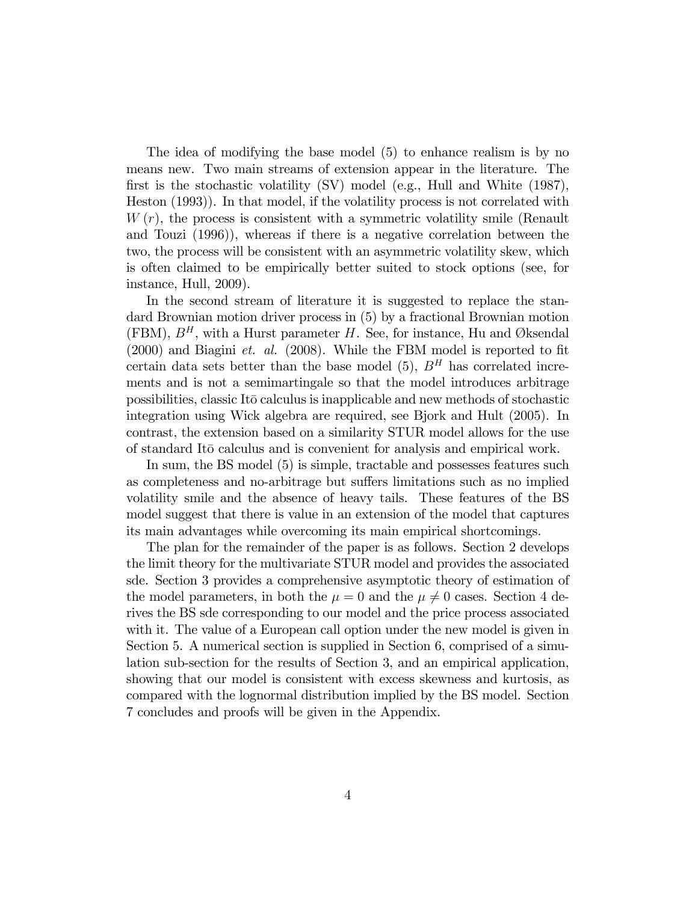The idea of modifying the base model (5) to enhance realism is by no means new. Two main streams of extension appear in the literature. The first is the stochastic volatility  $\rm(SV)$  model (e.g., Hull and White (1987), Heston (1993)). In that model, if the volatility process is not correlated with  $W(r)$ , the process is consistent with a symmetric volatility smile (Renault and Touzi (1996)), whereas if there is a negative correlation between the two, the process will be consistent with an asymmetric volatility skew, which is often claimed to be empirically better suited to stock options (see, for instance, Hull, 2009).

In the second stream of literature it is suggested to replace the standard Brownian motion driver process in (5) by a fractional Brownian motion (FBM),  $B<sup>H</sup>$ , with a Hurst parameter H. See, for instance, Hu and Øksendal  $(2000)$  and Biagini *et. al.*  $(2008)$ . While the FBM model is reported to fit certain data sets better than the base model (5),  $B<sup>H</sup>$  has correlated increments and is not a semimartingale so that the model introduces arbitrage possibilities, classic ItØo calculus is inapplicable and new methods of stochastic integration using Wick algebra are required, see Bjork and Hult (2005). In contrast, the extension based on a similarity STUR model allows for the use of standard ItØo calculus and is convenient for analysis and empirical work.

In sum, the BS model (5) is simple, tractable and possesses features such as completeness and no-arbitrage but suffers limitations such as no implied volatility smile and the absence of heavy tails. These features of the BS model suggest that there is value in an extension of the model that captures its main advantages while overcoming its main empirical shortcomings.

The plan for the remainder of the paper is as follows. Section 2 develops the limit theory for the multivariate STUR model and provides the associated sde. Section 3 provides a comprehensive asymptotic theory of estimation of the model parameters, in both the  $\mu = 0$  and the  $\mu \neq 0$  cases. Section 4 derives the BS sde corresponding to our model and the price process associated with it. The value of a European call option under the new model is given in Section 5. A numerical section is supplied in Section 6, comprised of a simulation sub-section for the results of Section 3, and an empirical application, showing that our model is consistent with excess skewness and kurtosis, as compared with the lognormal distribution implied by the BS model. Section 7 concludes and proofs will be given in the Appendix.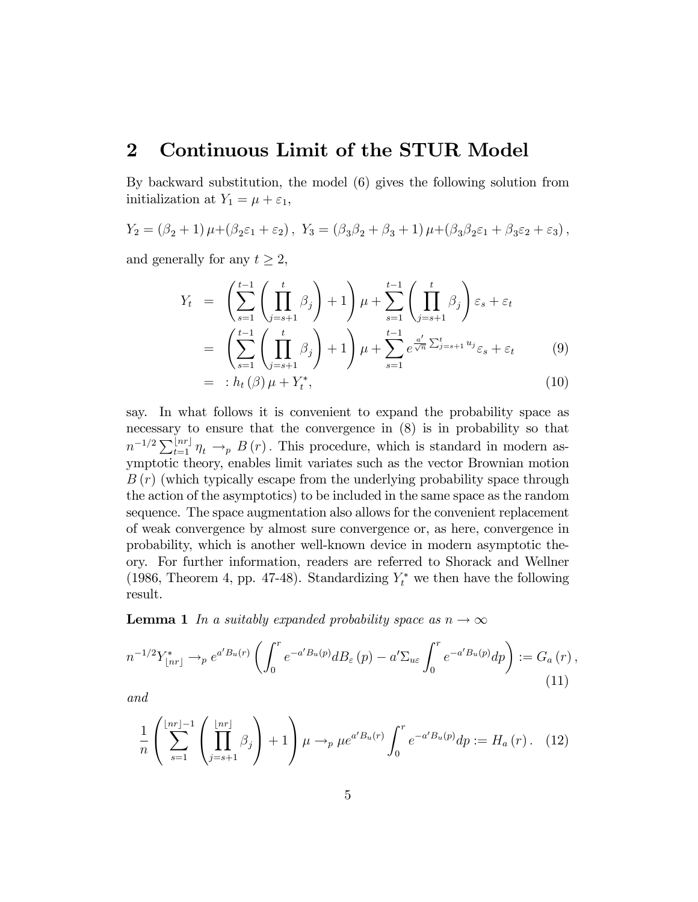### 2 Continuous Limit of the STUR Model

By backward substitution, the model (6) gives the following solution from initialization at  $Y_1 = \mu + \varepsilon_1$ ,

$$
Y_2 = (\beta_2 + 1)\mu + (\beta_2\varepsilon_1 + \varepsilon_2), \ Y_3 = (\beta_3\beta_2 + \beta_3 + 1)\mu + (\beta_3\beta_2\varepsilon_1 + \beta_3\varepsilon_2 + \varepsilon_3),
$$

and generally for any  $t \geq 2$ ,

$$
Y_t = \left(\sum_{s=1}^{t-1} \left(\prod_{j=s+1}^t \beta_j\right) + 1\right) \mu + \sum_{s=1}^{t-1} \left(\prod_{j=s+1}^t \beta_j\right) \varepsilon_s + \varepsilon_t
$$
  
\n
$$
= \left(\sum_{s=1}^{t-1} \left(\prod_{j=s+1}^t \beta_j\right) + 1\right) \mu + \sum_{s=1}^{t-1} e^{\frac{a'}{\sqrt{n}} \sum_{j=s+1}^t u_j} \varepsilon_s + \varepsilon_t
$$
(9)  
\n
$$
= : h_t(\beta) \mu + Y_t^*,
$$
(10)

say. In what follows it is convenient to expand the probability space as necessary to ensure that the convergence in (8) is in probability so that  $n^{-1/2} \sum_{t=1}^{\lfloor nr \rfloor} \eta_t \to_p B(r)$ . This procedure, which is standard in modern asymptotic theory, enables limit variates such as the vector Brownian motion  $B(r)$  (which typically escape from the underlying probability space through the action of the asymptotics) to be included in the same space as the random sequence. The space augmentation also allows for the convenient replacement of weak convergence by almost sure convergence or, as here, convergence in probability, which is another well-known device in modern asymptotic theory. For further information, readers are referred to Shorack and Wellner (1986, Theorem 4, pp. 47-48). Standardizing  $Y_t^*$  we then have the following result.

**Lemma 1** In a suitably expanded probability space as  $n \to \infty$ 

$$
n^{-1/2}Y_{\lfloor nr\rfloor}^* \to_p e^{a'B_u(r)} \left( \int_0^r e^{-a'B_u(p)} dB_\varepsilon(p) - a'\Sigma_{u\varepsilon} \int_0^r e^{-a'B_u(p)} dp \right) := G_a(r) , \tag{11}
$$

and

$$
\frac{1}{n} \left( \sum_{s=1}^{\lfloor nr \rfloor - 1} \left( \prod_{j=s+1}^{\lfloor nr \rfloor} \beta_j \right) + 1 \right) \mu \to_p \mu e^{a' B_u(r)} \int_0^r e^{-a' B_u(p)} dp := H_a(r). \tag{12}
$$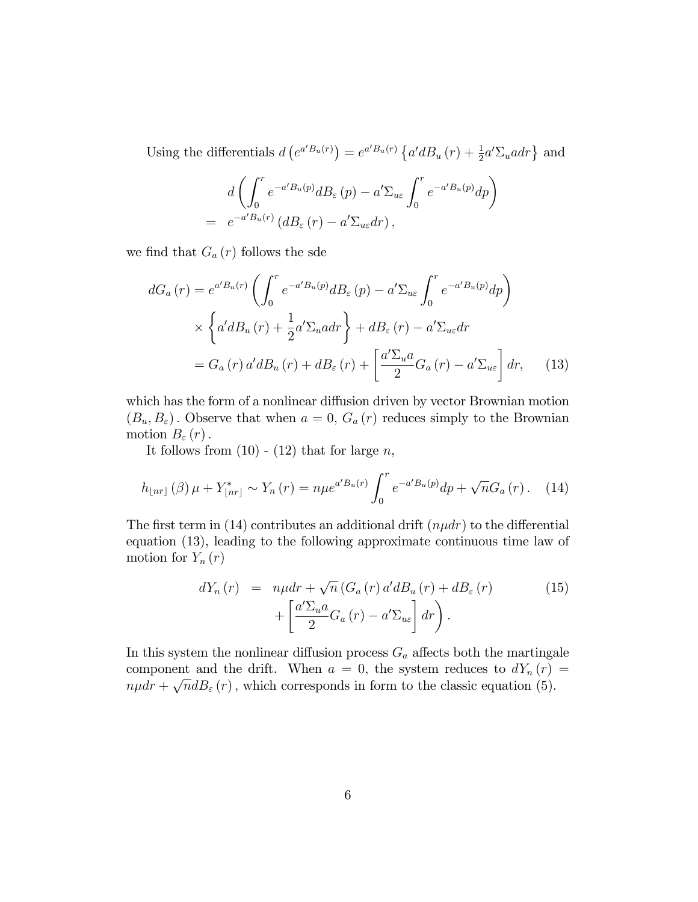Using the differentials  $d\left(e^{a'B_u(r)}\right) = e^{a'B_u(r)}\left\{a'dB_u(r) + \frac{1}{2}a'\Sigma_u a dr\right\}$  and

$$
d\left(\int_0^r e^{-a'B_u(p)}dB_{\varepsilon}(p) - a'\Sigma_{u\varepsilon}\int_0^r e^{-a'B_u(p)}dp\right)
$$
  
=  $e^{-a'B_u(r)}(dB_{\varepsilon}(r) - a'\Sigma_{u\varepsilon}dr)$ ,

we find that  $G_a(r)$  follows the sde

$$
dG_a(r) = e^{a'B_u(r)} \left( \int_0^r e^{-a'B_u(p)} dB_{\varepsilon}(p) - a' \Sigma_{u\varepsilon} \int_0^r e^{-a'B_u(p)} dp \right)
$$
  
 
$$
\times \left\{ a' dB_u(r) + \frac{1}{2} a' \Sigma_u a dr \right\} + dB_{\varepsilon}(r) - a' \Sigma_{u\varepsilon} dr
$$
  

$$
= G_a(r) a' dB_u(r) + dB_{\varepsilon}(r) + \left[ \frac{a' \Sigma_u a}{2} G_a(r) - a' \Sigma_{u\varepsilon} \right] dr, \quad (13)
$$

which has the form of a nonlinear diffusion driven by vector Brownian motion  $(B_u, B_{\varepsilon})$ . Observe that when  $a = 0$ ,  $G_a(r)$  reduces simply to the Brownian motion  $B_{\varepsilon}(r)$ .

It follows from  $(10)$  -  $(12)$  that for large n,

$$
h_{\lfloor nr \rfloor}(\beta)\,\mu + Y_{\lfloor nr \rfloor}^* \sim Y_n(r) = n\mu e^{a'B_u(r)} \int_0^r e^{-a'B_u(p)} dp + \sqrt{n}G_a(r). \tag{14}
$$

The first term in (14) contributes an additional drift  $(n\mu dr)$  to the differential equation (13), leading to the following approximate continuous time law of motion for  $Y_n(r)$ 

$$
dY_n(r) = n\mu dr + \sqrt{n} \left( G_a(r) a' dB_u(r) + dB_{\varepsilon}(r) + \left[ \frac{a' \Sigma_u a}{2} G_a(r) - a' \Sigma_{u\varepsilon} \right] dr \right).
$$
 (15)

In this system the nonlinear diffusion process  $G_a$  affects both the martingale component and the drift. When  $a = 0$ , the system reduces to  $dY_n(r) =$  $n\mu dr + \sqrt{n}dB_{\varepsilon}(r)$ , which corresponds in form to the classic equation (5).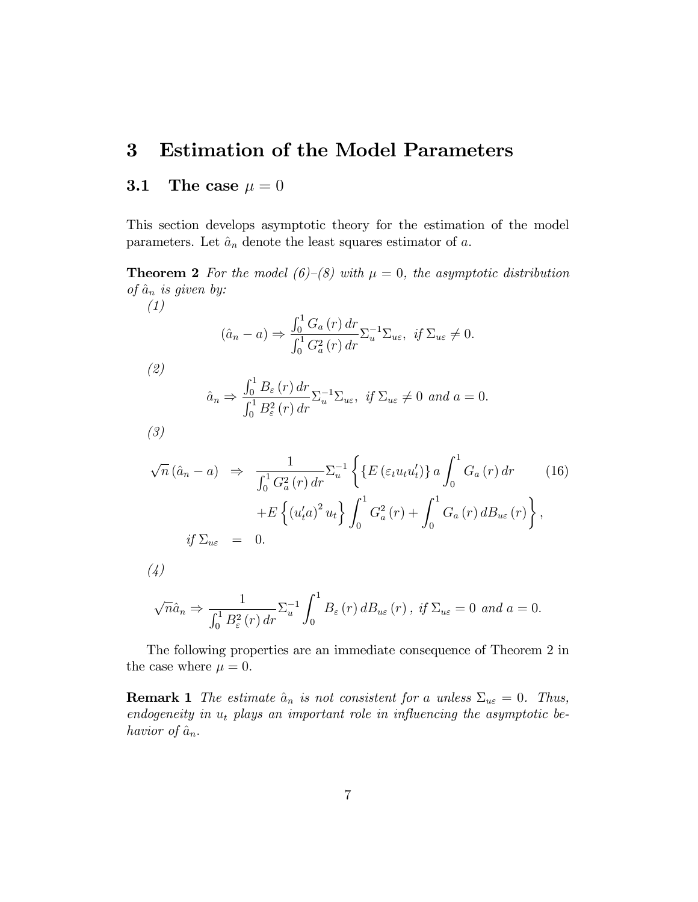## 3 Estimation of the Model Parameters

#### 3.1 The case  $\mu = 0$

This section develops asymptotic theory for the estimation of the model parameters. Let  $\hat{a}_n$  denote the least squares estimator of a.

**Theorem 2** For the model (6)–(8) with  $\mu = 0$ , the asymptotic distribution of  $\hat{a}_n$  is given by: (1)

$$
(\hat{a}_n - a) \Rightarrow \frac{\int_0^1 G_a(r) dr}{\int_0^1 G_a^2(r) dr} \Sigma_u^{-1} \Sigma_{u\varepsilon}, \text{ if } \Sigma_{u\varepsilon} \neq 0.
$$

(2)

$$
\hat{a}_n \Rightarrow \frac{\int_0^1 B_\varepsilon(r) dr}{\int_0^1 B_\varepsilon^2(r) dr} \Sigma_u^{-1} \Sigma_{u\varepsilon}, \ \text{if } \Sigma_{u\varepsilon} \neq 0 \ \text{and } a = 0.
$$

(3)

$$
\sqrt{n} (\hat{a}_n - a) \Rightarrow \frac{1}{\int_0^1 G_a^2(r) dr} \sum_{u}^{-1} \left\{ \left\{ E \left( \varepsilon_t u_t u_t' \right) \right\} a \int_0^1 G_a(r) dr \right. \left. (16)\right.\left. + E \left\{ \left( u_t' a \right)^2 u_t \right\} \int_0^1 G_a^2(r) + \int_0^1 G_a(r) dB_{u\varepsilon}(r) \right\},\
$$
  
if  $\Sigma_{u\varepsilon} = 0.$ 

(4)

$$
\sqrt{n}\hat{a}_n \Rightarrow \frac{1}{\int_0^1 B_\varepsilon^2(r) dr} \Sigma_u^{-1} \int_0^1 B_\varepsilon(r) d B_{u\varepsilon}(r) , \text{ if } \Sigma_{u\varepsilon} = 0 \text{ and } a = 0.
$$

The following properties are an immediate consequence of Theorem 2 in the case where  $\mu = 0$ .

**Remark 1** The estimate  $\hat{a}_n$  is not consistent for a unless  $\Sigma_{u\epsilon} = 0$ . Thus, endogeneity in  $u_t$  plays an important role in influencing the asymptotic behavior of  $\hat{a}_n$ .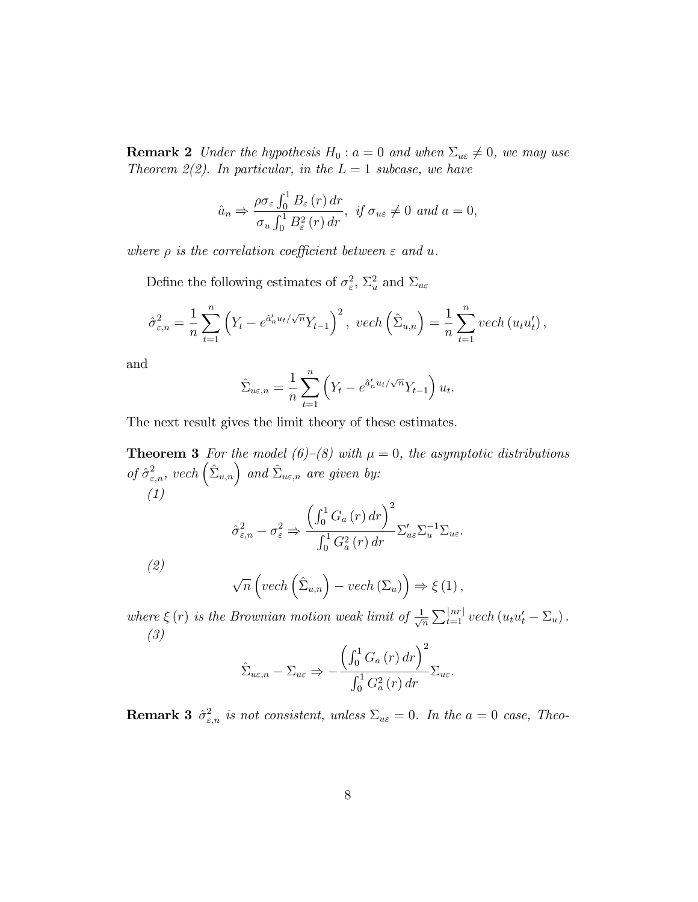**Remark 2** Under the hypothesis  $H_0: a = 0$  and when  $\Sigma_{u\epsilon} \neq 0$ , we may use Theorem 2(2). In particular, in the  $L = 1$  subcase, we have

$$
\hat{a}_n \Rightarrow \frac{\rho \sigma_{\varepsilon} \int_0^1 B_{\varepsilon}(r) dr}{\sigma_u \int_0^1 B_{\varepsilon}^2(r) dr}, \text{ if } \sigma_{u\varepsilon} \neq 0 \text{ and } a = 0,
$$

where  $\rho$  is the correlation coefficient between  $\varepsilon$  and u.

Define the following estimates of  $\sigma_{\varepsilon}^2$ ,  $\Sigma_u^2$  and  $\Sigma_{u\varepsilon}$ 

$$
\hat{\sigma}_{\varepsilon,n}^2 = \frac{1}{n} \sum_{t=1}^n \left( Y_t - e^{\hat{a}'_n u_t / \sqrt{n}} Y_{t-1} \right)^2, \ \ vech\left(\hat{\Sigma}_{u,n}\right) = \frac{1}{n} \sum_{t=1}^n \ vech\left(u_t u_t'\right),
$$

and

$$
\hat{\Sigma}_{u\varepsilon,n} = \frac{1}{n} \sum_{t=1}^{n} \left( Y_t - e^{\hat{a}'_n u_t / \sqrt{n}} Y_{t-1} \right) u_t.
$$

The next result gives the limit theory of these estimates.

**Theorem 3** For the model (6)–(8) with  $\mu = 0$ , the asymptotic distributions of  $\hat{\sigma}^2_{\varepsilon,n}$ , vech  $(\hat{\Sigma}_{u,n})$  and  $\hat{\Sigma}_{u\varepsilon,n}$  are given by: (1)  $\hat{\sigma}^2_{\varepsilon,n} - \sigma^2_{\varepsilon} \Rightarrow$  $\left(\int_0^1 G_a(r) dr\right)^2$  $\int_0^1 G_a^2(r) dr$  $\Sigma_{u\varepsilon}' \Sigma_{u}^{-1} \Sigma_{u\varepsilon}.$ (2)  $\sqrt{n}\left(\text{vech}\left(\hat{\Sigma}_{u,n}\right)-\text{vech}\left(\Sigma_u\right)\right)\Rightarrow\xi\left(1\right),$ 

where  $\xi(r)$  is the Brownian motion weak limit of  $\frac{1}{\sqrt{n}}$  $\frac{1}{\overline{n}}\sum_{t=1}^{\lfloor nr\rfloor} vech(u_tu_t'-\Sigma_u).$ (3)

$$
\hat{\Sigma}_{u\varepsilon,n} - \Sigma_{u\varepsilon} \Rightarrow -\frac{\left(\int_0^1 G_a\left(r\right)dr\right)^2}{\int_0^1 G_a^2\left(r\right)dr} \Sigma_{u\varepsilon}.
$$

**Remark 3**  $\hat{\sigma}^2_{\varepsilon,n}$  is not consistent, unless  $\Sigma_{u\varepsilon} = 0$ . In the  $a = 0$  case, Theo-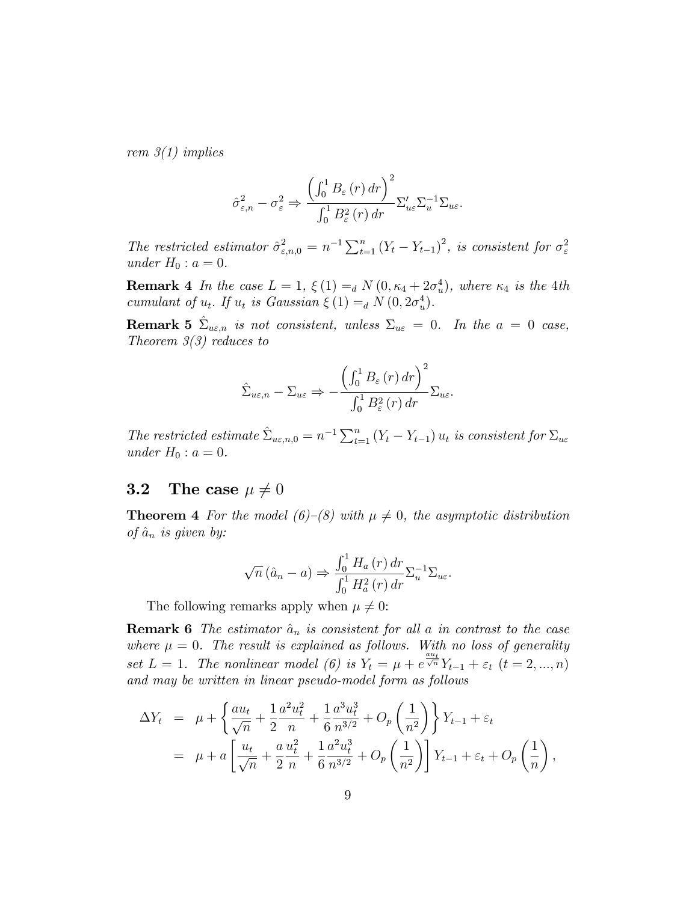rem  $3(1)$  implies

$$
\hat{\sigma}_{\varepsilon,n}^{2} - \sigma_{\varepsilon}^{2} \Rightarrow \frac{\left(\int_{0}^{1} B_{\varepsilon}(r) dr\right)^{2}}{\int_{0}^{1} B_{\varepsilon}^{2}(r) dr} \Sigma_{u\varepsilon}' \Sigma_{u}^{-1} \Sigma_{u\varepsilon}.
$$

The restricted estimator  $\hat{\sigma}^2_{\varepsilon,n,0} = n^{-1} \sum_{t=1}^n (Y_t - Y_{t-1})^2$ , is consistent for  $\sigma^2_{\varepsilon}$ under  $H_0: a = 0$ .

**Remark 4** In the case  $L = 1$ ,  $\xi(1) =_d N(0, \kappa_4 + 2\sigma_u^4)$ , where  $\kappa_4$  is the 4th cumulant of  $u_t$ . If  $u_t$  is Gaussian  $\xi(1) =_d N(0, 2\sigma_u^4)$ .

**Remark 5**  $\hat{\Sigma}_{u\varepsilon,n}$  is not consistent, unless  $\Sigma_{u\varepsilon} = 0$ . In the  $a = 0$  case, Theorem  $3(3)$  reduces to

$$
\hat{\Sigma}_{u\varepsilon,n} - \Sigma_{u\varepsilon} \Rightarrow -\frac{\left(\int_0^1 B_\varepsilon(r) dr\right)^2}{\int_0^1 B_\varepsilon^2(r) dr} \Sigma_{u\varepsilon}.
$$

The restricted estimate  $\hat{\Sigma}_{u\epsilon,n,0} = n^{-1} \sum_{t=1}^{n} (Y_t - Y_{t-1}) u_t$  is consistent for  $\Sigma_{u\epsilon}$ under  $H_0$ :  $a = 0$ .

#### **3.2** The case  $\mu \neq 0$

**Theorem 4** For the model (6)–(8) with  $\mu \neq 0$ , the asymptotic distribution of  $\hat{a}_n$  is given by:

$$
\sqrt{n}(\hat{a}_n - a) \Rightarrow \frac{\int_0^1 H_a(r) dr}{\int_0^1 H_a^2(r) dr} \Sigma_u^{-1} \Sigma_{u\varepsilon}.
$$

The following remarks apply when  $\mu \neq 0$ :

**Remark 6** The estimator  $\hat{a}_n$  is consistent for all a in contrast to the case where  $\mu = 0$ . The result is explained as follows. With no loss of generality set  $L = 1$ . The nonlinear model (6) is  $Y_t = \mu + e^{\frac{au_t}{\sqrt{n}}} Y_{t-1} + \varepsilon_t$   $(t = 2, ..., n)$ and may be written in linear pseudo-model form as follows

$$
\Delta Y_t = \mu + \left\{ \frac{au_t}{\sqrt{n}} + \frac{1}{2} \frac{a^2 u_t^2}{n} + \frac{1}{6} \frac{a^3 u_t^3}{n^{3/2}} + O_p\left(\frac{1}{n^2}\right) \right\} Y_{t-1} + \varepsilon_t
$$
  
= 
$$
\mu + a \left[ \frac{u_t}{\sqrt{n}} + \frac{a}{2} \frac{u_t^2}{n} + \frac{1}{6} \frac{a^2 u_t^3}{n^{3/2}} + O_p\left(\frac{1}{n^2}\right) \right] Y_{t-1} + \varepsilon_t + O_p\left(\frac{1}{n}\right),
$$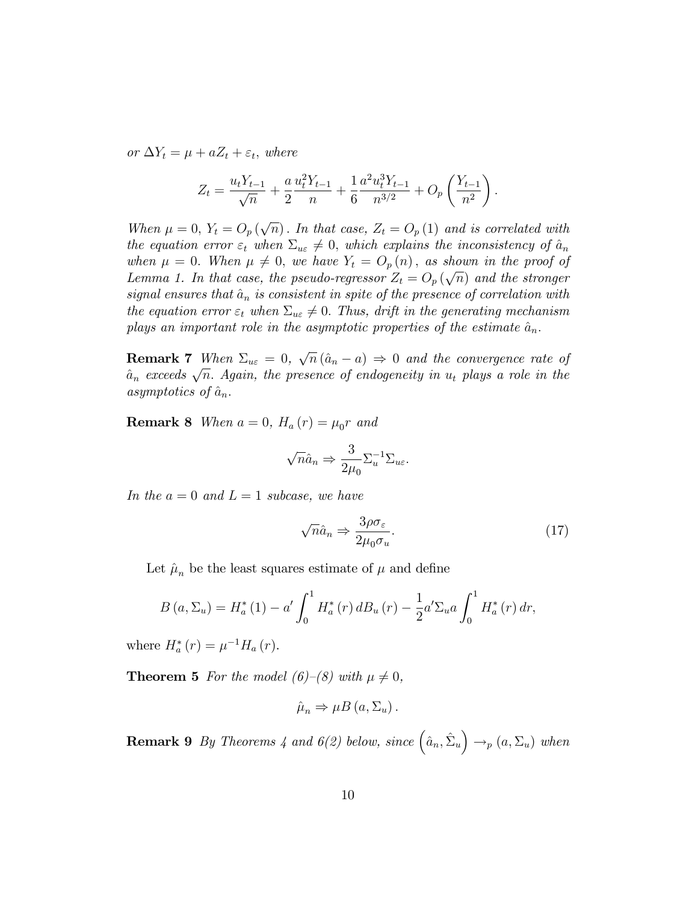or  $\Delta Y_t = \mu + aZ_t + \varepsilon_t$ , where

$$
Z_t = \frac{u_t Y_{t-1}}{\sqrt{n}} + \frac{a}{2} \frac{u_t^2 Y_{t-1}}{n} + \frac{1}{6} \frac{a^2 u_t^3 Y_{t-1}}{n^{3/2}} + O_p\left(\frac{Y_{t-1}}{n^2}\right).
$$

When  $\mu = 0$ ,  $Y_t = O_p(\sqrt{n})$ . In that case,  $Z_t = O_p(1)$  and is correlated with the equation error  $\varepsilon_t$  when  $\Sigma_{u\varepsilon} \neq 0$ , which explains the inconsistency of  $\hat{a}_n$ when  $\mu = 0$ . When  $\mu \neq 0$ , we have  $Y_t = O_p(n)$ , as shown in the proof of Lemma 1. In that case, the pseudo-regressor  $Z_t = O_p(\sqrt{n})$  and the stronger signal ensures that  $\hat{a}_n$  is consistent in spite of the presence of correlation with the equation error  $\varepsilon_t$  when  $\Sigma_{u\varepsilon} \neq 0$ . Thus, drift in the generating mechanism plays an important role in the asymptotic properties of the estimate  $\hat{a}_n$ .

**Remark 7** When  $\Sigma_{ue} = 0$ ,  $\sqrt{n} (\hat{a}_n - a) \Rightarrow 0$  and the convergence rate of  $\hat{a}_n$  exceeds  $\sqrt{n}$ . Again, the presence of endogeneity in  $u_t$  plays a role in the asymptotics of  $\hat{a}_n$ .

**Remark 8** When  $a = 0$ ,  $H_a(r) = \mu_0 r$  and

$$
\sqrt{n}\hat{a}_n \Rightarrow \frac{3}{2\mu_0} \Sigma_u^{-1} \Sigma_{u\varepsilon}.
$$

In the  $a = 0$  and  $L = 1$  subcase, we have

$$
\sqrt{n}\hat{a}_n \Rightarrow \frac{3\rho\sigma_\varepsilon}{2\mu_0\sigma_u}.\tag{17}
$$

Let  $\hat{\mu}_n$  be the least squares estimate of  $\mu$  and define

$$
B(a,\Sigma_u) = H_a^*(1) - a' \int_0^1 H_a^*(r) \, dB_u(r) - \frac{1}{2} a' \Sigma_u a \int_0^1 H_a^*(r) \, dr,
$$

where  $H_{a}^{*}(r) = \mu^{-1} H_{a}(r)$ .

**Theorem 5** For the model (6)–(8) with  $\mu \neq 0$ ,

$$
\hat{\mu}_n \Rightarrow \mu B\left(a, \Sigma_u\right).
$$

**Remark 9** By Theorems 4 and  $6(2)$  below, since  $(\hat{a}_n, \hat{\Sigma}_u) \rightarrow_p (a, \Sigma_u)$  when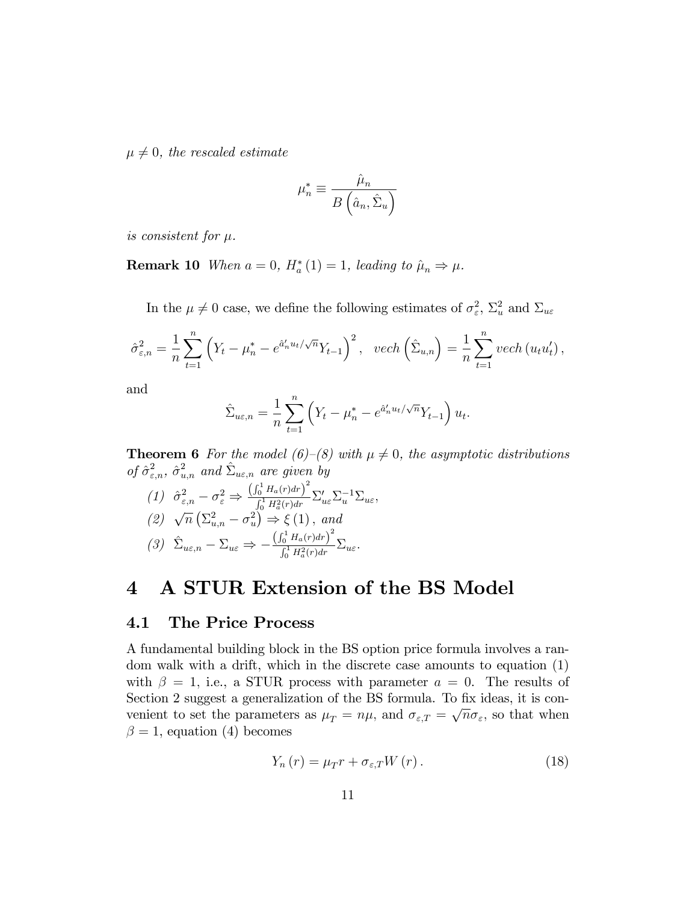$\mu \neq 0$ , the rescaled estimate

$$
\mu_n^* \equiv \frac{\hat{\mu}_n}{B\left(\hat{a}_n, \hat{\Sigma}_u\right)}
$$

is consistent for  $\mu$ .

**Remark 10** When  $a = 0$ ,  $H_a^*(1) = 1$ , leading to  $\hat{\mu}_n \Rightarrow \mu$ .

In the  $\mu \neq 0$  case, we define the following estimates of  $\sigma_{\varepsilon}^2$ ,  $\Sigma_u^2$  and  $\Sigma_{u\varepsilon}$ 

$$
\hat{\sigma}_{\varepsilon,n}^2 = \frac{1}{n} \sum_{t=1}^n \left( Y_t - \mu_n^* - e^{\hat{a}_n' u_t / \sqrt{n}} Y_{t-1} \right)^2, \ \ vech\left(\hat{\Sigma}_{u,n}\right) = \frac{1}{n} \sum_{t=1}^n vech\left(u_t u_t'\right),
$$

and

$$
\hat{\Sigma}_{u\varepsilon,n} = \frac{1}{n} \sum_{t=1}^{n} \left( Y_t - \mu_n^* - e^{\hat{a}'_n u_t / \sqrt{n}} Y_{t-1} \right) u_t.
$$

**Theorem 6** For the model (6)–(8) with  $\mu \neq 0$ , the asymptotic distributions of  $\hat{\sigma}^2_{\varepsilon,n}$ ,  $\hat{\sigma}^2_{u,n}$  and  $\hat{\Sigma}_{u\varepsilon,n}$  are given by

$$
(1) \quad \hat{\sigma}_{\varepsilon,n}^2 - \sigma_{\varepsilon}^2 \Rightarrow \frac{\left(\int_0^1 H_a(r) dr\right)^2}{\int_0^1 H_a^2(r) dr} \Sigma_{u\varepsilon}' \Sigma_u^{-1} \Sigma_{u\varepsilon},
$$
  

$$
(2) \quad \sqrt{n} \left(\Sigma_{u,n}^2 - \sigma_u^2\right) \Rightarrow \xi \left(1\right), \text{ and}
$$
  

$$
(3) \quad \hat{\Sigma}_{u\varepsilon,n} - \Sigma_{u\varepsilon} \Rightarrow -\frac{\left(\int_0^1 H_a(r) dr\right)^2}{\int_0^1 H_a^2(r) dr} \Sigma_{u\varepsilon}.
$$

### 4 A STUR Extension of the BS Model

#### 4.1 The Price Process

A fundamental building block in the BS option price formula involves a random walk with a drift, which in the discrete case amounts to equation (1) with  $\beta = 1$ , i.e., a STUR process with parameter  $a = 0$ . The results of Section 2 suggest a generalization of the BS formula. To fix ideas, it is convenient to set the parameters as  $\mu_T = n\mu$ , and  $\sigma_{\varepsilon,T} = \sqrt{n}\sigma_{\varepsilon}$ , so that when  $\beta = 1$ , equation (4) becomes

$$
Y_n(r) = \mu_T r + \sigma_{\varepsilon,T} W(r). \tag{18}
$$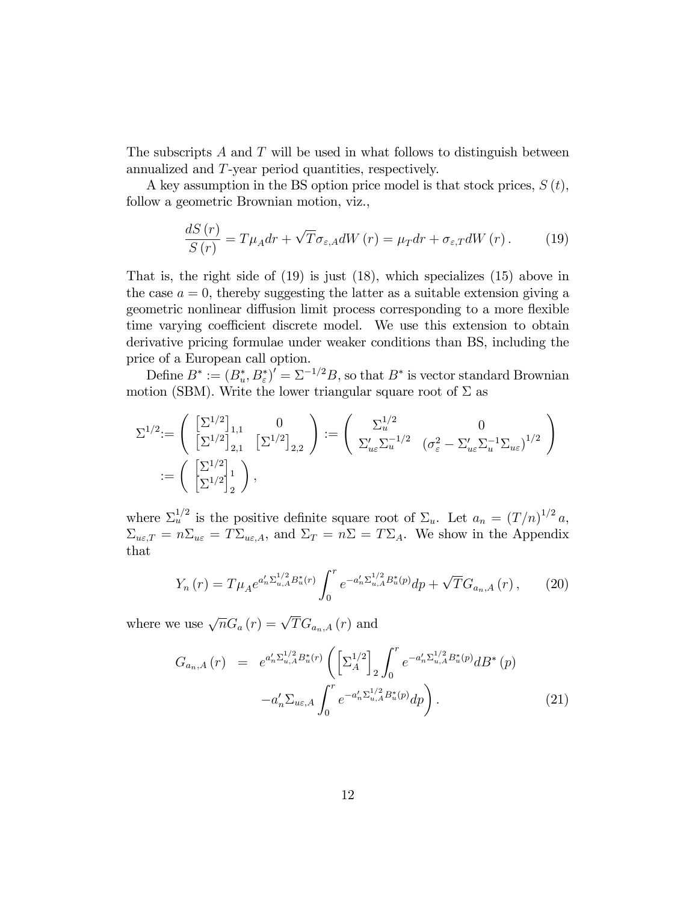The subscripts  $A$  and  $T$  will be used in what follows to distinguish between annualized and T-year period quantities, respectively.

A key assumption in the BS option price model is that stock prices,  $S(t)$ , follow a geometric Brownian motion, viz.,

$$
\frac{dS(r)}{S(r)} = T\mu_A dr + \sqrt{T}\sigma_{\varepsilon, A} dW(r) = \mu_T dr + \sigma_{\varepsilon, T} dW(r). \tag{19}
$$

That is, the right side of (19) is just (18), which specializes (15) above in the case  $a = 0$ , thereby suggesting the latter as a suitable extension giving a geometric nonlinear diffusion limit process corresponding to a more flexible time varying coefficient discrete model. We use this extension to obtain derivative pricing formulae under weaker conditions than BS, including the price of a European call option.

Define  $B^* := (B_u^*, B_{\varepsilon}^*)' = \Sigma^{-1/2} B$ , so that  $B^*$  is vector standard Brownian motion (SBM). Write the lower triangular square root of  $\Sigma$  as

$$
\begin{split} \Sigma^{1/2} &:= \left( \begin{array}{cc} \left[\Sigma^{1/2}\right]_{1,1} & 0 \\ \left[\Sigma^{1/2}\right]_{2,1} & \left[\Sigma^{1/2}\right]_{2,2} \end{array} \right) := \left( \begin{array}{cc} \Sigma^{1/2}_u & 0 \\ \Sigma'_{u\varepsilon} \Sigma^{-1/2}_u & (\sigma^2_{\varepsilon} - \Sigma'_{u\varepsilon} \Sigma^{-1}_u \Sigma_{u\varepsilon})^{1/2} \\ \left[\Sigma^{1/2}\right]_2 \end{array} \right) \\ &:= \left( \begin{array}{cc} \left[\Sigma^{1/2}\right]_1 \\ \left[\Sigma^{1/2}\right]_2 \end{array} \right), \end{split}
$$

where  $\Sigma_u^{1/2}$  is the positive definite square root of  $\Sigma_u$ . Let  $a_n = (T/n)^{1/2} a$ ,  $\Sigma_{u\epsilon,T} = n\Sigma_{u\epsilon} = T\Sigma_{u\epsilon,A}$ , and  $\Sigma_T = n\Sigma = T\Sigma_A$ . We show in the Appendix that

$$
Y_n(r) = T\mu_A e^{a'_n \Sigma_{u,A}^{1/2} B_u^*(r)} \int_0^r e^{-a'_n \Sigma_{u,A}^{1/2} B_u^*(p)} dp + \sqrt{T} G_{a_n,A}(r) ,\qquad(20)
$$

where we use  $\sqrt{n}G_a(r) = \sqrt{T}G_{a_n,A}(r)$  and

$$
G_{a_n,A}(r) = e^{a'_n \Sigma_{u,A}^{1/2} B_u^*(r)} \left( \left[ \Sigma_A^{1/2} \right]_2 \int_0^r e^{-a'_n \Sigma_{u,A}^{1/2} B_u^*(p)} d B^*(p) - a'_n \Sigma_{u \in A} \int_0^r e^{-a'_n \Sigma_{u,A}^{1/2} B_u^*(p)} dp \right).
$$
 (21)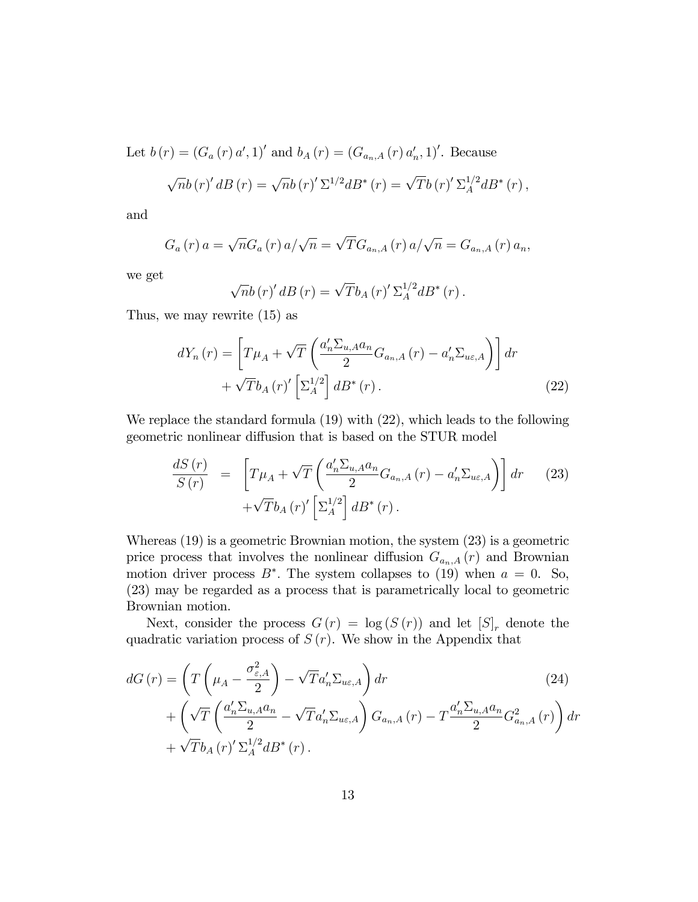Let  $b(r) = (G_a(r) a', 1)'$  and  $b_A(r) = (G_{a_n,A}(r) a'_n, 1)'$ . Because

$$
\sqrt{n}b(r)'dB(r) = \sqrt{n}b(r)' \Sigma^{1/2} dB^*(r) = \sqrt{T}b(r)' \Sigma_A^{1/2} dB^*(r) ,
$$

and

$$
G_a(r) a = \sqrt{n} G_a(r) a/\sqrt{n} = \sqrt{T} G_{a_n,A}(r) a/\sqrt{n} = G_{a_n,A}(r) a_n,
$$

we get

$$
\sqrt{n}b\left(r\right)'dB\left(r\right)=\sqrt{T}b_{A}\left(r\right)'\Sigma_{A}^{1/2}dB^{*}\left(r\right).
$$

Thus, we may rewrite (15) as

$$
dY_{n}(r) = \left[T\mu_{A} + \sqrt{T}\left(\frac{a'_{n}\Sigma_{u,A}a_{n}}{2}G_{a_{n},A}(r) - a'_{n}\Sigma_{u\varepsilon,A}\right)\right]dr
$$

$$
+ \sqrt{T}b_{A}(r)'\left[\Sigma_{A}^{1/2}\right]dB^{*}(r).
$$
(22)

We replace the standard formula (19) with (22), which leads to the following geometric nonlinear diffusion that is based on the STUR model

$$
\frac{dS(r)}{S(r)} = \left[ T\mu_A + \sqrt{T} \left( \frac{a'_n \Sigma_{u,A} a_n}{2} G_{a_n,A}(r) - a'_n \Sigma_{u\epsilon,A} \right) \right] dr \tag{23}
$$

$$
+ \sqrt{T} b_A(r)' \left[ \Sigma_A^{1/2} \right] dB^*(r).
$$

Whereas (19) is a geometric Brownian motion, the system (23) is a geometric price process that involves the nonlinear diffusion  $G_{a_n,A}(r)$  and Brownian motion driver process  $B^*$ . The system collapses to (19) when  $a = 0$ . So, (23) may be regarded as a process that is parametrically local to geometric Brownian motion.

Next, consider the process  $G(r) = \log(S(r))$  and let  $[S]_r$  denote the quadratic variation process of  $S(r)$ . We show in the Appendix that

$$
dG(r) = \left(T\left(\mu_A - \frac{\sigma_{\varepsilon,A}^2}{2}\right) - \sqrt{T}a_n' \Sigma_{u\varepsilon,A}\right) dr
$$
\n
$$
+ \left(\sqrt{T}\left(\frac{a_n' \Sigma_{u,A} a_n}{2} - \sqrt{T}a_n' \Sigma_{u\varepsilon,A}\right) G_{a_n,A}(r) - T\frac{a_n' \Sigma_{u,A} a_n}{2} G_{a_n,A}^2(r)\right) dr
$$
\n
$$
+ \sqrt{T}b_A(r)' \Sigma_A^{1/2} dB^*(r).
$$
\n(24)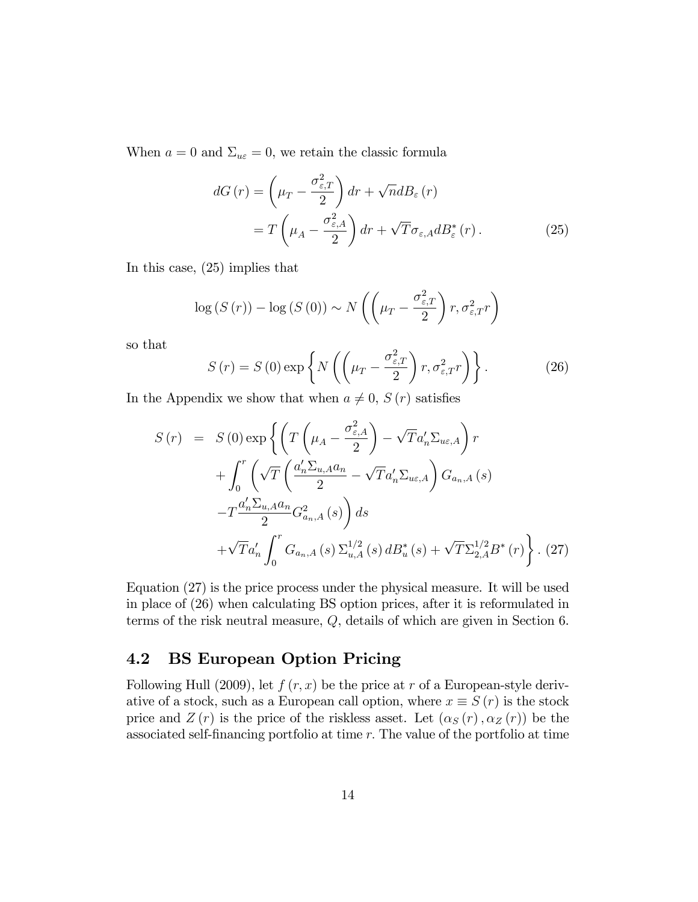When  $a = 0$  and  $\Sigma_{u\epsilon} = 0$ , we retain the classic formula

$$
dG(r) = \left(\mu_T - \frac{\sigma_{\varepsilon,T}^2}{2}\right) dr + \sqrt{n} dB_{\varepsilon}(r)
$$
  
= 
$$
T\left(\mu_A - \frac{\sigma_{\varepsilon,A}^2}{2}\right) dr + \sqrt{T}\sigma_{\varepsilon,A} dB_{\varepsilon}^*(r).
$$
 (25)

In this case, (25) implies that

$$
\log(S(r)) - \log(S(0)) \sim N\left(\left(\mu_T - \frac{\sigma_{\varepsilon,T}^2}{2}\right)r, \sigma_{\varepsilon,T}^2 r\right)
$$

so that

$$
S(r) = S(0) \exp\left\{ N \left( \left( \mu_T - \frac{\sigma_{\varepsilon,T}^2}{2} \right) r, \sigma_{\varepsilon,T}^2 r \right) \right\}.
$$
 (26)

In the Appendix we show that when  $a \neq 0$ ,  $S(r)$  satisfies

$$
S(r) = S(0) \exp \left\{ \left( T \left( \mu_A - \frac{\sigma_{\varepsilon,A}^2}{2} \right) - \sqrt{T} a_n' \Sigma_{u\varepsilon,A} \right) r \right. \left. + \int_0^r \left( \sqrt{T} \left( \frac{a_n' \Sigma_{u,A} a_n}{2} - \sqrt{T} a_n' \Sigma_{u\varepsilon,A} \right) G_{a_n,A}(s) \right. \left. - T \frac{a_n' \Sigma_{u,A} a_n}{2} G_{a_n,A}^2(s) \right) ds \right. \left. + \sqrt{T} a_n' \int_0^r G_{a_n,A}(s) \Sigma_{u,A}^{1/2}(s) dB_u^*(s) + \sqrt{T} \Sigma_{2,A}^{1/2} B^*(r) \right\} . (27)
$$

Equation (27) is the price process under the physical measure. It will be used in place of (26) when calculating BS option prices, after it is reformulated in terms of the risk neutral measure, Q, details of which are given in Section 6.

### 4.2 BS European Option Pricing

Following Hull (2009), let  $f(r, x)$  be the price at r of a European-style derivative of a stock, such as a European call option, where  $x \equiv S(r)$  is the stock price and  $Z(r)$  is the price of the riskless asset. Let  $(\alpha_S (r), \alpha_Z (r))$  be the associated self-financing portfolio at time  $r$ . The value of the portfolio at time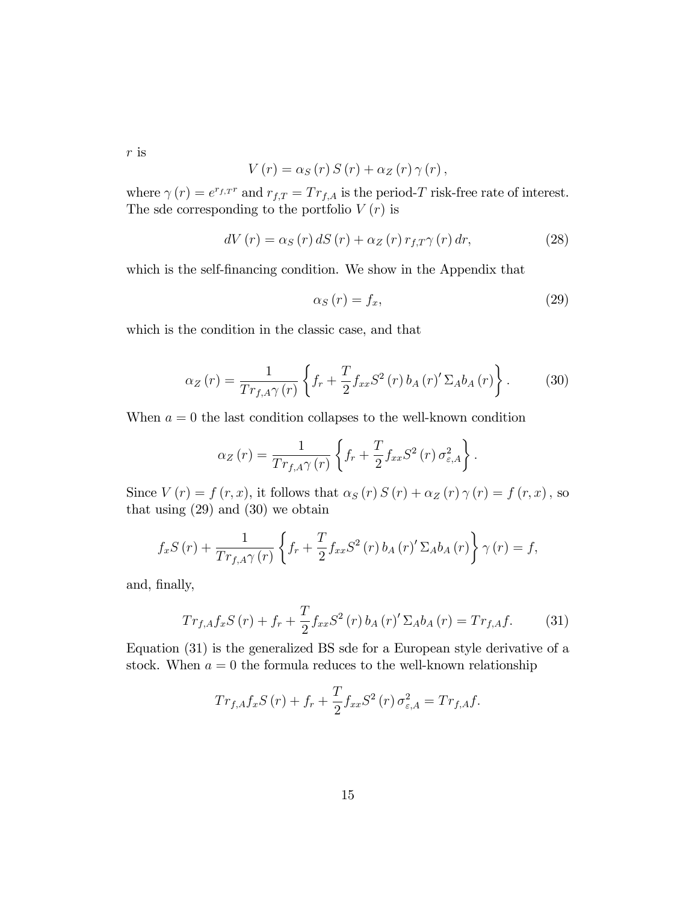r is

$$
V(r) = \alpha_S(r) S(r) + \alpha_Z(r) \gamma(r),
$$

where  $\gamma(r) = e^{r_{f,T}r}$  and  $r_{f,T} = Tr_{f,A}$  is the period-T risk-free rate of interest. The sde corresponding to the portfolio  $V(r)$  is

$$
dV(r) = \alpha_S(r) dS(r) + \alpha_Z(r) r_{f,T} \gamma(r) dr, \qquad (28)
$$

which is the self-financing condition. We show in the Appendix that

$$
\alpha_S(r) = f_x,\tag{29}
$$

which is the condition in the classic case, and that

$$
\alpha_Z(r) = \frac{1}{Tr_{f,A}\gamma(r)} \left\{ f_r + \frac{T}{2} f_{xx} S^2(r) b_A(r)' \Sigma_A b_A(r) \right\}.
$$
 (30)

When  $a = 0$  the last condition collapses to the well-known condition

$$
\alpha_Z(r) = \frac{1}{Tr_{f,A}\gamma(r)} \left\{ f_r + \frac{T}{2} f_{xx} S^2(r) \sigma_{\varepsilon,A}^2 \right\}.
$$

Since  $V(r) = f(r, x)$ , it follows that  $\alpha_S(r) S(r) + \alpha_Z(r) \gamma(r) = f(r, x)$ , so that using  $(29)$  and  $(30)$  we obtain

$$
f_x S(r) + \frac{1}{Tr_{f,A}\gamma(r)} \left\{ f_r + \frac{T}{2} f_{xx} S^2(r) b_A(r)' \Sigma_A b_A(r) \right\} \gamma(r) = f,
$$

and, finally,

$$
Tr_{f,A}f_xS(r) + f_r + \frac{T}{2}f_{xx}S^2(r) b_A(r)' \Sigma_A b_A(r) = Tr_{f,A}f.
$$
 (31)

Equation (31) is the generalized BS sde for a European style derivative of a stock. When  $a = 0$  the formula reduces to the well-known relationship

$$
Tr_{f,A}f_xS(r) + f_r + \frac{T}{2}f_{xx}S^2(r)\sigma_{\varepsilon,A}^2 = Tr_{f,A}f.
$$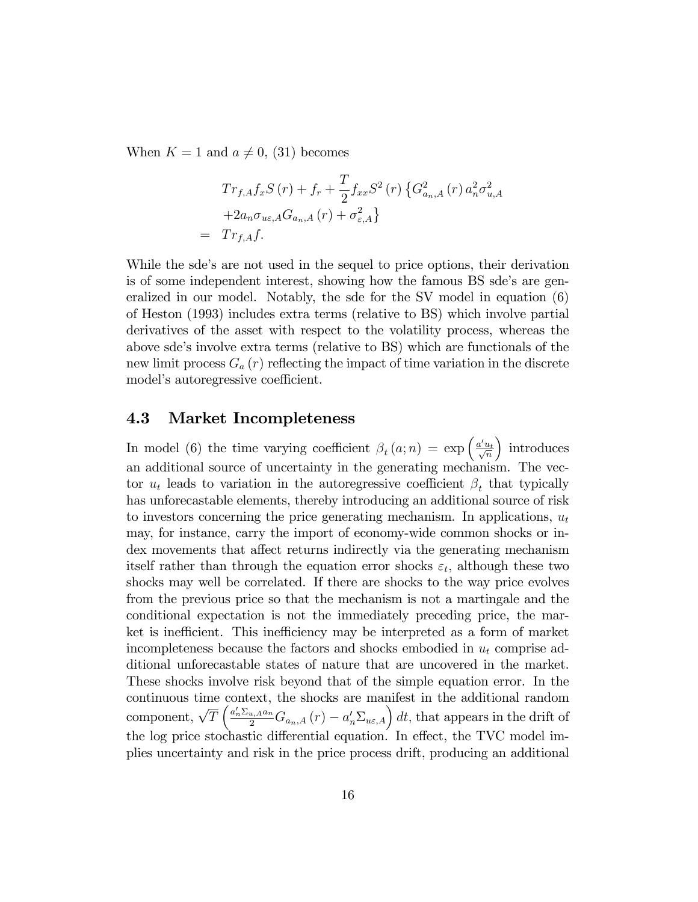When  $K = 1$  and  $a \neq 0$ , (31) becomes

$$
Tr_{f,A}f_{x}S(r) + f_{r} + \frac{T}{2}f_{xx}S^{2}(r) \left\{ G_{a_{n},A}^{2}(r) a_{n}^{2} \sigma_{u,A}^{2} + 2a_{n}\sigma_{ue,A}G_{a_{n},A}(r) + \sigma_{\varepsilon,A}^{2} \right\}
$$
  
=  $Tr_{f,A}f$ .

While the sde's are not used in the sequel to price options, their derivation is of some independent interest, showing how the famous BS sde's are generalized in our model. Notably, the sde for the SV model in equation (6) of Heston (1993) includes extra terms (relative to BS) which involve partial derivatives of the asset with respect to the volatility process, whereas the above sde's involve extra terms (relative to BS) which are functionals of the new limit process  $G_a(r)$  reflecting the impact of time variation in the discrete model's autoregressive coefficient.

#### 4.3 Market Incompleteness

In model (6) the time varying coefficient  $\beta_t(a; n) = \exp\left(\frac{a'u_t}{\sqrt{n}}\right)$ ) introduces an additional source of uncertainty in the generating mechanism. The vector  $u_t$  leads to variation in the autoregressive coefficient  $\beta_t$  that typically has unforecastable elements, thereby introducing an additional source of risk to investors concerning the price generating mechanism. In applications,  $u_t$ may, for instance, carry the import of economy-wide common shocks or index movements that affect returns indirectly via the generating mechanism itself rather than through the equation error shocks  $\varepsilon_t$ , although these two shocks may well be correlated. If there are shocks to the way price evolves from the previous price so that the mechanism is not a martingale and the conditional expectation is not the immediately preceding price, the market is inefficient. This inefficiency may be interpreted as a form of market incompleteness because the factors and shocks embodied in  $u_t$  comprise additional unforecastable states of nature that are uncovered in the market. These shocks involve risk beyond that of the simple equation error. In the continuous time context, the shocks are manifest in the additional random component,  $\sqrt{T}\left(\frac{a'_n \Sigma_{u,A} a_n}{2} G_{a_n,A}(r) - a'_n \Sigma_{u\epsilon,A}\right) dt$ , that appears in the drift of the log price stochastic differential equation. In effect, the TVC model implies uncertainty and risk in the price process drift, producing an additional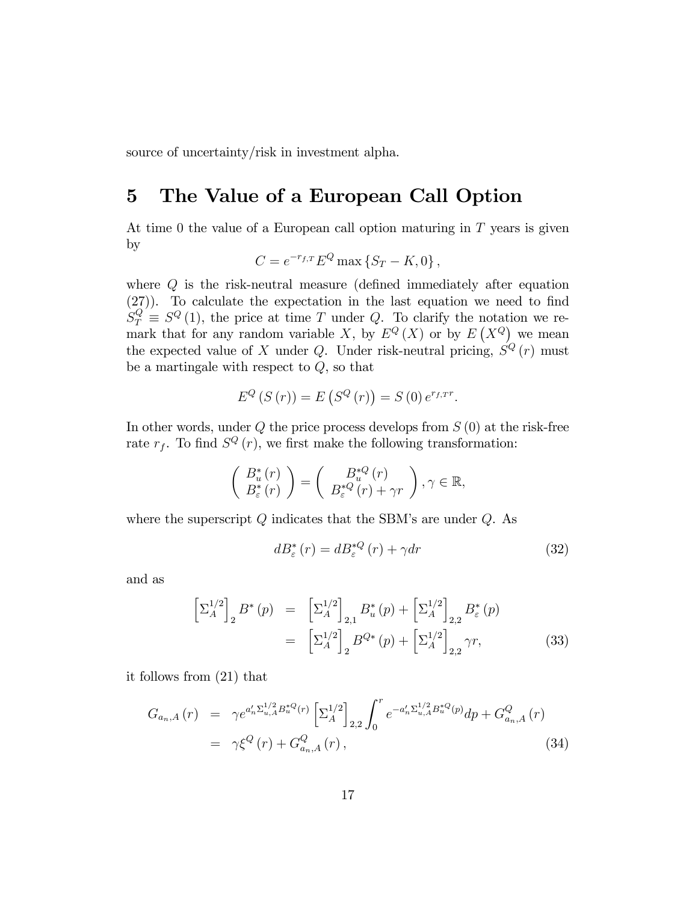source of uncertainty/risk in investment alpha.

### 5 The Value of a European Call Option

At time 0 the value of a European call option maturing in T years is given by

$$
C = e^{-r_{f,T}} E^Q \max \left\{ S_T - K, 0 \right\},\,
$$

where  $Q$  is the risk-neutral measure (defined immediately after equation  $(27)$ . To calculate the expectation in the last equation we need to find  $S_T^Q \equiv S^Q(1)$ , the price at time T under Q. To clarify the notation we remark that for any random variable X, by  $E^{Q}(X)$  or by  $E(X^{Q})$  we mean the expected value of X under Q. Under risk-neutral pricing,  $S^{Q}(r)$  must be a martingale with respect to  $Q$ , so that

$$
E^{Q}(S(r)) = E(S^{Q}(r)) = S(0) e^{r_{f,T}r}.
$$

In other words, under  $Q$  the price process develops from  $S(0)$  at the risk-free rate  $r_f$ . To find  $S^Q(r)$ , we first make the following transformation:

$$
\left(\begin{array}{c} B_u^*(r) \\ B_{\varepsilon}^*(r) \end{array}\right) = \left(\begin{array}{c} B_u^{*Q}(r) \\ B_{\varepsilon}^{*Q}(r) + \gamma r \end{array}\right), \gamma \in \mathbb{R},
$$

where the superscript  $Q$  indicates that the SBM's are under  $Q$ . As

$$
dB_{\varepsilon}^{*}\left(r\right) = dB_{\varepsilon}^{*Q}\left(r\right) + \gamma dr\tag{32}
$$

and as

$$
\left[\Sigma_A^{1/2}\right]_2 B^*(p) = \left[\Sigma_A^{1/2}\right]_{2,1} B_u^*(p) + \left[\Sigma_A^{1/2}\right]_{2,2} B_\varepsilon^*(p)
$$

$$
= \left[\Sigma_A^{1/2}\right]_2 B^{Q*}(p) + \left[\Sigma_A^{1/2}\right]_{2,2} \gamma r,
$$
(33)

it follows from (21) that

$$
G_{a_n,A}(r) = \gamma e^{a'_n \Sigma_{u,A}^{1/2} B_u^{*Q}(r)} \left[ \Sigma_A^{1/2} \right]_{2,2} \int_0^r e^{-a'_n \Sigma_{u,A}^{1/2} B_u^{*Q}(p)} dp + G_{a_n,A}^Q(r)
$$
  
=  $\gamma \xi^Q(r) + G_{a_n,A}^Q(r)$ , (34)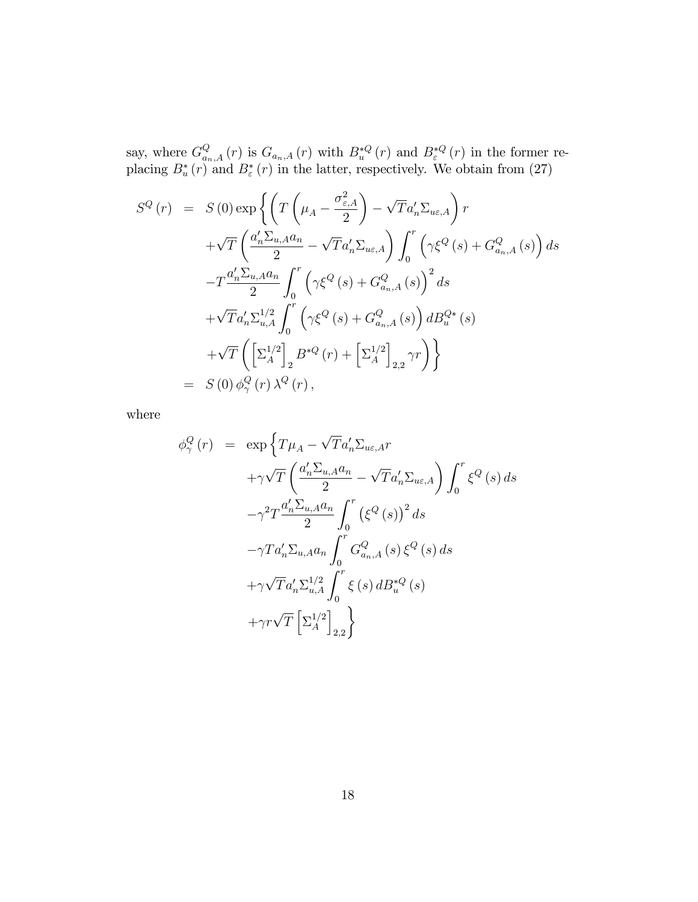say, where  $G_{a_n,A}^Q(r)$  is  $G_{a_n,A}(r)$  with  $B_{u}^{*Q}(r)$  and  $B_{\varepsilon}^{*Q}(r)$  in the former replacing  $B^*_{u}(r)$  and  $B^*_{\varepsilon}(r)$  in the latter, respectively. We obtain from (27)

$$
S^{Q}(r) = S(0) \exp \left\{ \left( T \left( \mu_{A} - \frac{\sigma_{\varepsilon, A}^{2}}{2} \right) - \sqrt{T} a'_{n} \Sigma_{u\varepsilon, A} \right) r \right. \left. + \sqrt{T} \left( \frac{a'_{n} \Sigma_{u, A} a_{n}}{2} - \sqrt{T} a'_{n} \Sigma_{u\varepsilon, A} \right) \int_{0}^{r} \left( \gamma \xi^{Q}(s) + G_{a_{n}, A}^{Q}(s) \right) ds \right. \left. - T \frac{a'_{n} \Sigma_{u, A} a_{n}}{2} \int_{0}^{r} \left( \gamma \xi^{Q}(s) + G_{a_{n}, A}^{Q}(s) \right)^{2} ds \right. \left. + \sqrt{T} a'_{n} \Sigma_{u, A}^{1/2} \int_{0}^{r} \left( \gamma \xi^{Q}(s) + G_{a_{n}, A}^{Q}(s) \right) dB_{u}^{Q*}(s) \right. \left. + \sqrt{T} \left( \left[ \Sigma_{A}^{1/2} \right]_{2} B^{*Q}(r) + \left[ \Sigma_{A}^{1/2} \right]_{2,2} \gamma r \right) \right\} \right. \n= S(0) \phi_{\gamma}^{Q}(r) \lambda^{Q}(r),
$$

where

$$
\phi_{\gamma}^{Q}(r) = \exp \left\{ T\mu_{A} - \sqrt{T}a'_{n} \Sigma_{u\epsilon,A} r
$$

$$
+ \gamma \sqrt{T} \left( \frac{a'_{n} \Sigma_{u,A} a_{n}}{2} - \sqrt{T}a'_{n} \Sigma_{u\epsilon,A} \right) \int_{0}^{r} \xi^{Q}(s) ds
$$

$$
- \gamma^{2} T \frac{a'_{n} \Sigma_{u,A} a_{n}}{2} \int_{0}^{r} (\xi^{Q}(s))^{2} ds
$$

$$
- \gamma T a'_{n} \Sigma_{u,A} a_{n} \int_{0}^{r} G_{a_{n},A}^{Q}(s) \xi^{Q}(s) ds
$$

$$
+ \gamma \sqrt{T} a'_{n} \Sigma_{u,A}^{1/2} \int_{0}^{r} \xi(s) dB_{u}^{*Q}(s)
$$

$$
+ \gamma r \sqrt{T} \left[ \Sigma_{A}^{1/2} \right]_{2,2} \right\}
$$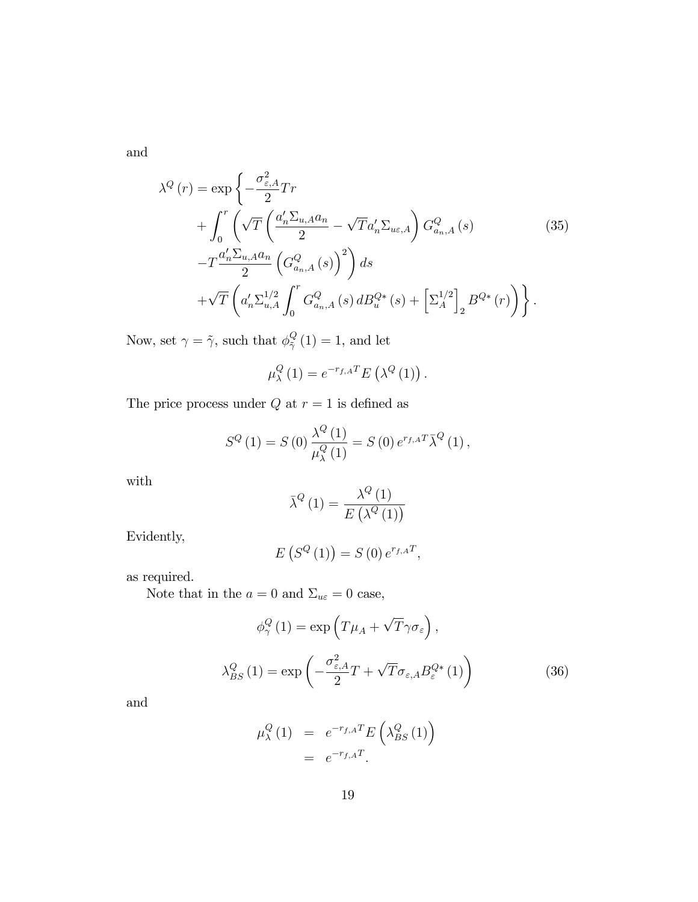and

$$
\lambda^{Q}(r) = \exp\left\{-\frac{\sigma_{\varepsilon,A}^{2}}{2}Tr\right.\n+ \int_{0}^{r} \left(\sqrt{T}\left(\frac{a_{n}'\Sigma_{u,A}a_{n}}{2} - \sqrt{T}a_{n}'\Sigma_{u\varepsilon,A}\right)G_{a_{n},A}^{Q}(s)\right.\n- \frac{a_{n}'\Sigma_{u,A}a_{n}}{2}\left(G_{a_{n},A}^{Q}(s)\right)^{2}\right)ds\n+ \sqrt{T}\left(a_{n}'\Sigma_{u,A}^{1/2}\int_{0}^{r}G_{a_{n},A}^{Q}(s)dB_{u}^{Q*}(s) + \left[\Sigma_{A}^{1/2}\right]_{2}B^{Q*}(r)\right)\right\}.
$$
\n(35)

Now, set  $\gamma = \tilde{\gamma}$ , such that  $\phi_{\tilde{\gamma}}^Q$  $\frac{Q}{\tilde{\gamma}}(1) = 1$ , and let

$$
\mu_{\lambda}^{Q}(1) = e^{-r_{f,A}T} E(\lambda^{Q}(1)).
$$

The price process under  $Q$  at  $r=1$  is defined as

$$
S^{Q}(1) = S(0) \frac{\lambda^{Q}(1)}{\mu_{\lambda}^{Q}(1)} = S(0) e^{r_{f,A}T} \overline{\lambda}^{Q}(1),
$$

with

$$
\bar{\lambda}^{Q}\left(1\right) = \frac{\lambda^{Q}\left(1\right)}{E\left(\lambda^{Q}\left(1\right)\right)}
$$

Evidently,

$$
E(S^{Q}(1)) = S(0) e^{r_{f,A}T},
$$

as required.

Note that in the  $a=0$  and  $\Sigma_{u\varepsilon}=0$  case,

$$
\phi_{\gamma}^{Q}(1) = \exp\left(T\mu_{A} + \sqrt{T}\gamma\sigma_{\varepsilon}\right),
$$

$$
\lambda_{BS}^{Q}(1) = \exp\left(-\frac{\sigma_{\varepsilon,A}^{2}}{2}T + \sqrt{T}\sigma_{\varepsilon,A}B_{\varepsilon}^{Q*}(1)\right)
$$
(36)

and

$$
\mu_{\lambda}^{Q} (1) = e^{-r_{f,A}T} E\left(\lambda_{BS}^{Q} (1)\right)
$$

$$
= e^{-r_{f,A}T}.
$$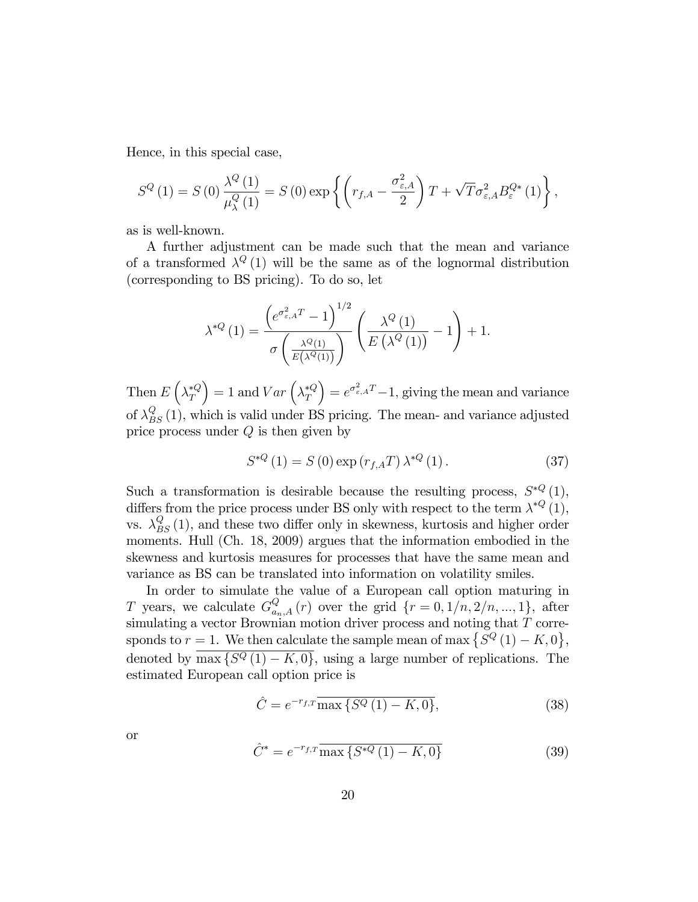Hence, in this special case,

$$
S^{Q}(1) = S(0) \frac{\lambda^{Q}(1)}{\mu_{\lambda}^{Q}(1)} = S(0) \exp \left\{ \left( r_{f,A} - \frac{\sigma_{\varepsilon,A}^{2}}{2} \right) T + \sqrt{T} \sigma_{\varepsilon,A}^{2} B_{\varepsilon}^{Q*}(1) \right\},\,
$$

as is well-known.

A further adjustment can be made such that the mean and variance of a transformed  $\lambda^{Q}(1)$  will be the same as of the lognormal distribution (corresponding to BS pricing). To do so, let

$$
\lambda^{*Q}\left(1\right) = \frac{\left(e^{\sigma_{\varepsilon,A}^2 T}-1\right)^{1/2}}{\sigma\left(\frac{\lambda^Q\left(1\right)}{E\left(\lambda^Q\left(1\right)\right)}\right)} \left(\frac{\lambda^Q\left(1\right)}{E\left(\lambda^Q\left(1\right)\right)}-1\right) + 1.
$$

Then  $E\left(\lambda_T^{*Q}\right)$  $= 1$  and  $Var\left(\lambda_T^{*Q}\right)$  $= e^{\sigma_{\varepsilon,A}^2 T} - 1$ , giving the mean and variance of  $\lambda_{BS}^{Q}(1)$ , which is valid under BS pricing. The mean- and variance adjusted price process under  $Q$  is then given by

$$
S^{*Q}(1) = S(0) \exp(r_{f,A}T) \lambda^{*Q}(1).
$$
 (37)

Such a transformation is desirable because the resulting process,  $S^{*Q}(1)$ , differs from the price process under BS only with respect to the term  $\lambda^{*Q}(1)$ , vs.  $\lambda_{BS}^{Q}(1)$ , and these two differ only in skewness, kurtosis and higher order moments. Hull (Ch. 18, 2009) argues that the information embodied in the skewness and kurtosis measures for processes that have the same mean and variance as BS can be translated into information on volatility smiles.

In order to simulate the value of a European call option maturing in T years, we calculate  $G_{a_n,A}^Q(r)$  over the grid  $\{r=0,1/n,2/n,...,1\}$ , after simulating a vector Brownian motion driver process and noting that T corresponds to  $r = 1$ . We then calculate the sample mean of max  $\{\overline{S}^Q(1) - K, 0\},\$ denoted by  $\overline{\max\{S^Q(1) - K, 0\}}$ , using a large number of replications. The estimated European call option price is

$$
\hat{C} = e^{-r_{f,T}} \overline{\max\{S^Q(1) - K, 0\}},\tag{38}
$$

or

$$
\hat{C}^* = e^{-r_{f,T}} \overline{\max\left\{ S^{*Q} \left( 1 \right) - K, 0 \right\}} \tag{39}
$$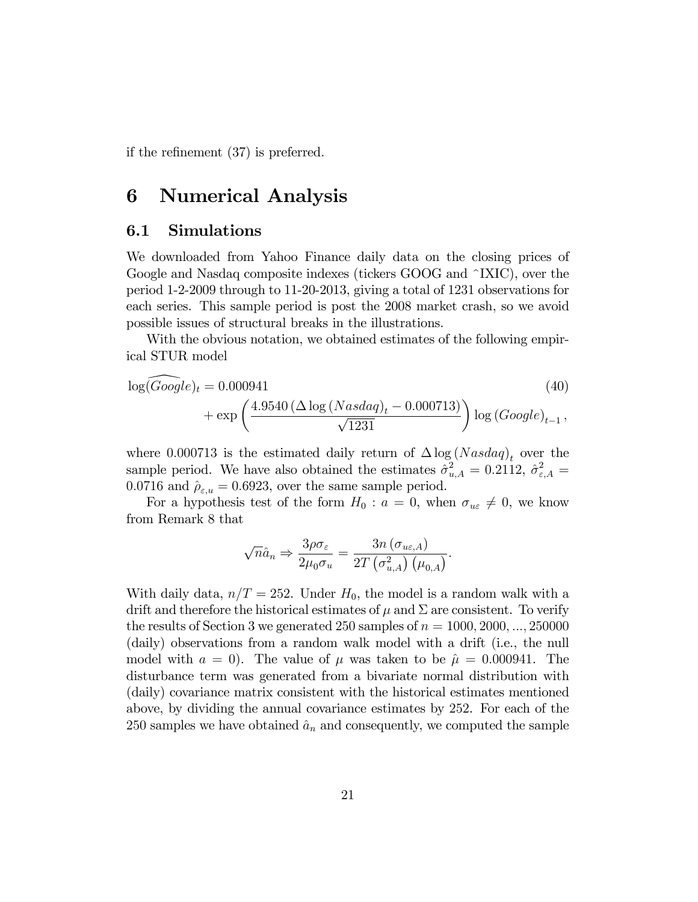if the refinement  $(37)$  is preferred.

### 6 Numerical Analysis

#### 6.1 Simulations

We downloaded from Yahoo Finance daily data on the closing prices of Google and Nasdaq composite indexes (tickers GOOG and ^IXIC), over the period 1-2-2009 through to 11-20-2013, giving a total of 1231 observations for each series. This sample period is post the 2008 market crash, so we avoid possible issues of structural breaks in the illustrations.

With the obvious notation, we obtained estimates of the following empirical STUR model

$$
\log(\widehat{Google})_t = 0.000941
$$
\n
$$
+ \exp\left(\frac{4.9540\left(\Delta\log\left(Nasdaq\right)_t - 0.000713\right)}{\sqrt{1231}}\right) \log\left(Google\right)_{t-1},
$$
\n(40)

where 0.000713 is the estimated daily return of  $\Delta \log (N \alpha s \alpha q)_t$  over the sample period. We have also obtained the estimates  $\hat{\sigma}_{u,A}^2 = 0.2112$ ,  $\hat{\sigma}_{\varepsilon,A}^2 =$ 0.0716 and  $\hat{\rho}_{\varepsilon,u} = 0.6923$ , over the same sample period.

For a hypothesis test of the form  $H_0: a=0$ , when  $\sigma_{u\varepsilon}\neq 0$ , we know from Remark 8 that

$$
\sqrt{n}\hat{a}_n \Rightarrow \frac{3\rho\sigma_{\varepsilon}}{2\mu_0\sigma_u} = \frac{3n\left(\sigma_{u\varepsilon,A}\right)}{2T\left(\sigma_{u,A}^2\right)\left(\mu_{0,A}\right)}.
$$

With daily data,  $n/T = 252$ . Under  $H_0$ , the model is a random walk with a drift and therefore the historical estimates of  $\mu$  and  $\Sigma$  are consistent. To verify the results of Section 3 we generated 250 samples of  $n = 1000, 2000, \ldots, 250000$ (daily) observations from a random walk model with a drift (i.e., the null model with  $a = 0$ . The value of  $\mu$  was taken to be  $\hat{\mu} = 0.000941$ . The disturbance term was generated from a bivariate normal distribution with (daily) covariance matrix consistent with the historical estimates mentioned above, by dividing the annual covariance estimates by 252. For each of the 250 samples we have obtained  $\hat{a}_n$  and consequently, we computed the sample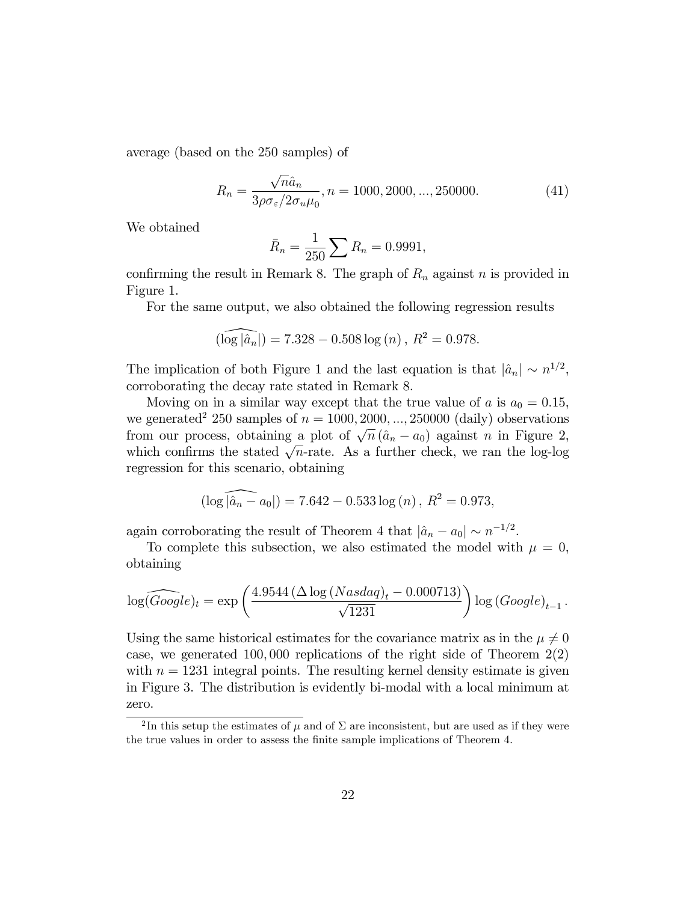average (based on the 250 samples) of

$$
R_n = \frac{\sqrt{n}\hat{a}_n}{3\rho\sigma_{\varepsilon}/2\sigma_u\mu_0}, n = 1000, 2000, ..., 250000.
$$
 (41)

We obtained

$$
\bar{R}_n = \frac{1}{250} \sum R_n = 0.9991,
$$

confirming the result in Remark 8. The graph of  $R_n$  against n is provided in Figure 1.

For the same output, we also obtained the following regression results

$$
(\widehat{\log|\hat{a}_n|}) = 7.328 - 0.508 \log(n), R^2 = 0.978.
$$

The implication of both Figure 1 and the last equation is that  $|\hat{a}_n| \sim n^{1/2}$ , corroborating the decay rate stated in Remark 8.

Moving on in a similar way except that the true value of a is  $a_0 = 0.15$ , we generated<sup>2</sup> 250 samples of  $n = 1000, 2000, ..., 250000$  (daily) observations from our process, obtaining a plot of  $\sqrt{n} (\hat{a}_n - a_0)$  against n in Figure 2, which confirms the stated  $\sqrt{n}$ -rate. As a further check, we ran the log-log regression for this scenario, obtaining

$$
(\log |\widehat{a}_n - a_0|) = 7.642 - 0.533 \log (n), R^2 = 0.973,
$$

again corroborating the result of Theorem 4 that  $|\hat{a}_n - a_0| \sim n^{-1/2}$ .

To complete this subsection, we also estimated the model with  $\mu = 0$ , obtaining

$$
\log(\widehat{Google})_t = \exp\left(\frac{4.9544\left(\Delta \log \left(Nasdaq\right)_t - 0.000713\right)}{\sqrt{1231}}\right) \log\left(Google\right)_{t-1}.
$$

Using the same historical estimates for the covariance matrix as in the  $\mu \neq 0$ case, we generated 100,000 replications of the right side of Theorem  $2(2)$ with  $n = 1231$  integral points. The resulting kernel density estimate is given in Figure 3. The distribution is evidently bi-modal with a local minimum at zero.

<sup>&</sup>lt;sup>2</sup>In this setup the estimates of  $\mu$  and of  $\Sigma$  are inconsistent, but are used as if they were the true values in order to assess the finite sample implications of Theorem 4.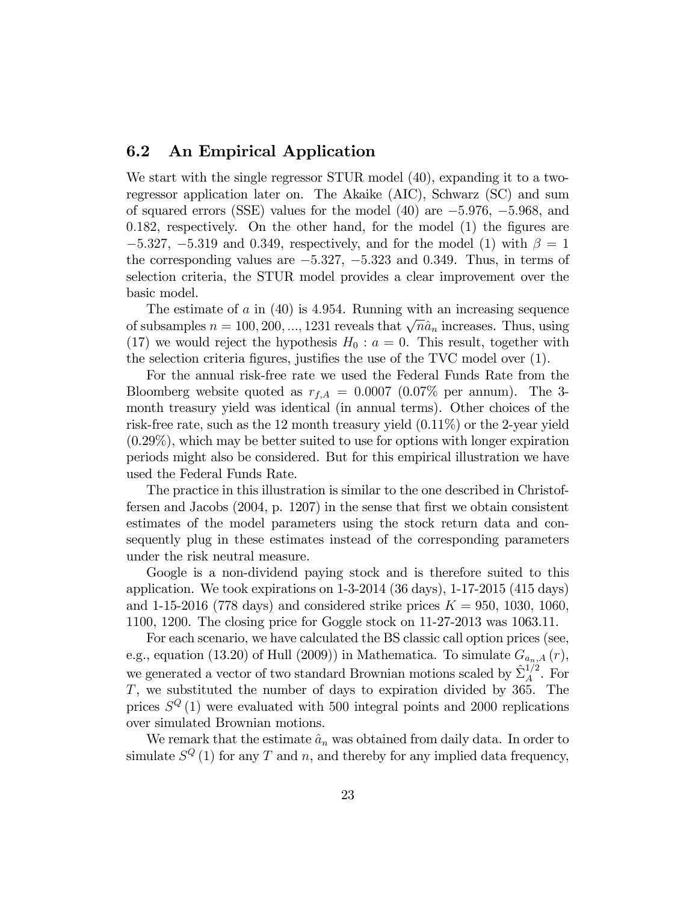#### 6.2 An Empirical Application

We start with the single regressor STUR model (40), expanding it to a tworegressor application later on. The Akaike (AIC), Schwarz (SC) and sum of squared errors (SSE) values for the model  $(40)$  are  $-5.976$ ,  $-5.968$ , and  $0.182$ , respectively. On the other hand, for the model  $(1)$  the figures are  $-5.327, -5.319$  and 0.349, respectively, and for the model (1) with  $\beta = 1$ the corresponding values are  $-5.327$ ,  $-5.323$  and 0.349. Thus, in terms of selection criteria, the STUR model provides a clear improvement over the basic model.

The estimate of a in  $(40)$  is 4.954. Running with an increasing sequence of subsamples  $n = 100, 200, ..., 1231$  reveals that  $\sqrt{n}\hat{a}_n$  increases. Thus, using (17) we would reject the hypothesis  $H_0: a = 0$ . This result, together with the selection criteria figures, justifies the use of the TVC model over (1).

For the annual risk-free rate we used the Federal Funds Rate from the Bloomberg website quoted as  $r_{f,A} = 0.0007$  (0.07% per annum). The 3month treasury yield was identical (in annual terms). Other choices of the risk-free rate, such as the 12 month treasury yield (0.11%) or the 2-year yield (0.29%), which may be better suited to use for options with longer expiration periods might also be considered. But for this empirical illustration we have used the Federal Funds Rate.

The practice in this illustration is similar to the one described in Christoffersen and Jacobs  $(2004, p. 1207)$  in the sense that first we obtain consistent estimates of the model parameters using the stock return data and consequently plug in these estimates instead of the corresponding parameters under the risk neutral measure.

Google is a non-dividend paying stock and is therefore suited to this application. We took expirations on 1-3-2014 (36 days), 1-17-2015 (415 days) and 1-15-2016 (778 days) and considered strike prices  $K = 950, 1030, 1060,$ 1100, 1200. The closing price for Goggle stock on 11-27-2013 was 1063.11.

For each scenario, we have calculated the BS classic call option prices (see, e.g., equation (13.20) of Hull (2009)) in Mathematica. To simulate  $G_{a_n,A}(r)$ , we generated a vector of two standard Brownian motions scaled by  $\hat{\Sigma}_A^{1/2}$  $_A^{1/2}$ . For T, we substituted the number of days to expiration divided by 365. The prices  $S^{Q}(1)$  were evaluated with 500 integral points and 2000 replications over simulated Brownian motions.

We remark that the estimate  $\hat{a}_n$  was obtained from daily data. In order to simulate  $S^{Q}(1)$  for any T and n, and thereby for any implied data frequency,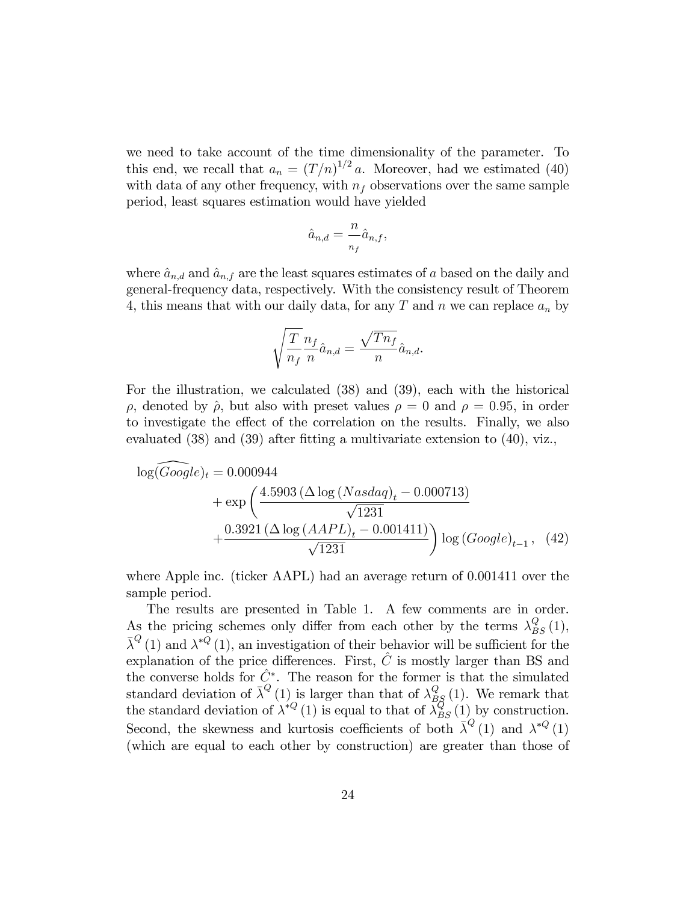we need to take account of the time dimensionality of the parameter. To this end, we recall that  $a_n = (T/n)^{1/2} a$ . Moreover, had we estimated (40) with data of any other frequency, with  $n_f$  observations over the same sample period, least squares estimation would have yielded

$$
\hat{a}_{n,d} = \frac{n}{n_f} \hat{a}_{n,f},
$$

where  $\hat{a}_{n,d}$  and  $\hat{a}_{n,f}$  are the least squares estimates of a based on the daily and general-frequency data, respectively. With the consistency result of Theorem 4, this means that with our daily data, for any  $T$  and  $n$  we can replace  $a_n$  by

$$
\sqrt{\frac{T}{n_f}} \frac{n_f}{n} \hat{a}_{n,d} = \frac{\sqrt{T n_f}}{n} \hat{a}_{n,d}.
$$

For the illustration, we calculated (38) and (39), each with the historical  $\rho$ , denoted by  $\hat{\rho}$ , but also with preset values  $\rho = 0$  and  $\rho = 0.95$ , in order to investigate the effect of the correlation on the results. Finally, we also evaluated  $(38)$  and  $(39)$  after fitting a multivariate extension to  $(40)$ , viz.,

$$
\log(Google)_t = 0.000944
$$
  
+  $\exp\left(\frac{4.5903 \left(\Delta \log (Nasdaq)_t - 0.000713\right)}{\sqrt{1231}} + \frac{0.3921 \left(\Delta \log (AAPL)_t - 0.001411\right)}{\sqrt{1231}}\right) \log (Google)_{t-1},$  (42)

where Apple inc. (ticker AAPL) had an average return of 0.001411 over the sample period.

The results are presented in Table 1. A few comments are in order. As the pricing schemes only differ from each other by the terms  $\lambda_{BS}^Q(1)$ ,  $\bar{\lambda}^{Q}(1)$  and  $\lambda^{*Q}(1)$ , an investigation of their behavior will be sufficient for the explanation of the price differences. First,  $\hat{C}$  is mostly larger than BS and the converse holds for  $\hat{C}^*$ . The reason for the former is that the simulated standard deviation of  $\bar{\lambda}^Q(1)$  is larger than that of  $\lambda_{BS}^Q(1)$ . We remark that the standard deviation of  $\lambda^{\ast Q}$  (1) is equal to that of  $\lambda_{BS}^{Q}(1)$  by construction. Second, the skewness and kurtosis coefficients of both  $\bar{\lambda}^Q(1)$  and  $\lambda^{*Q}(1)$ (which are equal to each other by construction) are greater than those of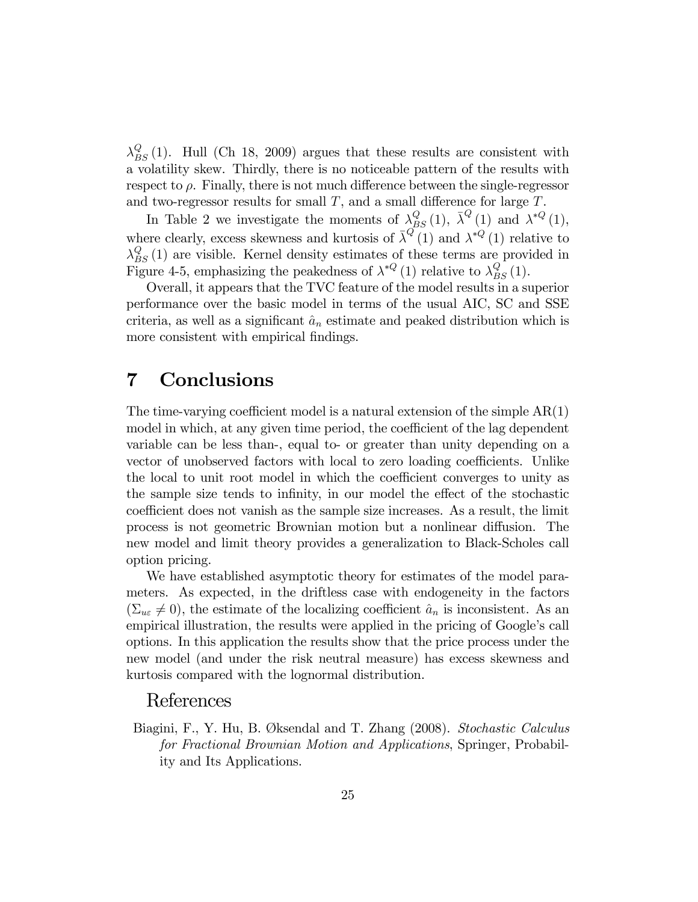$\lambda_{BS}^{Q}(1)$ . Hull (Ch 18, 2009) argues that these results are consistent with a volatility skew. Thirdly, there is no noticeable pattern of the results with respect to  $\rho$ . Finally, there is not much difference between the single-regressor and two-regressor results for small  $T$ , and a small difference for large  $T$ .

In Table 2 we investigate the moments of  $\lambda_{BS}^Q(1)$ ,  $\bar{\lambda}^Q(1)$  and  $\lambda^{*Q}(1)$ , where clearly, excess skewness and kurtosis of  $\bar{\lambda}^{Q}(1)$  and  $\lambda^{*Q}(1)$  relative to  $\lambda_{BS}^{Q}(1)$  are visible. Kernel density estimates of these terms are provided in Figure 4-5, emphasizing the peakedness of  $\lambda^{*Q}$  (1) relative to  $\lambda_{BS}^Q$  (1).

Overall, it appears that the TVC feature of the model results in a superior performance over the basic model in terms of the usual AIC, SC and SSE criteria, as well as a significant  $\hat{a}_n$  estimate and peaked distribution which is more consistent with empirical findings.

### 7 Conclusions

The time-varying coefficient model is a natural extension of the simple  $AR(1)$ model in which, at any given time period, the coefficient of the lag dependent variable can be less than-, equal to- or greater than unity depending on a vector of unobserved factors with local to zero loading coefficients. Unlike the local to unit root model in which the coefficient converges to unity as the sample size tends to infinity, in our model the effect of the stochastic coefficient does not vanish as the sample size increases. As a result, the limit process is not geometric Brownian motion but a nonlinear diffusion. The new model and limit theory provides a generalization to Black-Scholes call option pricing.

We have established asymptotic theory for estimates of the model parameters. As expected, in the driftless case with endogeneity in the factors  $(\Sigma_{u\varepsilon} \neq 0)$ , the estimate of the localizing coefficient  $\hat{a}_n$  is inconsistent. As an empirical illustration, the results were applied in the pricing of Google's call options. In this application the results show that the price process under the new model (and under the risk neutral measure) has excess skewness and kurtosis compared with the lognormal distribution.

#### References

Biagini, F., Y. Hu, B. Øksendal and T. Zhang (2008). Stochastic Calculus for Fractional Brownian Motion and Applications, Springer, Probability and Its Applications.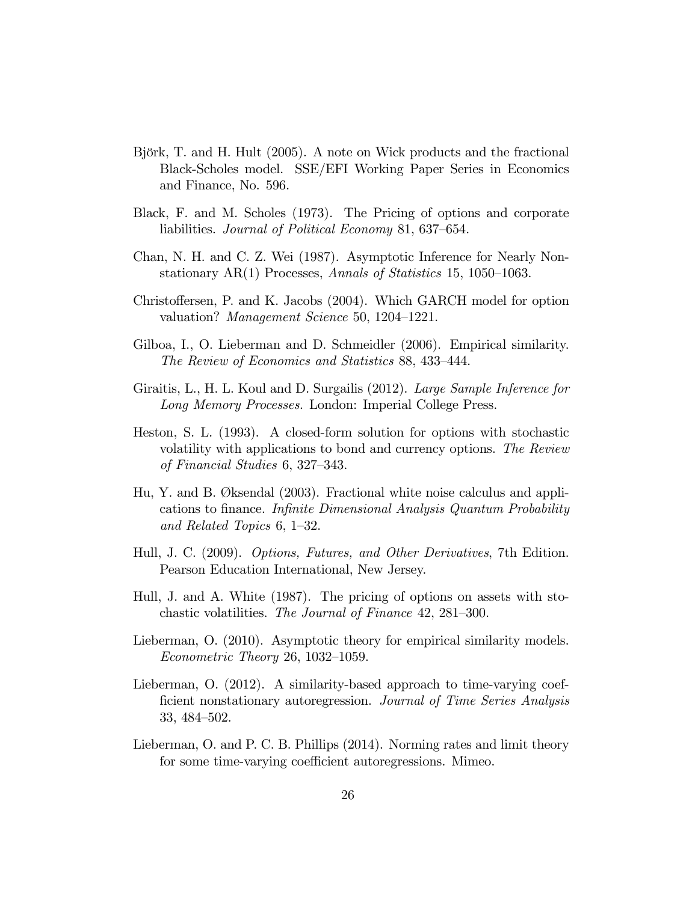- Björk, T. and H. Hult (2005). A note on Wick products and the fractional Black-Scholes model. SSE/EFI Working Paper Series in Economics and Finance, No. 596.
- Black, F. and M. Scholes (1973). The Pricing of options and corporate liabilities. Journal of Political Economy 81, 637–654.
- Chan, N. H. and C. Z. Wei (1987). Asymptotic Inference for Nearly Nonstationary AR(1) Processes, Annals of Statistics 15, 1050–1063.
- Christoffersen, P. and K. Jacobs (2004). Which GARCH model for option valuation? *Management Science* 50, 1204–1221.
- Gilboa, I., O. Lieberman and D. Schmeidler (2006). Empirical similarity. The Review of Economics and Statistics 88, 433–444.
- Giraitis, L., H. L. Koul and D. Surgailis (2012). Large Sample Inference for Long Memory Processes. London: Imperial College Press.
- Heston, S. L. (1993). A closed-form solution for options with stochastic volatility with applications to bond and currency options. The Review of Financial Studies  $6, 327-343$ .
- Hu, Y. and B. ÿksendal (2003). Fractional white noise calculus and applications to finance. *Infinite Dimensional Analysis Quantum Probability* and Related Topics  $6, 1-32$ .
- Hull, J. C. (2009). Options, Futures, and Other Derivatives, 7th Edition. Pearson Education International, New Jersey.
- Hull, J. and A. White (1987). The pricing of options on assets with stochastic volatilities. The Journal of Finance 42, 281–300.
- Lieberman, O. (2010). Asymptotic theory for empirical similarity models.  $Econometric Theory 26, 1032-1059.$
- Lieberman, O. (2012). A similarity-based approach to time-varying coefficient nonstationary autoregression. Journal of Time Series Analysis 33, 484–502.
- Lieberman, O. and P. C. B. Phillips (2014). Norming rates and limit theory for some time-varying coefficient autoregressions. Mimeo.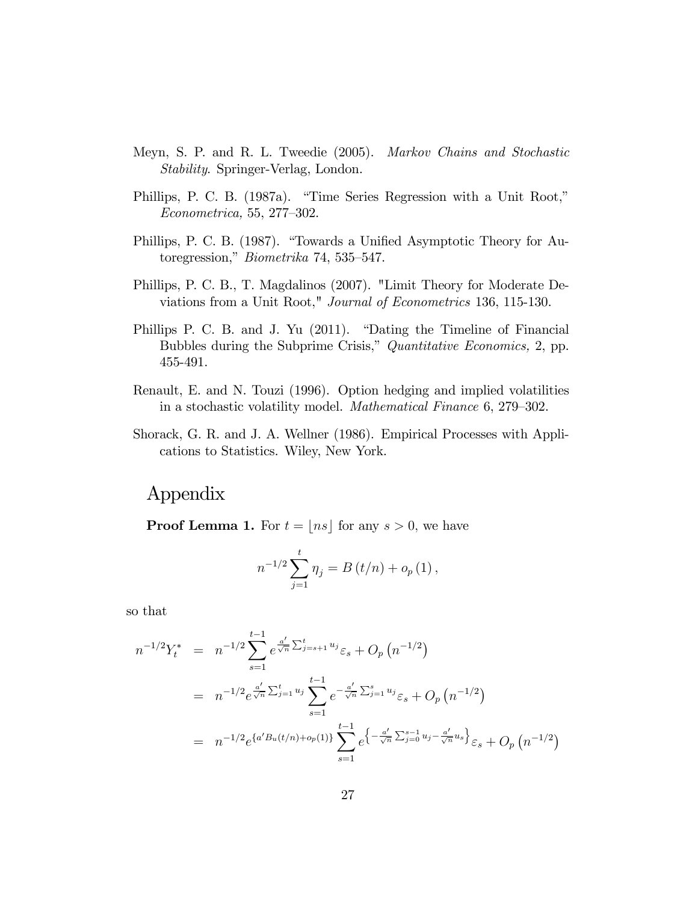- Meyn, S. P. and R. L. Tweedie (2005). Markov Chains and Stochastic Stability. Springer-Verlag, London.
- Phillips, P. C. B. (1987a). "Time Series Regression with a Unit Root,"  $Econometrica, 55, 277-302.$
- Phillips, P. C. B. (1987). "Towards a Unified Asymptotic Theory for Autoregression,"  $Biometrika$  74, 535–547.
- Phillips, P. C. B., T. Magdalinos (2007). "Limit Theory for Moderate Deviations from a Unit Root," Journal of Econometrics 136, 115-130.
- Phillips P. C. B. and J. Yu (2011). "Dating the Timeline of Financial Bubbles during the Subprime Crisis," Quantitative Economics, 2, pp. 455-491.
- Renault, E. and N. Touzi (1996). Option hedging and implied volatilities in a stochastic volatility model. *Mathematical Finance* 6, 279–302.
- Shorack, G. R. and J. A. Wellner (1986). Empirical Processes with Applications to Statistics. Wiley, New York.

### Appendix

**Proof Lemma 1.** For  $t = |ns|$  for any  $s > 0$ , we have

$$
n^{-1/2} \sum_{j=1}^{t} \eta_j = B(t/n) + o_p(1),
$$

so that

$$
n^{-1/2}Y_t^* = n^{-1/2} \sum_{s=1}^{t-1} e^{\frac{a'}{\sqrt{n}} \sum_{j=s+1}^t u_j} \varepsilon_s + O_p(n^{-1/2})
$$
  
=  $n^{-1/2} e^{\frac{a'}{\sqrt{n}} \sum_{j=1}^t u_j} \sum_{s=1}^{t-1} e^{-\frac{a'}{\sqrt{n}} \sum_{j=1}^s u_j} \varepsilon_s + O_p(n^{-1/2})$   
=  $n^{-1/2} e^{\{a'B_u(t/n) + o_p(1)\}} \sum_{s=1}^{t-1} e^{\left\{-\frac{a'}{\sqrt{n}} \sum_{j=0}^{s-1} u_j - \frac{a'}{\sqrt{n}} u_s\right\}} \varepsilon_s + O_p(n^{-1/2})$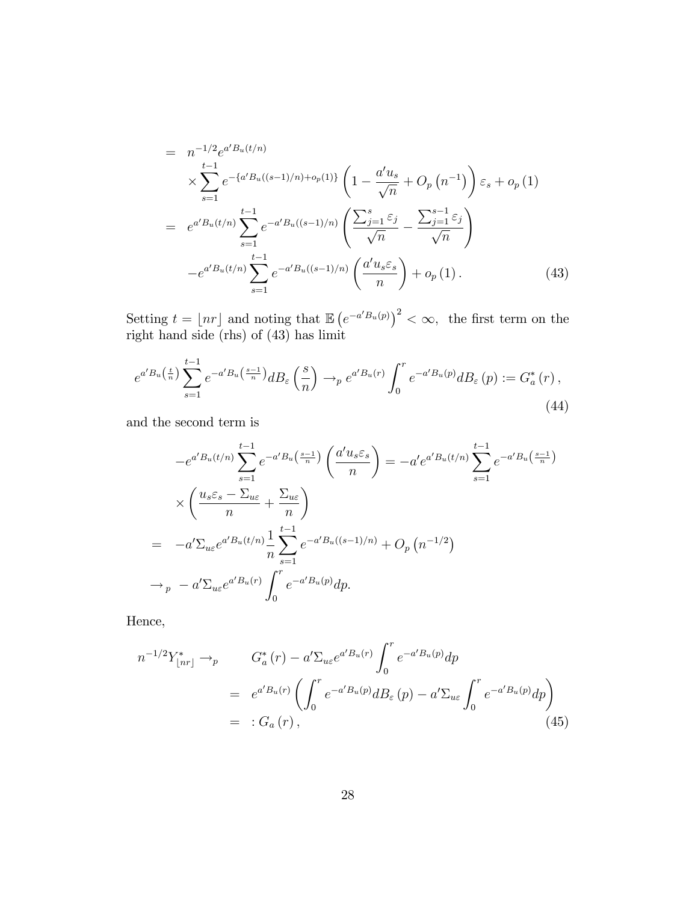$$
= n^{-1/2} e^{a'B_u(t/n)} \times \sum_{s=1}^{t-1} e^{-\{a'B_u((s-1)/n) + o_p(1)\}} \left(1 - \frac{a'u_s}{\sqrt{n}} + O_p(n^{-1})\right) \varepsilon_s + o_p(1)
$$
  
\n
$$
= e^{a'B_u(t/n)} \sum_{s=1}^{t-1} e^{-a'B_u((s-1)/n)} \left(\frac{\sum_{j=1}^s \varepsilon_j}{\sqrt{n}} - \frac{\sum_{j=1}^{s-1} \varepsilon_j}{\sqrt{n}}\right)
$$
  
\n
$$
-e^{a'B_u(t/n)} \sum_{s=1}^{t-1} e^{-a'B_u((s-1)/n)} \left(\frac{a'u_s \varepsilon_s}{n}\right) + o_p(1).
$$
 (43)

Setting  $t = \lfloor nr \rfloor$  and noting that  $\mathbb{E} \left( e^{-a'B_u(p)} \right)^2 < \infty$ , the first term on the right hand side (rhs) of (43) has limit

$$
e^{a'B_u\left(\frac{t}{n}\right)}\sum_{s=1}^{t-1}e^{-a'B_u\left(\frac{s-1}{n}\right)}dB_\varepsilon\left(\frac{s}{n}\right)\to_p e^{a'B_u(r)}\int_0^r e^{-a'B_u(p)}dB_\varepsilon\left(p\right):=G_a^*\left(r\right),\tag{44}
$$

and the second term is

$$
-e^{a'B_u(t/n)} \sum_{s=1}^{t-1} e^{-a'B_u(\frac{s-1}{n})} \left(\frac{a'u_s \varepsilon_s}{n}\right) = -a'e^{a'B_u(t/n)} \sum_{s=1}^{t-1} e^{-a'B_u(\frac{s-1}{n})}
$$
  
 
$$
\times \left(\frac{u_s \varepsilon_s - \Sigma_{u\varepsilon}}{n} + \frac{\Sigma_{u\varepsilon}}{n}\right)
$$
  
\n
$$
= -a'\Sigma_{u\varepsilon} e^{a'B_u(t/n)} \frac{1}{n} \sum_{s=1}^{t-1} e^{-a'B_u((s-1)/n)} + O_p(n^{-1/2})
$$
  
\n
$$
\to_p - a'\Sigma_{u\varepsilon} e^{a'B_u(r)} \int_0^r e^{-a'B_u(p)} dp.
$$

Hence,

$$
n^{-1/2}Y_{\lfloor nr\rfloor}^* \to_p \qquad G_a^*(r) - a'\Sigma_{u\varepsilon}e^{a'B_u(r)} \int_0^r e^{-a'B_u(p)}dp
$$
  
=  $e^{a'B_u(r)} \left( \int_0^r e^{-a'B_u(p)} dB_\varepsilon(p) - a'\Sigma_{u\varepsilon} \int_0^r e^{-a'B_u(p)}dp \right)$   
=  $: G_a(r)$ , (45)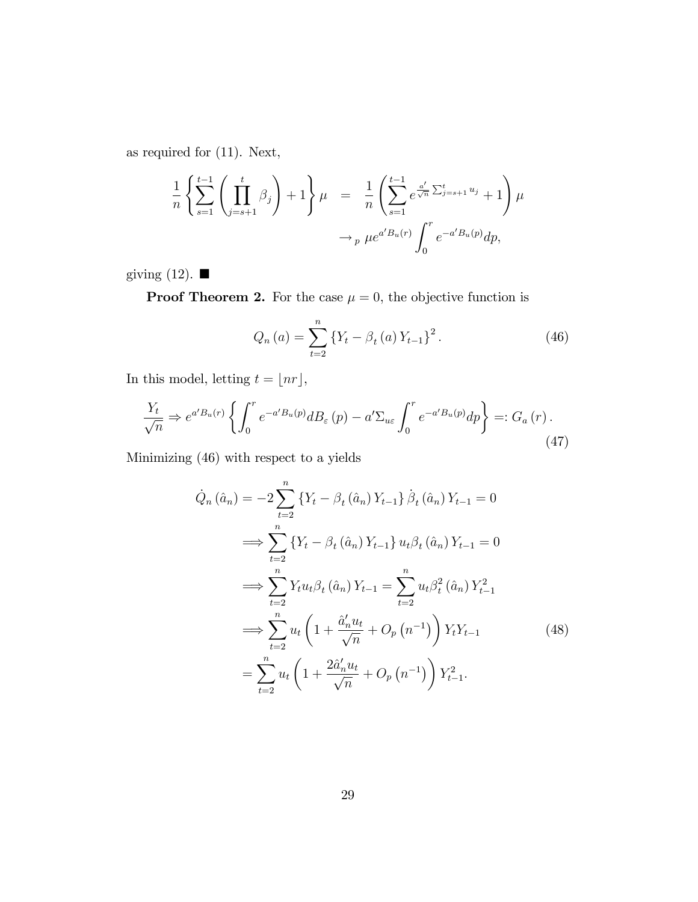as required for (11). Next,

$$
\frac{1}{n} \left\{ \sum_{s=1}^{t-1} \left( \prod_{j=s+1}^{t} \beta_j \right) + 1 \right\} \mu = \frac{1}{n} \left( \sum_{s=1}^{t-1} e^{\frac{a'}{\sqrt{n}} \sum_{j=s+1}^{t} u_j} + 1 \right) \mu
$$
  

$$
\to_{p} \mu e^{a' B_u(r)} \int_0^r e^{-a' B_u(p)} dp,
$$

giving (12).  $\blacksquare$ 

**Proof Theorem 2.** For the case  $\mu = 0$ , the objective function is

$$
Q_n(a) = \sum_{t=2}^{n} \left\{ Y_t - \beta_t(a) Y_{t-1} \right\}^2.
$$
 (46)

In this model, letting  $t = \lfloor nr \rfloor,$ 

$$
\frac{Y_t}{\sqrt{n}} \Rightarrow e^{a'B_u(r)} \left\{ \int_0^r e^{-a'B_u(p)} dB_\varepsilon(p) - a' \Sigma_{u\varepsilon} \int_0^r e^{-a'B_u(p)} dp \right\} =: G_a(r).
$$
\n(47)

Minimizing (46) with respect to a yields

$$
\dot{Q}_{n}(\hat{a}_{n}) = -2 \sum_{t=2}^{n} \left\{ Y_{t} - \beta_{t}(\hat{a}_{n}) Y_{t-1} \right\} \dot{\beta}_{t}(\hat{a}_{n}) Y_{t-1} = 0
$$
\n
$$
\implies \sum_{t=2}^{n} \left\{ Y_{t} - \beta_{t}(\hat{a}_{n}) Y_{t-1} \right\} u_{t} \beta_{t}(\hat{a}_{n}) Y_{t-1} = 0
$$
\n
$$
\implies \sum_{t=2}^{n} Y_{t} u_{t} \beta_{t}(\hat{a}_{n}) Y_{t-1} = \sum_{t=2}^{n} u_{t} \beta_{t}^{2}(\hat{a}_{n}) Y_{t-1}^{2}
$$
\n
$$
\implies \sum_{t=2}^{n} u_{t} \left( 1 + \frac{\hat{a}_{n}^{\prime} u_{t}}{\sqrt{n}} + O_{p} (n^{-1}) \right) Y_{t} Y_{t-1} \qquad (48)
$$
\n
$$
= \sum_{t=2}^{n} u_{t} \left( 1 + \frac{2\hat{a}_{n}^{\prime} u_{t}}{\sqrt{n}} + O_{p} (n^{-1}) \right) Y_{t-1}^{2}.
$$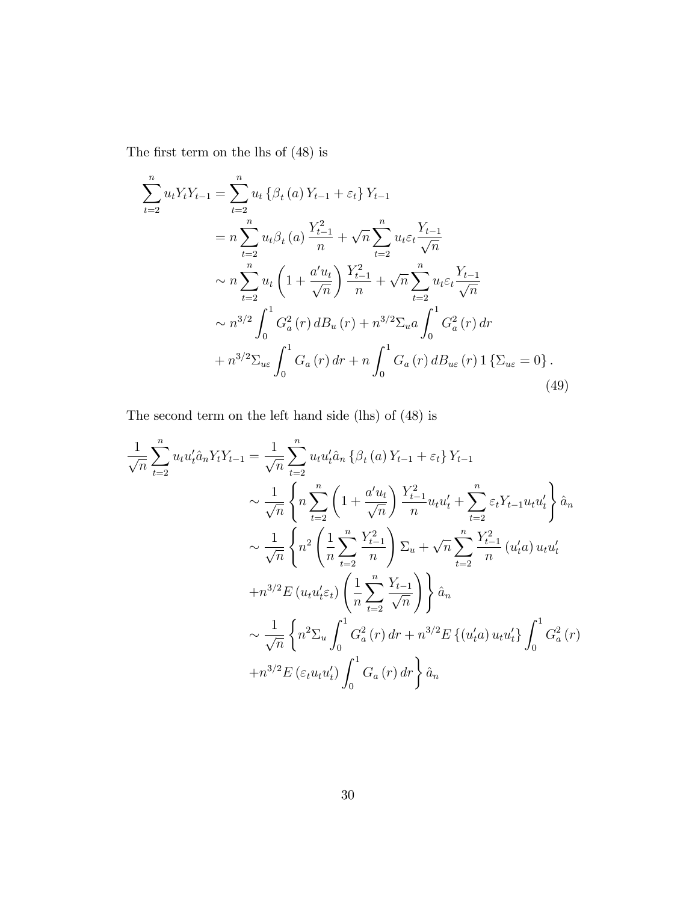The first term on the lhs of  $(48)$  is

$$
\sum_{t=2}^{n} u_t Y_t Y_{t-1} = \sum_{t=2}^{n} u_t \left\{ \beta_t (a) Y_{t-1} + \varepsilon_t \right\} Y_{t-1}
$$
\n
$$
= n \sum_{t=2}^{n} u_t \beta_t (a) \frac{Y_{t-1}^2}{n} + \sqrt{n} \sum_{t=2}^{n} u_t \varepsilon_t \frac{Y_{t-1}}{\sqrt{n}}
$$
\n
$$
\sim n \sum_{t=2}^{n} u_t \left( 1 + \frac{a'u_t}{\sqrt{n}} \right) \frac{Y_{t-1}^2}{n} + \sqrt{n} \sum_{t=2}^{n} u_t \varepsilon_t \frac{Y_{t-1}}{\sqrt{n}}
$$
\n
$$
\sim n^{3/2} \int_0^1 G_a^2(r) \, dB_u(r) + n^{3/2} \Sigma_u a \int_0^1 G_a^2(r) \, dr
$$
\n
$$
+ n^{3/2} \Sigma_{u\varepsilon} \int_0^1 G_a(r) \, dr + n \int_0^1 G_a(r) \, dB_{u\varepsilon}(r) \, 1 \left\{ \Sigma_{u\varepsilon} = 0 \right\}.
$$
\n(49)

The second term on the left hand side (lhs) of (48) is

$$
\frac{1}{\sqrt{n}} \sum_{t=2}^{n} u_t u'_t \hat{a}_n Y_t Y_{t-1} = \frac{1}{\sqrt{n}} \sum_{t=2}^{n} u_t u'_t \hat{a}_n \left\{ \beta_t (a) Y_{t-1} + \varepsilon_t \right\} Y_{t-1}
$$
\n
$$
\sim \frac{1}{\sqrt{n}} \left\{ n \sum_{t=2}^{n} \left( 1 + \frac{a' u_t}{\sqrt{n}} \right) \frac{Y_{t-1}^2}{n} u_t u'_t + \sum_{t=2}^{n} \varepsilon_t Y_{t-1} u_t u'_t \right\} \hat{a}_n
$$
\n
$$
\sim \frac{1}{\sqrt{n}} \left\{ n^2 \left( \frac{1}{n} \sum_{t=2}^{n} \frac{Y_{t-1}^2}{n} \right) \Sigma_u + \sqrt{n} \sum_{t=2}^{n} \frac{Y_{t-1}^2}{n} (u'_t a) u_t u'_t + n^{3/2} E(u_t u'_t \varepsilon_t) \left( \frac{1}{n} \sum_{t=2}^{n} \frac{Y_{t-1}}{\sqrt{n}} \right) \right\} \hat{a}_n
$$
\n
$$
\sim \frac{1}{\sqrt{n}} \left\{ n^2 \Sigma_u \int_0^1 G_a^2(r) dr + n^{3/2} E\left\{ (u'_t a) u_t u'_t \right\} \int_0^1 G_a^2(r) + n^{3/2} E\left\{ \varepsilon_t u_t u'_t \right\} \int_0^1 G_a^2(r) dr \right\} \hat{a}_n
$$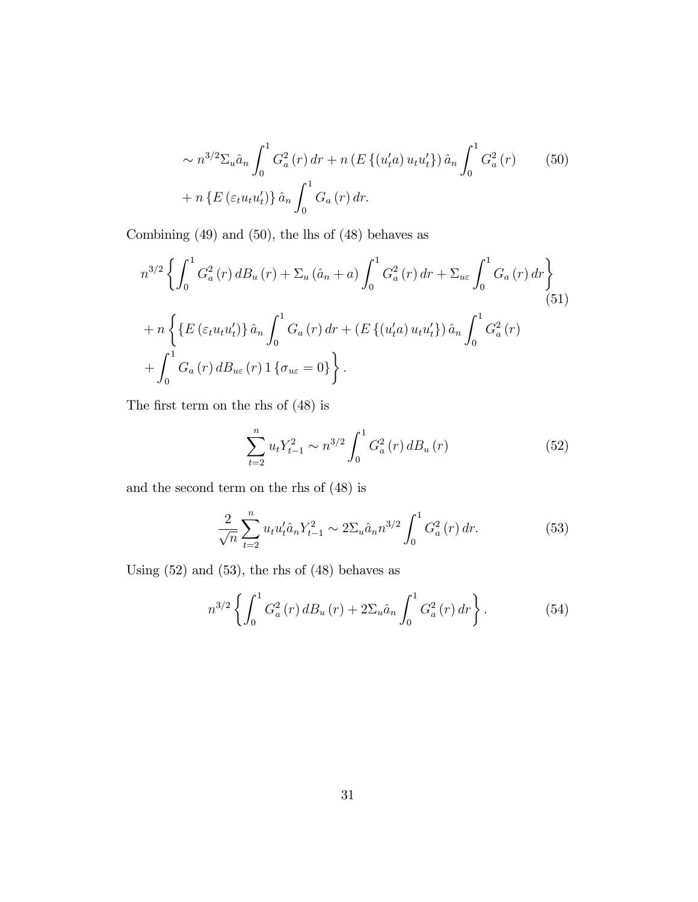$$
\sim n^{3/2} \Sigma_u \hat{a}_n \int_0^1 G_a^2(r) dr + n \left( E \left\{ (u_t' a) u_t u_t' \right\} \right) \hat{a}_n \int_0^1 G_a^2(r) \qquad (50)
$$

$$
+ n \left\{ E \left( \varepsilon_t u_t u_t' \right) \right\} \hat{a}_n \int_0^1 G_a(r) dr.
$$

Combining (49) and (50), the lhs of (48) behaves as

$$
n^{3/2} \left\{ \int_0^1 G_a^2(r) d B_u(r) + \Sigma_u (\hat{a}_n + a) \int_0^1 G_a^2(r) dr + \Sigma_{u\varepsilon} \int_0^1 G_a(r) dr \right\}
$$
  
+ 
$$
n \left\{ \left\{ E \left( \varepsilon_t u_t u_t' \right) \right\} \hat{a}_n \int_0^1 G_a(r) dr + \left( E \left\{ (u_t' a) u_t u_t' \right\} \right) \hat{a}_n \int_0^1 G_a^2(r) + \int_0^1 G_a(r) d B_{u\varepsilon}(r) 1 \left\{ \sigma_{u\varepsilon} = 0 \right\} \right\}.
$$
 (51)

The first term on the rhs of  $(48)$  is

$$
\sum_{t=2}^{n} u_t Y_{t-1}^2 \sim n^{3/2} \int_0^1 G_a^2(r) \, dB_u(r) \tag{52}
$$

and the second term on the rhs of (48) is

$$
\frac{2}{\sqrt{n}} \sum_{t=2}^{n} u_t u_t' \hat{a}_n Y_{t-1}^2 \sim 2 \Sigma_u \hat{a}_n n^{3/2} \int_0^1 G_a^2(r) dr.
$$
 (53)

Using  $(52)$  and  $(53)$ , the rhs of  $(48)$  behaves as

$$
n^{3/2} \left\{ \int_0^1 G_a^2(r) \, dB_u(r) + 2\Sigma_u \hat{a}_n \int_0^1 G_a^2(r) \, dr \right\}.
$$
 (54)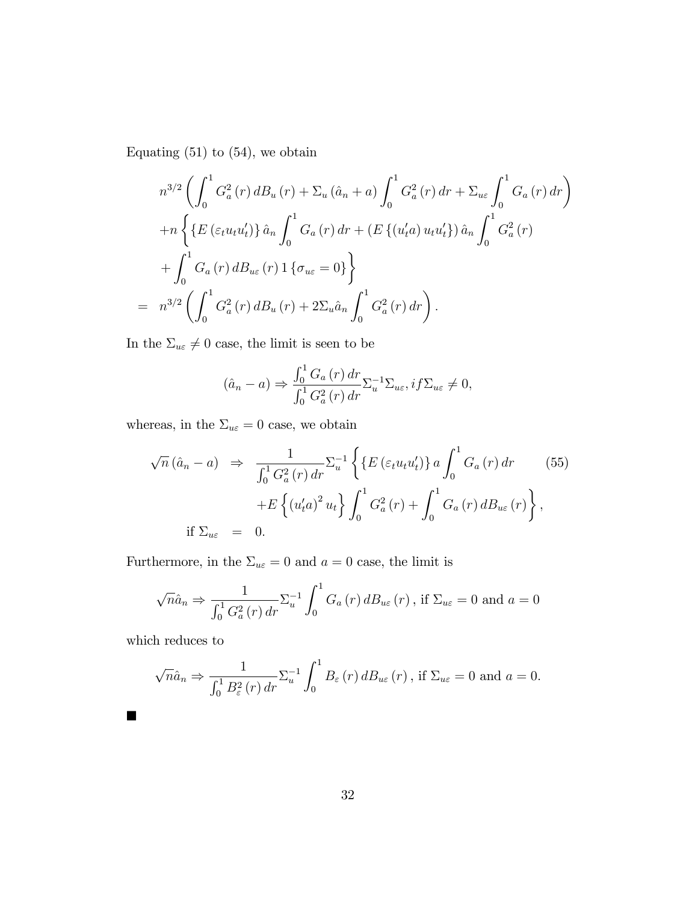Equating  $(51)$  to  $(54)$ , we obtain

$$
n^{3/2} \left( \int_0^1 G_a^2(r) d B_u(r) + \Sigma_u (\hat{a}_n + a) \int_0^1 G_a^2(r) dr + \Sigma_{u\varepsilon} \int_0^1 G_a(r) dr \right)
$$
  
+
$$
n \left\{ \left\{ E \left( \varepsilon_t u_t u_t' \right) \right\} \hat{a}_n \int_0^1 G_a(r) dr + \left( E \left\{ (u_t' a) u_t u_t' \right\} \right) \hat{a}_n \int_0^1 G_a^2(r) \right.
$$
  
+
$$
\int_0^1 G_a(r) d B_{u\varepsilon}(r) \left\{ \sigma_{u\varepsilon} = 0 \right\} \right\}
$$
  
= 
$$
n^{3/2} \left( \int_0^1 G_a^2(r) d B_u(r) + 2 \Sigma_u \hat{a}_n \int_0^1 G_a^2(r) dr \right).
$$

In the  $\Sigma_{u\varepsilon}\neq 0$  case, the limit is seen to be

$$
(\hat{a}_n - a) \Rightarrow \frac{\int_0^1 G_a(r) dr}{\int_0^1 G_a^2(r) dr} \Sigma_u^{-1} \Sigma_{u\varepsilon}, if \Sigma_{u\varepsilon} \neq 0,
$$

whereas, in the  $\Sigma_{u\varepsilon} = 0$  case, we obtain

$$
\sqrt{n} (\hat{a}_n - a) \Rightarrow \frac{1}{\int_0^1 G_a^2(r) dr} \sum_{u}^{-1} \left\{ \left\{ E \left( \varepsilon_t u_t u_t' \right) \right\} a \int_0^1 G_a(r) dr \right. (55)
$$

$$
+ E \left\{ \left( u_t' a \right)^2 u_t \right\} \int_0^1 G_a^2(r) + \int_0^1 G_a(r) dB_{u\varepsilon}(r) \right\},
$$
if  $\Sigma_{u\varepsilon} = 0$ .

Furthermore, in the  $\Sigma_{u\varepsilon} = 0$  and  $a = 0$  case, the limit is

$$
\sqrt{n}\hat{a}_n \Rightarrow \frac{1}{\int_0^1 G_a^2(r) dr} \Sigma_u^{-1} \int_0^1 G_a(r) dB_{u\varepsilon}(r) , \text{ if } \Sigma_{u\varepsilon} = 0 \text{ and } a = 0
$$

which reduces to

$$
\sqrt{n}\hat{a}_n \Rightarrow \frac{1}{\int_0^1 B_{\varepsilon}^2(r) dr} \Sigma_u^{-1} \int_0^1 B_{\varepsilon}(r) dB_{u\varepsilon}(r) , \text{ if } \Sigma_{u\varepsilon} = 0 \text{ and } a = 0.
$$

32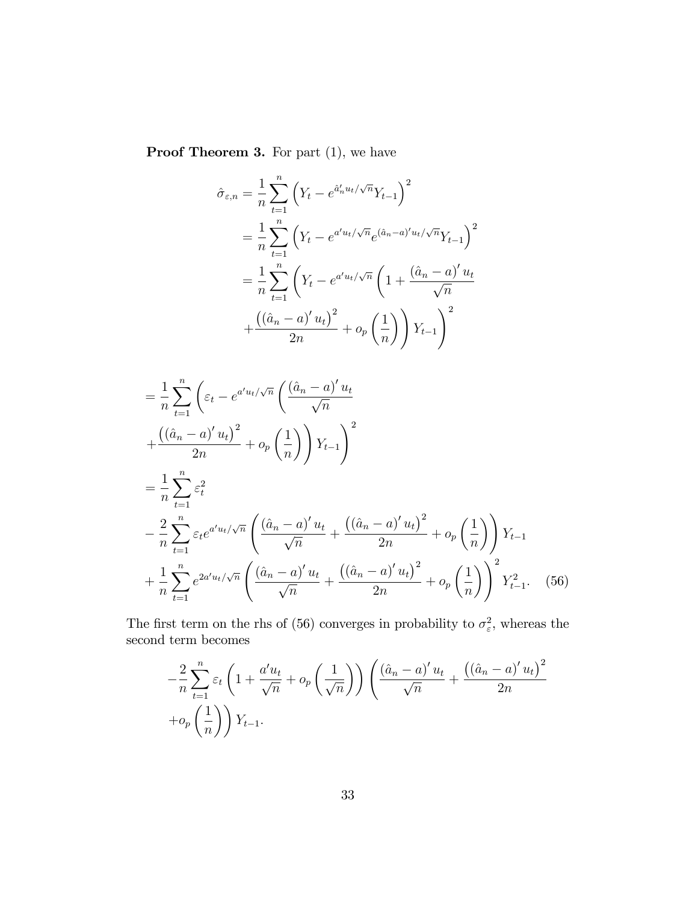Proof Theorem 3. For part  $(1)$ , we have

$$
\hat{\sigma}_{\varepsilon,n} = \frac{1}{n} \sum_{t=1}^{n} \left( Y_t - e^{\hat{a}'_n u_t / \sqrt{n}} Y_{t-1} \right)^2
$$
  
\n
$$
= \frac{1}{n} \sum_{t=1}^{n} \left( Y_t - e^{a' u_t / \sqrt{n}} e^{(\hat{a}_n - a)' u_t / \sqrt{n}} Y_{t-1} \right)^2
$$
  
\n
$$
= \frac{1}{n} \sum_{t=1}^{n} \left( Y_t - e^{a' u_t / \sqrt{n}} \left( 1 + \frac{(\hat{a}_n - a)' u_t}{\sqrt{n}} \right) + \frac{((\hat{a}_n - a)' u_t)^2}{2n} + o_p \left( \frac{1}{n} \right) \right) Y_{t-1} \right)^2
$$

$$
= \frac{1}{n} \sum_{t=1}^{n} \left( \varepsilon_{t} - e^{a' u_{t}/\sqrt{n}} \left( \frac{(\hat{a}_{n} - a)' u_{t}}{\sqrt{n}} \right) \right. \\
\left. + \frac{((\hat{a}_{n} - a)' u_{t})^{2}}{2n} + o_{p} \left( \frac{1}{n} \right) \right) Y_{t-1} \right)^{2} \\
= \frac{1}{n} \sum_{t=1}^{n} \varepsilon_{t}^{2} \\
- \frac{2}{n} \sum_{t=1}^{n} \varepsilon_{t} e^{a' u_{t}/\sqrt{n}} \left( \frac{(\hat{a}_{n} - a)' u_{t}}{\sqrt{n}} + \frac{((\hat{a}_{n} - a)' u_{t})^{2}}{2n} + o_{p} \left( \frac{1}{n} \right) \right) Y_{t-1} \\
+ \frac{1}{n} \sum_{t=1}^{n} e^{2a' u_{t}/\sqrt{n}} \left( \frac{(\hat{a}_{n} - a)' u_{t}}{\sqrt{n}} + \frac{((\hat{a}_{n} - a)' u_{t})^{2}}{2n} + o_{p} \left( \frac{1}{n} \right) \right)^{2} Y_{t-1}^{2}.\n\tag{56}
$$

The first term on the rhs of (56) converges in probability to  $\sigma_{\varepsilon}^2$ , whereas the second term becomes

$$
-\frac{2}{n}\sum_{t=1}^{n}\varepsilon_{t}\left(1+\frac{a'u_{t}}{\sqrt{n}}+o_{p}\left(\frac{1}{\sqrt{n}}\right)\right)\left(\frac{(\hat{a}_{n}-a)'u_{t}}{\sqrt{n}}+\frac{((\hat{a}_{n}-a)'u_{t})^{2}}{2n}+\overline{o_{p}\left(\frac{1}{n}\right)}\right)Y_{t-1}.
$$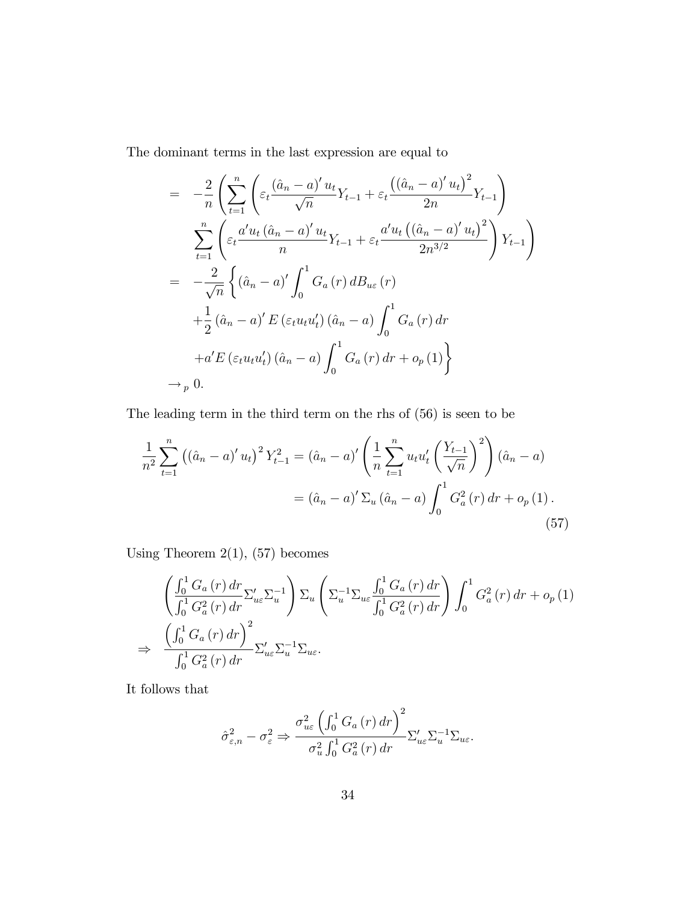The dominant terms in the last expression are equal to

$$
= -\frac{2}{n} \left( \sum_{t=1}^{n} \left( \varepsilon_t \frac{(\hat{a}_n - a)' u_t}{\sqrt{n}} Y_{t-1} + \varepsilon_t \frac{((\hat{a}_n - a)' u_t)^2}{2n} Y_{t-1} \right) \right)
$$
  

$$
= \sum_{t=1}^{n} \left( \varepsilon_t \frac{a' u_t (\hat{a}_n - a)' u_t}{n} Y_{t-1} + \varepsilon_t \frac{a' u_t ((\hat{a}_n - a)' u_t)^2}{2n^{3/2}} \right) Y_{t-1} \right)
$$
  

$$
= -\frac{2}{\sqrt{n}} \left\{ (\hat{a}_n - a)' \int_0^1 G_a(r) d B_{u\varepsilon}(r) \right.
$$
  

$$
+ \frac{1}{2} (\hat{a}_n - a)' E(\varepsilon_t u_t u_t') (\hat{a}_n - a) \int_0^1 G_a(r) dr
$$
  

$$
+ a' E(\varepsilon_t u_t u_t') (\hat{a}_n - a) \int_0^1 G_a(r) dr + o_p(1) \right\}
$$
  

$$
\to_p 0.
$$

The leading term in the third term on the rhs of (56) is seen to be

$$
\frac{1}{n^2} \sum_{t=1}^n ((\hat{a}_n - a)' u_t)^2 Y_{t-1}^2 = (\hat{a}_n - a)' \left( \frac{1}{n} \sum_{t=1}^n u_t u_t' \left( \frac{Y_{t-1}}{\sqrt{n}} \right)^2 \right) (\hat{a}_n - a)
$$

$$
= (\hat{a}_n - a)' \sum_u (\hat{a}_n - a) \int_0^1 G_a^2(r) dr + o_p(1).
$$
(57)

Using Theorem  $2(1)$ ,  $(57)$  becomes

$$
\begin{split}\n&\left(\frac{\int_{0}^{1} G_{a}(r) dr}{\int_{0}^{1} G_{a}^{2}(r) dr} \Sigma_{ue}^{\prime} \Sigma_{u}^{-1}\right) \Sigma_{u}\left(\Sigma_{u}^{-1} \Sigma_{ue} \frac{\int_{0}^{1} G_{a}(r) dr}{\int_{0}^{1} G_{a}^{2}(r) dr}\right) \int_{0}^{1} G_{a}^{2}(r) dr + o_{p}(1) \\
&\Rightarrow \frac{\left(\int_{0}^{1} G_{a}(r) dr\right)^{2}}{\int_{0}^{1} G_{a}^{2}(r) dr} \Sigma_{ue}^{\prime} \Sigma_{u}^{-1} \Sigma_{ue}.\n\end{split}
$$

It follows that

$$
\hat{\sigma}_{\varepsilon,n}^{2} - \sigma_{\varepsilon}^{2} \Rightarrow \frac{\sigma_{u\varepsilon}^{2} \left( \int_{0}^{1} G_{a} \left( r \right) dr \right)^{2}}{\sigma_{u}^{2} \int_{0}^{1} G_{a}^{2} \left( r \right) dr} \Sigma_{u\varepsilon}' \Sigma_{u}^{-1} \Sigma_{u\varepsilon}.
$$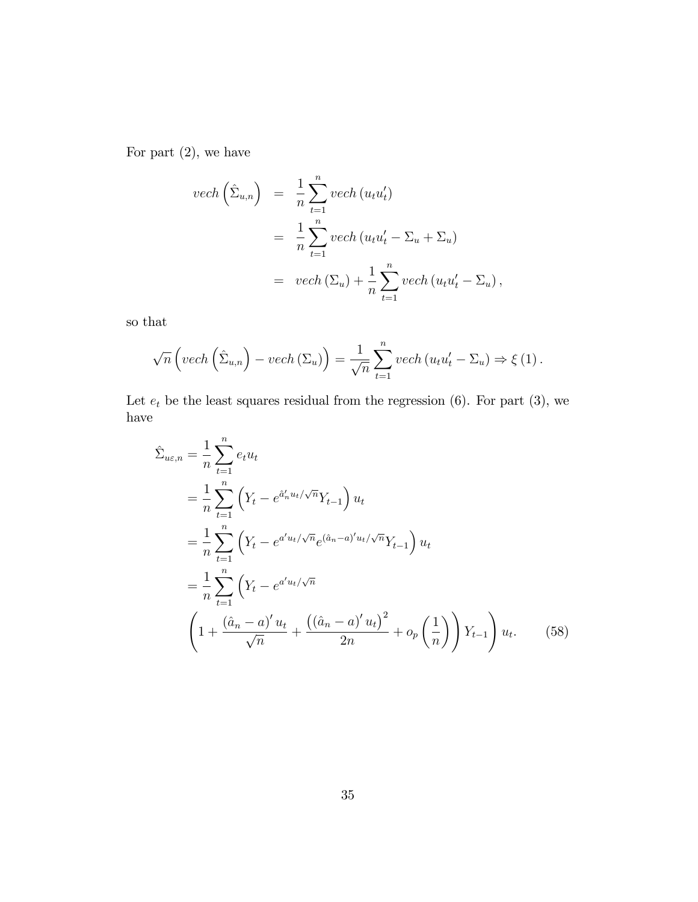For part  $(2)$ , we have

$$
vech\left(\hat{\Sigma}_{u,n}\right) = \frac{1}{n} \sum_{t=1}^{n} vech\left(u_t u_t'\right)
$$
  
= 
$$
\frac{1}{n} \sum_{t=1}^{n} vech\left(u_t u_t' - \Sigma_u + \Sigma_u\right)
$$
  
= 
$$
vech\left(\Sigma_u\right) + \frac{1}{n} \sum_{t=1}^{n} vech\left(u_t u_t' - \Sigma_u\right),
$$

so that

$$
\sqrt{n}\left(\text{vech}\left(\hat{\Sigma}_{u,n}\right)-\text{vech}\left(\Sigma_u\right)\right)=\frac{1}{\sqrt{n}}\sum_{t=1}^n\text{vech}\left(u_tu_t'-\Sigma_u\right)\Rightarrow\xi\left(1\right).
$$

Let  $e_t$  be the least squares residual from the regression (6). For part (3), we have

$$
\hat{\Sigma}_{ue,n} = \frac{1}{n} \sum_{t=1}^{n} e_t u_t
$$
\n
$$
= \frac{1}{n} \sum_{t=1}^{n} \left( Y_t - e^{\hat{a}'_n u_t / \sqrt{n}} Y_{t-1} \right) u_t
$$
\n
$$
= \frac{1}{n} \sum_{t=1}^{n} \left( Y_t - e^{a' u_t / \sqrt{n}} e^{(\hat{a}_n - a)' u_t / \sqrt{n}} Y_{t-1} \right) u_t
$$
\n
$$
= \frac{1}{n} \sum_{t=1}^{n} \left( Y_t - e^{a' u_t / \sqrt{n}} \left( \frac{(\hat{a}_n - a)' u_t}{\sqrt{n}} \right)^2 + o_p \left( \frac{1}{n} \right) \right) Y_{t-1} u_t. \tag{58}
$$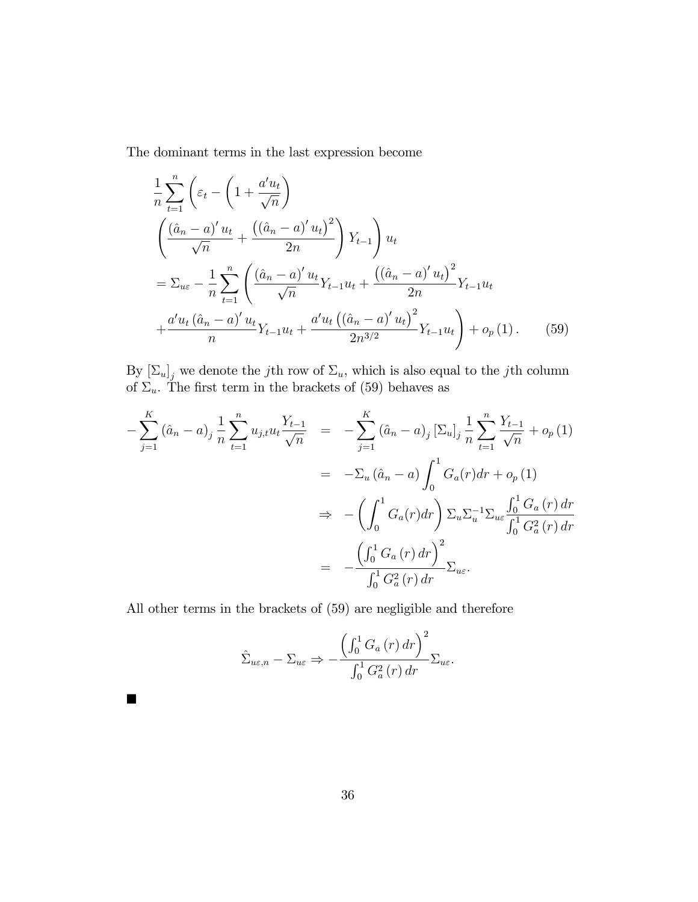The dominant terms in the last expression become

$$
\frac{1}{n} \sum_{t=1}^{n} \left( \varepsilon_{t} - \left( 1 + \frac{a' u_{t}}{\sqrt{n}} \right) \left( \frac{(\hat{a}_{n} - a)' u_{t}}{\sqrt{n}} + \frac{((\hat{a}_{n} - a)' u_{t})^{2}}{2n} \right) Y_{t-1} \right) u_{t}
$$
\n
$$
= \Sigma_{ue} - \frac{1}{n} \sum_{t=1}^{n} \left( \frac{(\hat{a}_{n} - a)' u_{t}}{\sqrt{n}} Y_{t-1} u_{t} + \frac{((\hat{a}_{n} - a)' u_{t})^{2}}{2n} Y_{t-1} u_{t} \right)
$$
\n
$$
+ \frac{a' u_{t} (\hat{a}_{n} - a)' u_{t}}{n} Y_{t-1} u_{t} + \frac{a' u_{t} ((\hat{a}_{n} - a)' u_{t})^{2}}{2n^{3/2}} Y_{t-1} u_{t} \right) + o_{p}(1). \tag{59}
$$

By  $[\Sigma_u]_j$  we denote the jth row of  $\Sigma_u$ , which is also equal to the jth column of  $\Sigma_u$ . The first term in the brackets of (59) behaves as

$$
-\sum_{j=1}^{K} (\hat{a}_{n} - a)_{j} \frac{1}{n} \sum_{t=1}^{n} u_{j,t} u_{t} \frac{Y_{t-1}}{\sqrt{n}} = -\sum_{j=1}^{K} (\hat{a}_{n} - a)_{j} \left[\Sigma_{u}\right]_{j} \frac{1}{n} \sum_{t=1}^{n} \frac{Y_{t-1}}{\sqrt{n}} + o_{p}(1)
$$
  

$$
= -\Sigma_{u} (\hat{a}_{n} - a) \int_{0}^{1} G_{a}(r) dr + o_{p}(1)
$$
  

$$
\Rightarrow -\left(\int_{0}^{1} G_{a}(r) dr\right) \Sigma_{u} \Sigma_{u}^{-1} \Sigma_{u\varepsilon} \frac{\int_{0}^{1} G_{a}(r) dr}{\int_{0}^{1} G_{a}^{2}(r) dr}
$$
  

$$
= -\frac{\left(\int_{0}^{1} G_{a}(r) dr\right)^{2}}{\int_{0}^{1} G_{a}^{2}(r) dr} \Sigma_{u\varepsilon}.
$$

All other terms in the brackets of (59) are negligible and therefore

 $\blacksquare$ 

$$
\hat{\Sigma}_{u\varepsilon,n} - \Sigma_{u\varepsilon} \Rightarrow -\frac{\left(\int_0^1 G_a(r) dr\right)^2}{\int_0^1 G_a^2(r) dr} \Sigma_{u\varepsilon}.
$$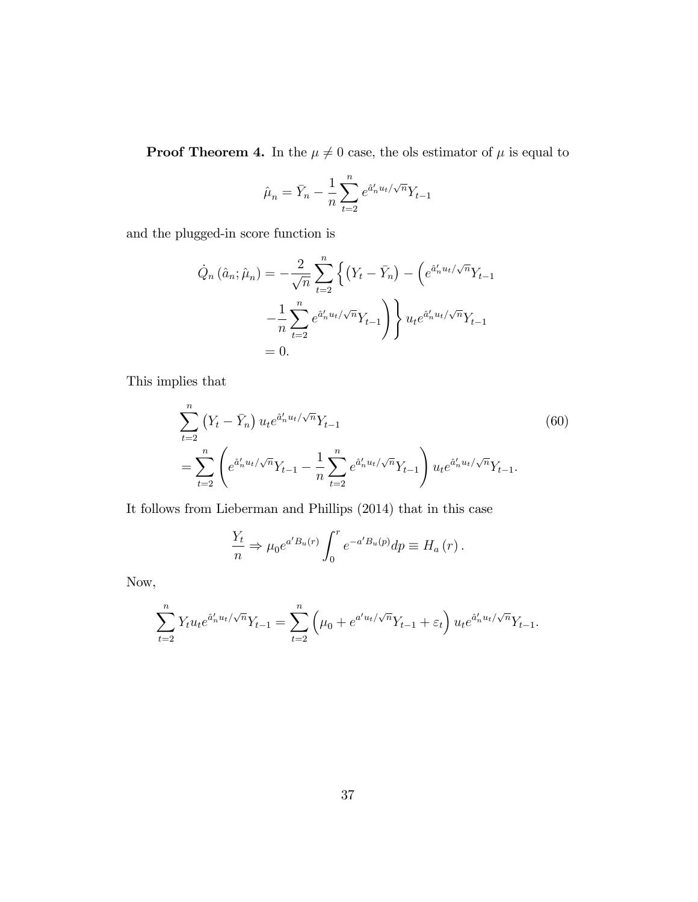**Proof Theorem 4.** In the  $\mu \neq 0$  case, the ols estimator of  $\mu$  is equal to

$$
\hat{\mu}_n = \bar{Y}_n - \frac{1}{n} \sum_{t=2}^n e^{\hat{a}'_n u_t / \sqrt{n}} Y_{t-1}
$$

and the plugged-in score function is

$$
\dot{Q}_n(\hat{a}_n; \hat{\mu}_n) = -\frac{2}{\sqrt{n}} \sum_{t=2}^n \left\{ (Y_t - \bar{Y}_n) - \left( e^{\hat{a}'_n u_t / \sqrt{n}} Y_{t-1} \right) - \frac{1}{n} \sum_{t=2}^n e^{\hat{a}'_n u_t / \sqrt{n}} Y_{t-1} \right\} u_t e^{\hat{a}'_n u_t / \sqrt{n}} Y_{t-1}
$$

$$
= 0.
$$

This implies that

$$
\sum_{t=2}^{n} (Y_t - \bar{Y}_n) u_t e^{\hat{a}'_n u_t / \sqrt{n}} Y_{t-1}
$$
\n
$$
= \sum_{t=2}^{n} \left( e^{\hat{a}'_n u_t / \sqrt{n}} Y_{t-1} - \frac{1}{n} \sum_{t=2}^{n} e^{\hat{a}'_n u_t / \sqrt{n}} Y_{t-1} \right) u_t e^{\hat{a}'_n u_t / \sqrt{n}} Y_{t-1}.
$$
\n(60)

It follows from Lieberman and Phillips (2014) that in this case

$$
\frac{Y_t}{n} \Rightarrow \mu_0 e^{a'B_u(r)} \int_0^r e^{-a'B_u(p)} dp \equiv H_a(r) .
$$

Now,

$$
\sum_{t=2}^{n} Y_t u_t e^{\hat{a}'_n u_t / \sqrt{n}} Y_{t-1} = \sum_{t=2}^{n} \left( \mu_0 + e^{a' u_t / \sqrt{n}} Y_{t-1} + \varepsilon_t \right) u_t e^{\hat{a}'_n u_t / \sqrt{n}} Y_{t-1}.
$$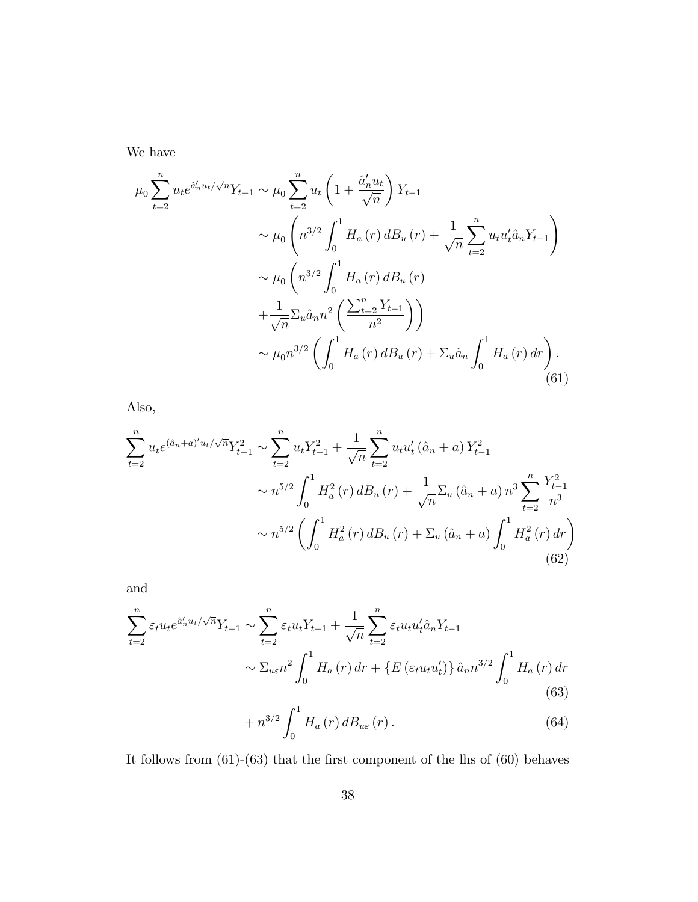We have

$$
\mu_0 \sum_{t=2}^n u_t e^{\hat{a}'_n u_t / \sqrt{n}} Y_{t-1} \sim \mu_0 \sum_{t=2}^n u_t \left( 1 + \frac{\hat{a}'_n u_t}{\sqrt{n}} \right) Y_{t-1}
$$
  

$$
\sim \mu_0 \left( n^{3/2} \int_0^1 H_a(r) d B_u(r) + \frac{1}{\sqrt{n}} \sum_{t=2}^n u_t u'_t \hat{a}_n Y_{t-1} \right)
$$
  

$$
\sim \mu_0 \left( n^{3/2} \int_0^1 H_a(r) d B_u(r) + \frac{1}{\sqrt{n}} \sum_{u} \hat{a}_n n^2 \left( \frac{\sum_{t=2}^n Y_{t-1}}{n^2} \right) \right)
$$
  

$$
\sim \mu_0 n^{3/2} \left( \int_0^1 H_a(r) d B_u(r) + \sum_u \hat{a}_n \int_0^1 H_a(r) dr \right).
$$
(61)

Also,

$$
\sum_{t=2}^{n} u_t e^{(\hat{a}_n + a)' u_t / \sqrt{n}} Y_{t-1}^2 \sim \sum_{t=2}^{n} u_t Y_{t-1}^2 + \frac{1}{\sqrt{n}} \sum_{t=2}^{n} u_t u'_t (\hat{a}_n + a) Y_{t-1}^2
$$

$$
\sim n^{5/2} \int_0^1 H_a^2(r) dB_u(r) + \frac{1}{\sqrt{n}} \sum_u (\hat{a}_n + a) n^3 \sum_{t=2}^{n} \frac{Y_{t-1}^2}{n^3}
$$

$$
\sim n^{5/2} \left( \int_0^1 H_a^2(r) dB_u(r) + \sum_u (\hat{a}_n + a) \int_0^1 H_a^2(r) dr \right)
$$
(62)

and

$$
\sum_{t=2}^{n} \varepsilon_{t} u_{t} e^{\hat{a}_{n}^{\prime} u_{t}/\sqrt{n}} Y_{t-1} \sim \sum_{t=2}^{n} \varepsilon_{t} u_{t} Y_{t-1} + \frac{1}{\sqrt{n}} \sum_{t=2}^{n} \varepsilon_{t} u_{t} u_{t}^{\prime} \hat{a}_{n} Y_{t-1}
$$

$$
\sim \Sigma_{u \varepsilon} n^{2} \int_{0}^{1} H_{a}(r) dr + \left\{ E \left( \varepsilon_{t} u_{t} u_{t}^{\prime} \right) \right\} \hat{a}_{n} n^{3/2} \int_{0}^{1} H_{a}(r) dr
$$
(63)

$$
+ n^{3/2} \int_0^1 H_a(r) d B_{u\varepsilon}(r).
$$
 (64)

It follows from  $(61)-(63)$  that the first component of the lhs of  $(60)$  behaves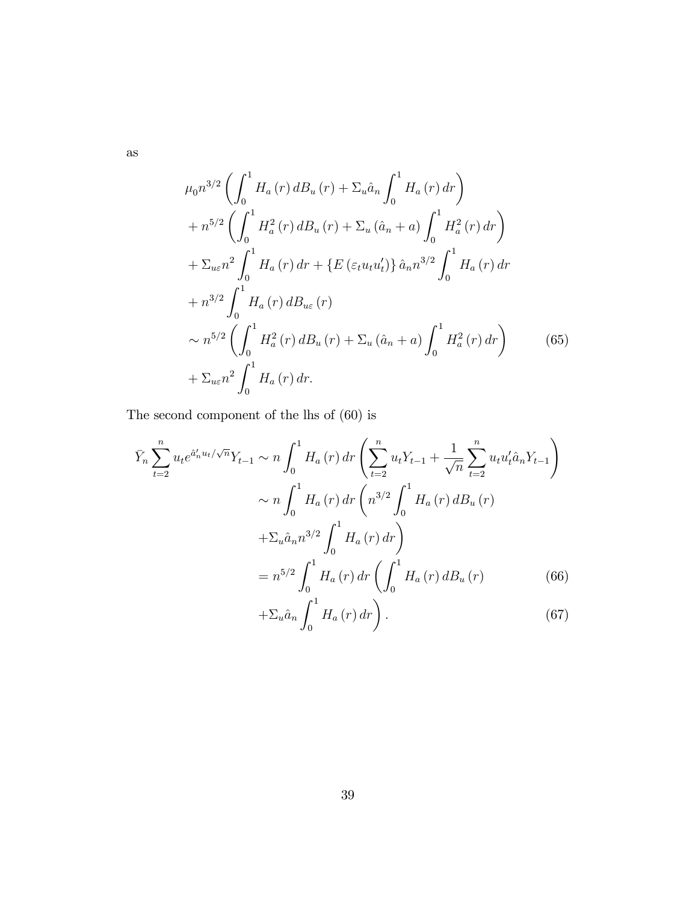as

$$
\mu_0 n^{3/2} \left( \int_0^1 H_a(r) \, dB_u(r) + \Sigma_u \hat{a}_n \int_0^1 H_a(r) \, dr \right) \n+ n^{5/2} \left( \int_0^1 H_a^2(r) \, dB_u(r) + \Sigma_u (\hat{a}_n + a) \int_0^1 H_a^2(r) \, dr \right) \n+ \Sigma_{u\varepsilon} n^2 \int_0^1 H_a(r) \, dr + \left\{ E \left( \varepsilon_t u_t u_t' \right) \right\} \hat{a}_n n^{3/2} \int_0^1 H_a(r) \, dr \n+ n^{3/2} \int_0^1 H_a(r) \, dB_{u\varepsilon}(r) \n\sim n^{5/2} \left( \int_0^1 H_a^2(r) \, dB_u(r) + \Sigma_u (\hat{a}_n + a) \int_0^1 H_a^2(r) \, dr \right) \n+ \Sigma_{u\varepsilon} n^2 \int_0^1 H_a(r) \, dr.
$$
\n(65)

The second component of the lhs of (60) is

$$
\bar{Y}_n \sum_{t=2}^n u_t e^{\hat{a}'_n u_t / \sqrt{n}} Y_{t-1} \sim n \int_0^1 H_a(r) dr \left( \sum_{t=2}^n u_t Y_{t-1} + \frac{1}{\sqrt{n}} \sum_{t=2}^n u_t u'_t \hat{a}_n Y_{t-1} \right)
$$
\n
$$
\sim n \int_0^1 H_a(r) dr \left( n^{3/2} \int_0^1 H_a(r) dB_u(r) + \Sigma_u \hat{a}_n n^{3/2} \int_0^1 H_a(r) dr \right)
$$
\n
$$
= n^{5/2} \int_0^1 H_a(r) dr \left( \int_0^1 H_a(r) dB_u(r) + \Sigma_u \hat{a}_n \int_0^1 H_a(r) dr \right).
$$
\n(66)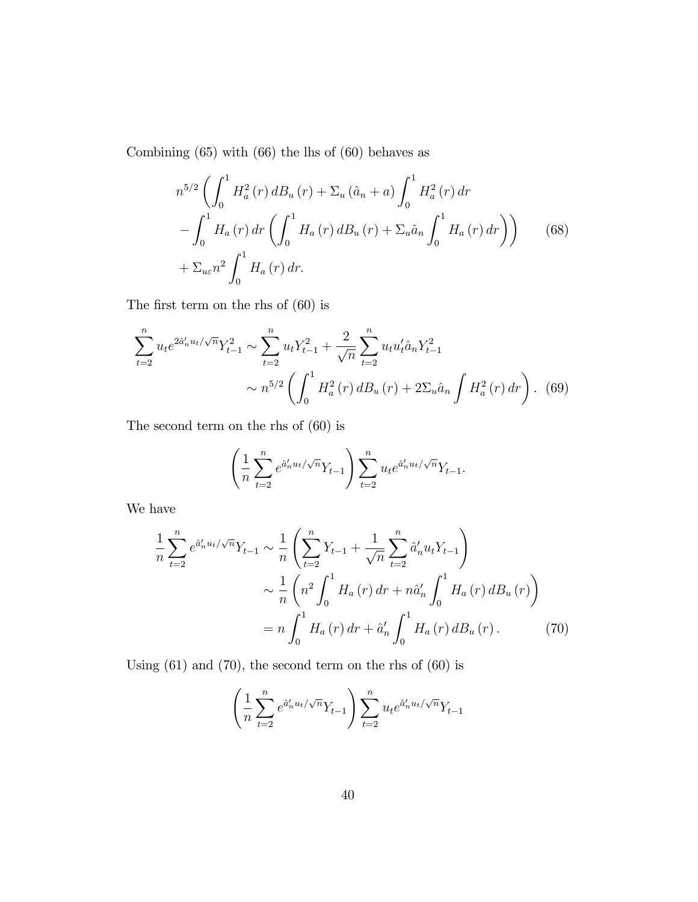Combining (65) with (66) the lhs of (60) behaves as

$$
n^{5/2} \left( \int_0^1 H_a^2(r) \, dB_u(r) + \Sigma_u (\hat{a}_n + a) \int_0^1 H_a^2(r) \, dr - \int_0^1 H_a(r) \, dr \left( \int_0^1 H_a(r) \, dB_u(r) + \Sigma_u \hat{a}_n \int_0^1 H_a(r) \, dr \right) \right) \tag{68}
$$

$$
+ \Sigma_{u \varepsilon} n^2 \int_0^1 H_a(r) \, dr.
$$

The first term on the rhs of  $(60)$  is

$$
\sum_{t=2}^{n} u_t e^{2\hat{a}'_n u_t/\sqrt{n}} Y_{t-1}^2 \sim \sum_{t=2}^{n} u_t Y_{t-1}^2 + \frac{2}{\sqrt{n}} \sum_{t=2}^{n} u_t u'_t \hat{a}_n Y_{t-1}^2
$$

$$
\sim n^{5/2} \left( \int_0^1 H_a^2(r) d_s(r) + 2\Sigma_u \hat{a}_n \int H_a^2(r) dr \right). \tag{69}
$$

The second term on the rhs of (60) is

$$
\left(\frac{1}{n}\sum_{t=2}^{n}e^{\hat{a}'_n u_t/\sqrt{n}}Y_{t-1}\right)\sum_{t=2}^{n}u_t e^{\hat{a}'_n u_t/\sqrt{n}}Y_{t-1}.
$$

We have

$$
\frac{1}{n} \sum_{t=2}^{n} e^{\hat{a}'_{n} u_{t}/\sqrt{n}} Y_{t-1} \sim \frac{1}{n} \left( \sum_{t=2}^{n} Y_{t-1} + \frac{1}{\sqrt{n}} \sum_{t=2}^{n} \hat{a}'_{n} u_{t} Y_{t-1} \right)
$$

$$
\sim \frac{1}{n} \left( n^{2} \int_{0}^{1} H_{a}(r) dr + n \hat{a}'_{n} \int_{0}^{1} H_{a}(r) dB_{u}(r) \right)
$$

$$
= n \int_{0}^{1} H_{a}(r) dr + \hat{a}'_{n} \int_{0}^{1} H_{a}(r) dB_{u}(r).
$$
(70)

Using (61) and (70), the second term on the rhs of (60) is

$$
\left(\frac{1}{n}\sum_{t=2}^{n}e^{\hat{a}'_n u_t/\sqrt{n}}Y_{t-1}\right)\sum_{t=2}^{n}u_t e^{\hat{a}'_n u_t/\sqrt{n}}Y_{t-1}
$$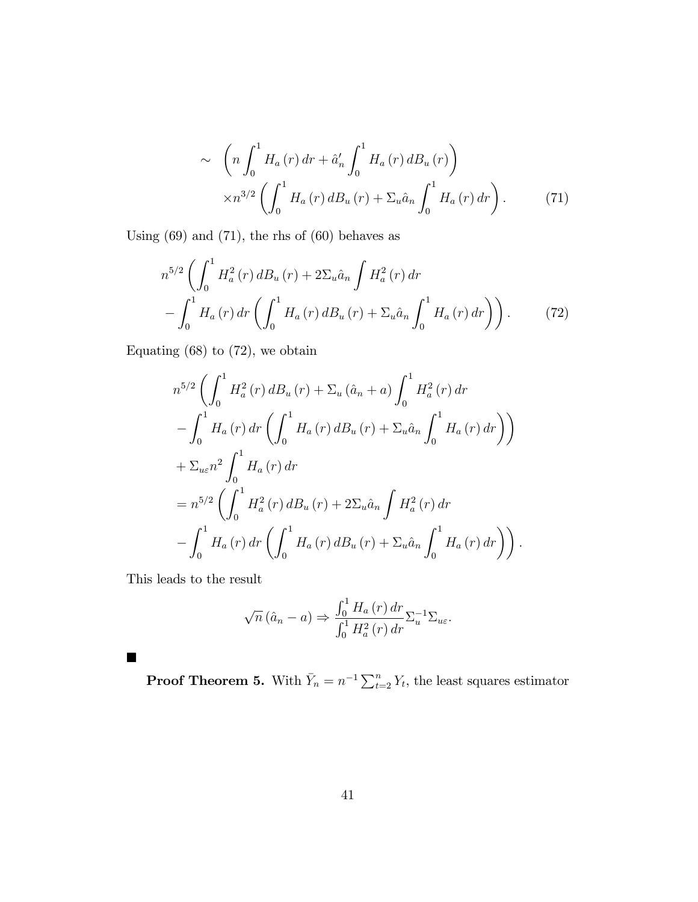$$
\sim \left( n \int_0^1 H_a(r) \, dr + \hat{a}'_n \int_0^1 H_a(r) \, dB_u(r) \right) \times n^{3/2} \left( \int_0^1 H_a(r) \, dB_u(r) + \Sigma_u \hat{a}_n \int_0^1 H_a(r) \, dr \right). \tag{71}
$$

Using  $(69)$  and  $(71)$ , the rhs of  $(60)$  behaves as

$$
n^{5/2} \left( \int_0^1 H_a^2(r) \, dB_u(r) + 2\Sigma_u \hat{a}_n \int H_a^2(r) \, dr - \int_0^1 H_a(r) \, dr \left( \int_0^1 H_a(r) \, dB_u(r) + \Sigma_u \hat{a}_n \int_0^1 H_a(r) \, dr \right) \right). \tag{72}
$$

Equating  $(68)$  to  $(72)$ , we obtain

$$
n^{5/2} \left( \int_0^1 H_a^2(r) \, dB_u(r) + \Sigma_u (\hat{a}_n + a) \int_0^1 H_a^2(r) \, dr - \int_0^1 H_a(r) \, dr \left( \int_0^1 H_a(r) \, dB_u(r) + \Sigma_u \hat{a}_n \int_0^1 H_a(r) \, dr \right) \right) + \Sigma_{ue} n^2 \int_0^1 H_a(r) \, dr = n^{5/2} \left( \int_0^1 H_a^2(r) \, dB_u(r) + 2\Sigma_u \hat{a}_n \int H_a^2(r) \, dr - \int_0^1 H_a(r) \, dr \left( \int_0^1 H_a(r) \, dB_u(r) + \Sigma_u \hat{a}_n \int_0^1 H_a(r) \, dr \right) \right).
$$

This leads to the result

 $\blacksquare$ 

$$
\sqrt{n} (\hat{a}_n - a) \Rightarrow \frac{\int_0^1 H_a(r) dr}{\int_0^1 H_a^2(r) dr} \Sigma_u^{-1} \Sigma_{u\varepsilon}.
$$

**Proof Theorem 5.** With  $\bar{Y}_n = n^{-1} \sum_{t=2}^n Y_t$ , the least squares estimator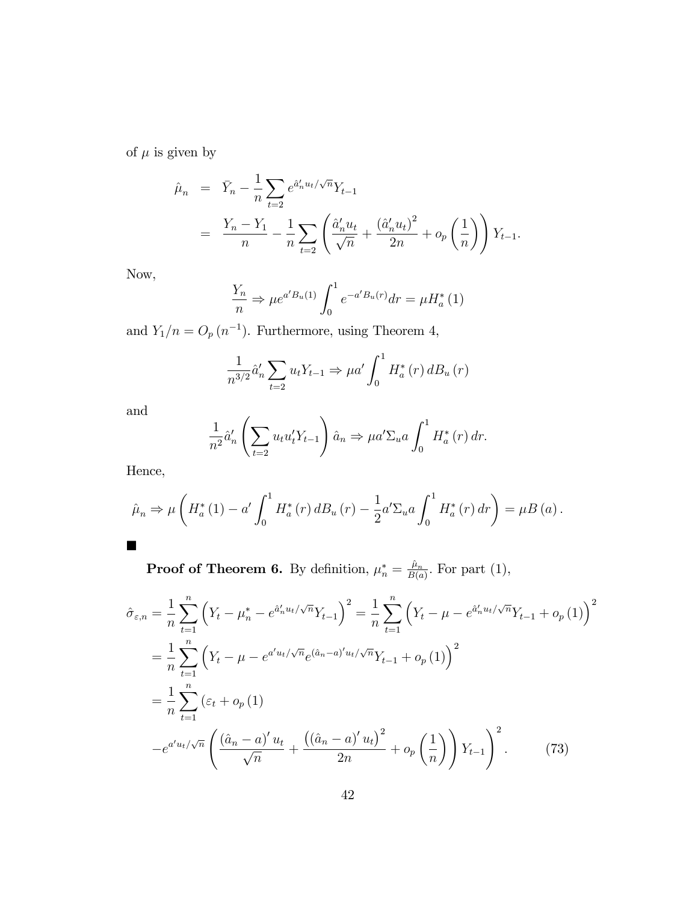of  $\mu$  is given by

$$
\hat{\mu}_n = \bar{Y}_n - \frac{1}{n} \sum_{t=2} e^{\hat{a}'_n u_t / \sqrt{n}} Y_{t-1}
$$
\n
$$
= \frac{Y_n - Y_1}{n} - \frac{1}{n} \sum_{t=2} \left( \frac{\hat{a}'_n u_t}{\sqrt{n}} + \frac{(\hat{a}'_n u_t)^2}{2n} + o_p\left(\frac{1}{n}\right) \right) Y_{t-1}.
$$

Now,

$$
\frac{Y_n}{n} \Rightarrow \mu e^{a'B_u(1)} \int_0^1 e^{-a'B_u(r)} dr = \mu H_a^*(1)
$$

and  $Y_1/n = O_p (n^{-1})$ . Furthermore, using Theorem 4,

$$
\frac{1}{n^{3/2}}\hat{a}'_n \sum_{t=2} u_t Y_{t-1} \Rightarrow \mu a' \int_0^1 H_a^*(r) dB_u(r)
$$

and

$$
\frac{1}{n^2}\hat{a}'_n \left( \sum_{t=2} u_t u'_t Y_{t-1} \right) \hat{a}_n \Rightarrow \mu a' \Sigma_u a \int_0^1 H_a^*(r) dr.
$$

Hence,

$$
\hat{\mu}_n \Rightarrow \mu \left( H_a^*(1) - a' \int_0^1 H_a^*(r) \, dB_u(r) - \frac{1}{2} a' \Sigma_u a \int_0^1 H_a^*(r) \, dr \right) = \mu B(a).
$$

**Proof of Theorem 6.** By definition,  $\mu_n^* = \frac{\hat{\mu}_n}{B(a)}$  $\frac{\mu_n}{B(a)}$ . For part (1),

$$
\hat{\sigma}_{\varepsilon,n} = \frac{1}{n} \sum_{t=1}^{n} \left( Y_t - \mu_n^* - e^{\hat{a}_n' u_t / \sqrt{n}} Y_{t-1} \right)^2 = \frac{1}{n} \sum_{t=1}^{n} \left( Y_t - \mu - e^{\hat{a}_n' u_t / \sqrt{n}} Y_{t-1} + o_p(1) \right)^2
$$

$$
= \frac{1}{n} \sum_{t=1}^{n} \left( Y_t - \mu - e^{\alpha' u_t / \sqrt{n}} e^{(\hat{a}_n - a)' u_t / \sqrt{n}} Y_{t-1} + o_p(1) \right)^2
$$

$$
= \frac{1}{n} \sum_{t=1}^{n} \left( \varepsilon_t + o_p(1) \right)
$$

$$
-e^{\alpha' u_t / \sqrt{n}} \left( \frac{(\hat{a}_n - a)' u_t}{\sqrt{n}} + \frac{((\hat{a}_n - a)' u_t)^2}{2n} + o_p\left(\frac{1}{n}\right) \right) Y_{t-1} \right)^2.
$$
(73)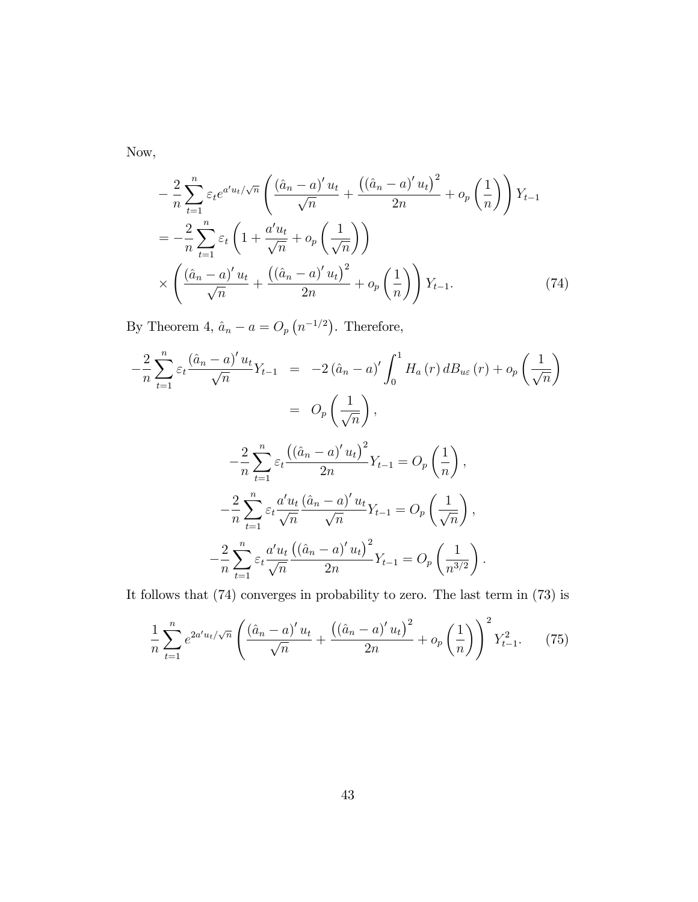Now,

$$
-\frac{2}{n}\sum_{t=1}^{n}\varepsilon_{t}e^{a'u_{t}/\sqrt{n}}\left(\frac{\left(\hat{a}_{n}-a\right)'u_{t}}{\sqrt{n}}+\frac{\left(\left(\hat{a}_{n}-a\right)'u_{t}\right)^{2}}{2n}+o_{p}\left(\frac{1}{n}\right)\right)Y_{t-1}
$$
\n
$$
=-\frac{2}{n}\sum_{t=1}^{n}\varepsilon_{t}\left(1+\frac{a'u_{t}}{\sqrt{n}}+o_{p}\left(\frac{1}{\sqrt{n}}\right)\right)
$$
\n
$$
\times\left(\frac{\left(\hat{a}_{n}-a\right)'u_{t}}{\sqrt{n}}+\frac{\left(\left(\hat{a}_{n}-a\right)'u_{t}\right)^{2}}{2n}+o_{p}\left(\frac{1}{n}\right)\right)Y_{t-1}.\tag{74}
$$

By Theorem 4,  $\hat{a}_n - a = O_p(n^{-1/2})$ . Therefore,

$$
-\frac{2}{n}\sum_{t=1}^{n}\varepsilon_{t}\frac{(\hat{a}_{n}-a)^{'}u_{t}}{\sqrt{n}}Y_{t-1} = -2(\hat{a}_{n}-a)^{'}\int_{0}^{1}H_{a}(r) dB_{u\varepsilon}(r) + o_{p}\left(\frac{1}{\sqrt{n}}\right)
$$
  

$$
= O_{p}\left(\frac{1}{\sqrt{n}}\right),
$$
  

$$
-\frac{2}{n}\sum_{t=1}^{n}\varepsilon_{t}\frac{((\hat{a}_{n}-a)^{'}u_{t})^{2}}{2n}Y_{t-1} = O_{p}\left(\frac{1}{n}\right),
$$
  

$$
-\frac{2}{n}\sum_{t=1}^{n}\varepsilon_{t}\frac{a'u_{t}}{\sqrt{n}}\frac{(\hat{a}_{n}-a)^{'}u_{t}}{\sqrt{n}}Y_{t-1} = O_{p}\left(\frac{1}{\sqrt{n}}\right),
$$
  

$$
-\frac{2}{n}\sum_{t=1}^{n}\varepsilon_{t}\frac{a'u_{t}}{\sqrt{n}}\frac{((\hat{a}_{n}-a)^{'}u_{t})^{2}}{2n}Y_{t-1} = O_{p}\left(\frac{1}{n^{3/2}}\right).
$$

It follows that (74) converges in probability to zero. The last term in (73) is

$$
\frac{1}{n}\sum_{t=1}^{n} e^{2a'u_t/\sqrt{n}} \left( \frac{(\hat{a}_n - a)'u_t}{\sqrt{n}} + \frac{((\hat{a}_n - a)'u_t)^2}{2n} + o_p\left(\frac{1}{n}\right) \right)^2 Y_{t-1}^2. \tag{75}
$$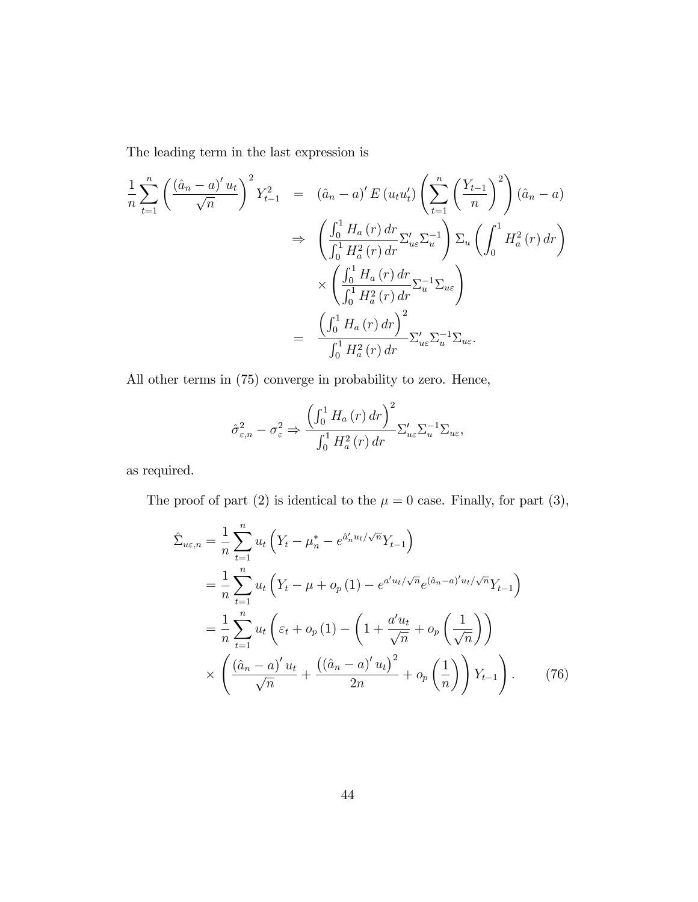The leading term in the last expression is

$$
\frac{1}{n} \sum_{t=1}^{n} \left( \frac{(\hat{a}_{n} - a)' u_{t}}{\sqrt{n}} \right)^{2} Y_{t-1}^{2} = (\hat{a}_{n} - a)' E (u_{t} u_{t}') \left( \sum_{t=1}^{n} \left( \frac{Y_{t-1}}{n} \right)^{2} \right) (\hat{a}_{n} - a)
$$
\n
$$
\Rightarrow \left( \frac{\int_{0}^{1} H_{a} (r) dr}{\int_{0}^{1} H_{a}^{2} (r) dr} \Sigma_{u \epsilon}' \Sigma_{u}^{-1} \right) \Sigma_{u} \left( \int_{0}^{1} H_{a}^{2} (r) dr \right)
$$
\n
$$
\times \left( \frac{\int_{0}^{1} H_{a} (r) dr}{\int_{0}^{1} H_{a}^{2} (r) dr} \Sigma_{u \epsilon}^{-1} \Sigma_{u \epsilon} \right)
$$
\n
$$
= \frac{\left( \int_{0}^{1} H_{a} (r) dr \right)^{2}}{\int_{0}^{1} H_{a}^{2} (r) dr} \Sigma_{u \epsilon}' \Sigma_{u}^{-1} \Sigma_{u \epsilon}.
$$

All other terms in (75) converge in probability to zero. Hence,

$$
\hat{\sigma}_{\varepsilon,n}^{2} - \sigma_{\varepsilon}^{2} \Rightarrow \frac{\left(\int_{0}^{1} H_{a}\left(r\right) dr\right)^{2}}{\int_{0}^{1} H_{a}^{2}\left(r\right) dr} \Sigma_{u\varepsilon}' \Sigma_{u}^{-1} \Sigma_{u\varepsilon},
$$

as required.

The proof of part (2) is identical to the  $\mu = 0$  case. Finally, for part (3),

$$
\hat{\Sigma}_{ue,n} = \frac{1}{n} \sum_{t=1}^{n} u_t \left( Y_t - \mu_n^* - e^{\hat{a}_n' u_t / \sqrt{n}} Y_{t-1} \right)
$$
\n
$$
= \frac{1}{n} \sum_{t=1}^{n} u_t \left( Y_t - \mu + o_p(1) - e^{a' u_t / \sqrt{n}} e^{(\hat{a}_n - a)' u_t / \sqrt{n}} Y_{t-1} \right)
$$
\n
$$
= \frac{1}{n} \sum_{t=1}^{n} u_t \left( \varepsilon_t + o_p(1) - \left( 1 + \frac{a' u_t}{\sqrt{n}} + o_p \left( \frac{1}{\sqrt{n}} \right) \right) \right)
$$
\n
$$
\times \left( \frac{(\hat{a}_n - a)' u_t}{\sqrt{n}} + \frac{((\hat{a}_n - a)' u_t)^2}{2n} + o_p \left( \frac{1}{n} \right) \right) Y_{t-1} \right). \tag{76}
$$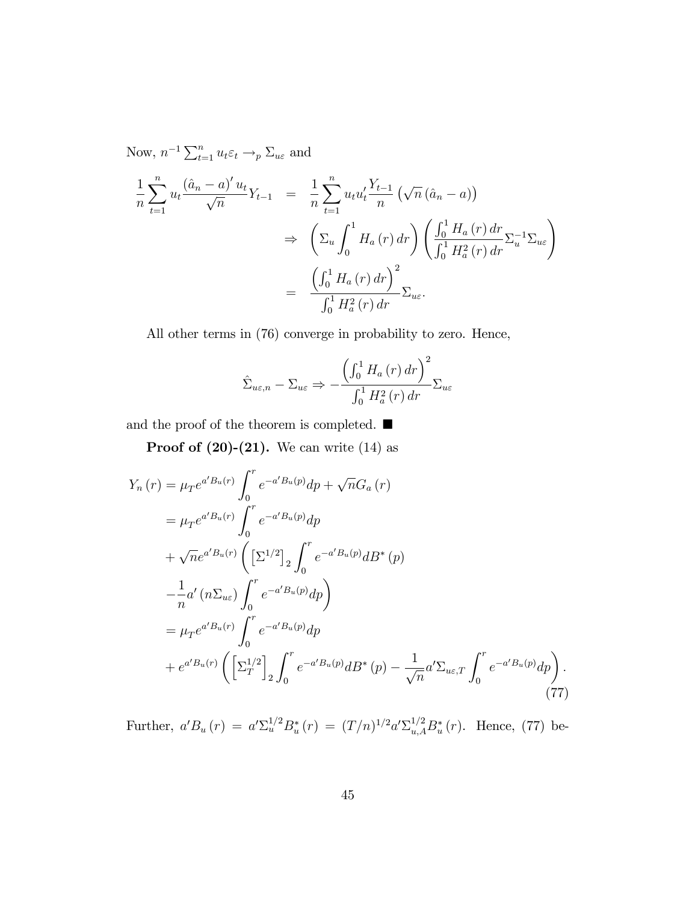Now,  $n^{-1} \sum_{t=1}^{n} u_t \varepsilon_t \longrightarrow_p \Sigma_{u\varepsilon}$  and 1 n  $\sum_{n=1}^{\infty}$  $t=1$  $u_t \frac{(\hat{a}_n - a)' u_t}{\sqrt{n}}$  $\frac{a}{\sqrt{n}} Y_{t-1}$  = 1 n  $\sum_{n=1}^{\infty}$  $t=1$  $u_t u_t' \frac{Y_{t-1}}{n}$ n  $(\sqrt{n} (\hat{a}_n - a))$  $\Rightarrow$  $\sqrt{ }$  $\Sigma_u$  $\int_1^1$ 0  $H_a(r) dr$ )  $\left(\frac{\int_0^1 H_a(r) dr}{\int_0^1 H_a(r) dr}\right)$  $\int_0^1 H_a^2(r) dr$  $\Sigma_u^{-1} \Sigma_{u\varepsilon}$ =  $\left(\int_0^1 H_a\left(r\right)dr\right)^2$  $\int_0^1 H_a^2(r) dr$  $\Sigma_{u\varepsilon}$  .

All other terms in (76) converge in probability to zero. Hence,

$$
\hat{\Sigma}_{u\varepsilon,n} - \Sigma_{u\varepsilon} \Rightarrow -\frac{\left(\int_0^1 H_a(r) dr\right)^2}{\int_0^1 H_a^2(r) dr} \Sigma_{u\varepsilon}
$$

and the proof of the theorem is completed.  $\blacksquare$ 

**Proof of (20)-(21).** We can write  $(14)$  as

$$
Y_{n}(r) = \mu_{T}e^{a'B_{u}(r)} \int_{0}^{r} e^{-a'B_{u}(p)} dp + \sqrt{n}G_{a}(r)
$$
  
\n
$$
= \mu_{T}e^{a'B_{u}(r)} \int_{0}^{r} e^{-a'B_{u}(p)} dp
$$
  
\n
$$
+ \sqrt{n}e^{a'B_{u}(r)} \left( \left[\Sigma^{1/2}\right]_{2} \int_{0}^{r} e^{-a'B_{u}(p)} dB^{*}(p) \right)
$$
  
\n
$$
- \frac{1}{n}a'(n\Sigma_{ue}) \int_{0}^{r} e^{-a'B_{u}(p)} dp
$$
  
\n
$$
= \mu_{T}e^{a'B_{u}(r)} \int_{0}^{r} e^{-a'B_{u}(p)} dp
$$
  
\n
$$
+ e^{a'B_{u}(r)} \left( \left[\Sigma_{T}^{1/2}\right]_{2} \int_{0}^{r} e^{-a'B_{u}(p)} dB^{*}(p) - \frac{1}{\sqrt{n}} a' \Sigma_{ue,T} \int_{0}^{r} e^{-a'B_{u}(p)} dp \right).
$$
\n(77)

Further,  $a'B_u(r) = a'\Sigma_u^{1/2}B_u^*(r) = (T/n)^{1/2}a'\Sigma_{u,A}^{1/2}B_u^*(r)$ . Hence, (77) be-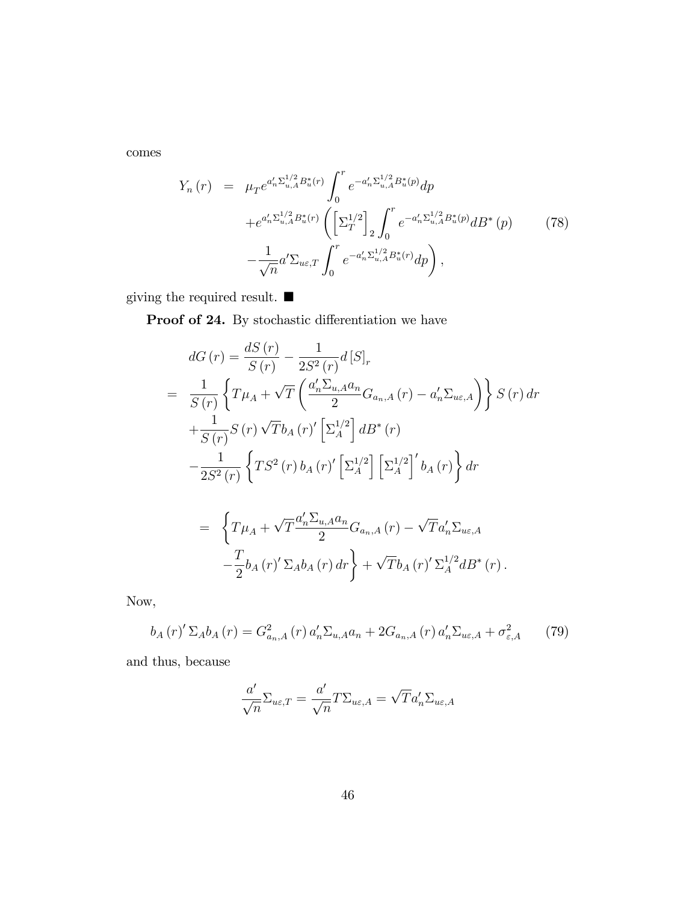comes

$$
Y_n(r) = \mu_T e^{a'_n \Sigma_{u,A}^{1/2} B_u^*(r)} \int_0^r e^{-a'_n \Sigma_{u,A}^{1/2} B_u^*(p)} dp + e^{a'_n \Sigma_{u,A}^{1/2} B_u^*(r)} \left( \left[ \Sigma_T^{1/2} \right]_2 \int_0^r e^{-a'_n \Sigma_{u,A}^{1/2} B_u^*(p)} dB^*(p) \right) -\frac{1}{\sqrt{n}} a' \Sigma_{u\epsilon,T} \int_0^r e^{-a'_n \Sigma_{u,A}^{1/2} B_u^*(r)} dp \right),
$$
 (78)

giving the required result.  $\blacksquare$ 

Proof of 24. By stochastic differentiation we have

$$
dG(r) = \frac{dS(r)}{S(r)} - \frac{1}{2S^{2}(r)}d[S]_{r}
$$
  
= 
$$
\frac{1}{S(r)}\left\{T\mu_{A} + \sqrt{T}\left(\frac{a'_{n}\Sigma_{u,A}a_{n}}{2}G_{a_{n},A}(r) - a'_{n}\Sigma_{u\varepsilon,A}\right)\right\}S(r) dr + \frac{1}{S(r)}S(r)\sqrt{T}b_{A}(r)'\left[\Sigma_{A}^{1/2}\right]dB^{*}(r)
$$

$$
-\frac{1}{2S^{2}(r)}\left\{TS^{2}(r)b_{A}(r)'\left[\Sigma_{A}^{1/2}\right]\left[\Sigma_{A}^{1/2}\right]'\right\}dr
$$

$$
= \left\{T\mu_{A} + \sqrt{T}\frac{a'_{n}\Sigma_{u,A}a_{n}}{2}G_{a_{n},A}(r) - \sqrt{T}a'_{n}\Sigma_{u\varepsilon,A}\right.
$$

$$
-\frac{T}{2}b_{A}(r)'\Sigma_{A}b_{A}(r)dr + \sqrt{T}b_{A}(r)'\Sigma_{A}^{1/2}dB^{*}(r).
$$

Now,

$$
b_{A}(r)^{\prime} \Sigma_{A} b_{A}(r) = G_{a_{n},A}^{2}(r) a_{n}^{\prime} \Sigma_{u,A} a_{n} + 2G_{a_{n},A}(r) a_{n}^{\prime} \Sigma_{u\varepsilon,A} + \sigma_{\varepsilon,A}^{2}
$$
 (79)

 $_{A}^{1/2}dB^{*}(r)$ .

and thus, because

Γ

$$
\frac{a'}{\sqrt{n}}\Sigma_{u\varepsilon,T} = \frac{a'}{\sqrt{n}}T\Sigma_{u\varepsilon,A} = \sqrt{T}a'_n\Sigma_{u\varepsilon,A}
$$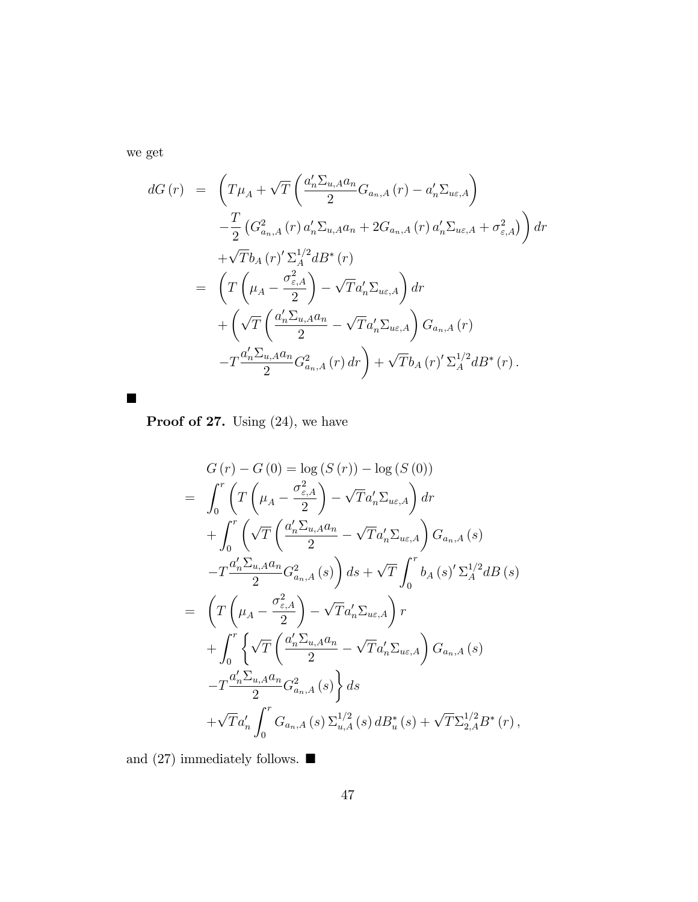we get

 $\blacksquare$ 

$$
dG(r) = \left( T\mu_A + \sqrt{T} \left( \frac{a'_n \Sigma_{u,A} a_n}{2} G_{a_n,A}(r) - a'_n \Sigma_{u\epsilon,A} \right) \right.\n- \frac{T}{2} \left( G_{a_n,A}^2(r) a'_n \Sigma_{u,A} a_n + 2G_{a_n,A}(r) a'_n \Sigma_{u\epsilon,A} + \sigma_{\epsilon,A}^2 \right) dr \n+ \sqrt{T} b_A(r)' \Sigma_A^{1/2} dB^*(r) \n= \left( T \left( \mu_A - \frac{\sigma_{\epsilon,A}^2}{2} \right) - \sqrt{T} a'_n \Sigma_{u\epsilon,A} \right) dr \n+ \left( \sqrt{T} \left( \frac{a'_n \Sigma_{u,A} a_n}{2} - \sqrt{T} a'_n \Sigma_{u\epsilon,A} \right) G_{a_n,A}(r) \n- T \frac{a'_n \Sigma_{u,A} a_n}{2} G_{a_n,A}^2(r) dr \right) + \sqrt{T} b_A(r)' \Sigma_A^{1/2} dB^*(r).
$$

Proof of 27. Using  $(24)$ , we have

$$
G(r) - G(0) = \log (S(r)) - \log (S(0))
$$
  
\n
$$
= \int_0^r \left( T\left(\mu_A - \frac{\sigma_{\varepsilon,A}^2}{2}\right) - \sqrt{T} a_n' \Sigma_{u\varepsilon,A} \right) dr
$$
  
\n
$$
+ \int_0^r \left( \sqrt{T} \left( \frac{a_n' \Sigma_{u,A} a_n}{2} - \sqrt{T} a_n' \Sigma_{u\varepsilon,A} \right) G_{a_n,A}(s) \right. \right.
$$
  
\n
$$
-T \frac{a_n' \Sigma_{u,A} a_n}{2} G_{a_n,A}^2(s) ds + \sqrt{T} \int_0^r b_A(s)' \Sigma_A^{1/2} dB(s)
$$
  
\n
$$
= \left( T\left(\mu_A - \frac{\sigma_{\varepsilon,A}^2}{2}\right) - \sqrt{T} a_n' \Sigma_{u\varepsilon,A} \right) r
$$
  
\n
$$
+ \int_0^r \left\{ \sqrt{T} \left( \frac{a_n' \Sigma_{u,A} a_n}{2} - \sqrt{T} a_n' \Sigma_{u\varepsilon,A} \right) G_{a_n,A}(s) \right. \right.
$$
  
\n
$$
-T \frac{a_n' \Sigma_{u,A} a_n}{2} G_{a_n,A}^2(s) ds
$$
  
\n
$$
+ \sqrt{T} a_n' \int_0^r G_{a_n,A}(s) \Sigma_{u,A}^{1/2}(s) dB_u^*(s) + \sqrt{T} \Sigma_{2,A}^{1/2} B^*(r),
$$

and (27) immediately follows.  $\blacksquare$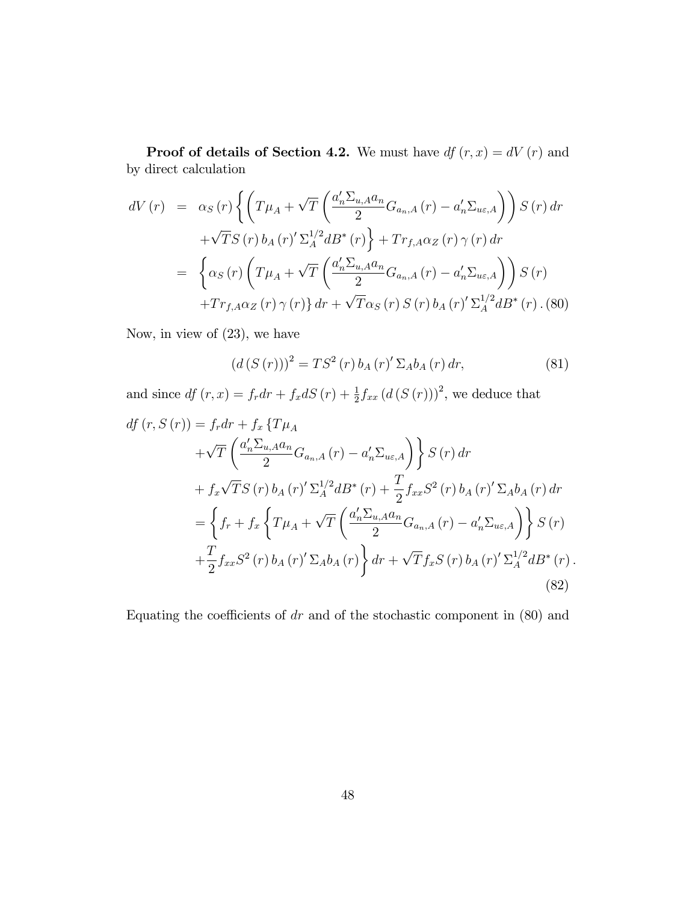**Proof of details of Section 4.2.** We must have  $df(r, x) = dV(r)$  and by direct calculation

$$
dV(r) = \alpha_S(r) \left\{ \left( T\mu_A + \sqrt{T} \left( \frac{a_n' \Sigma_{u,A} a_n}{2} G_{a_n,A}(r) - a_n' \Sigma_{u\epsilon,A} \right) \right) S(r) dr \right. + \sqrt{T} S(r) b_A(r)' \Sigma_A^{1/2} dB^*(r) \right\} + Tr_{f,A} \alpha_Z(r) \gamma(r) dr = \left\{ \alpha_S(r) \left( T\mu_A + \sqrt{T} \left( \frac{a_n' \Sigma_{u,A} a_n}{2} G_{a_n,A}(r) - a_n' \Sigma_{u\epsilon,A} \right) \right) S(r) \right. + Tr_{f,A} \alpha_Z(r) \gamma(r) \} dr + \sqrt{T} \alpha_S(r) S(r) b_A(r)' \Sigma_A^{1/2} dB^*(r) . (80)
$$

Now, in view of (23), we have

$$
(d(S(r)))^{2} = TS^{2}(r) b_{A}(r)' \Sigma_{A} b_{A}(r) dr,
$$
\n(81)

and since  $df (r, x) = f_r dr + f_x dS (r) + \frac{1}{2} f_{xx} (d(S(r)))^2$ , we deduce that

$$
df (r, S (r)) = f_r dr + f_x \{ T\mu_A
$$
  
+  $\sqrt{T} \left( \frac{a'_n \Sigma_{u, A} a_n}{2} G_{a_n, A} (r) - a'_n \Sigma_{u\varepsilon, A} \right) \} S (r) dr$   
+  $f_x \sqrt{T} S (r) b_A (r)' \Sigma_A^{1/2} dB^* (r) + \frac{T}{2} f_{xx} S^2 (r) b_A (r)' \Sigma_A b_A (r) dr$   
=  $\left\{ f_r + f_x \left\{ T\mu_A + \sqrt{T} \left( \frac{a'_n \Sigma_{u, A} a_n}{2} G_{a_n, A} (r) - a'_n \Sigma_{u\varepsilon, A} \right) \right\} S (r) + \frac{T}{2} f_{xx} S^2 (r) b_A (r)' \Sigma_A b_A (r) \right\} dr + \sqrt{T} f_x S (r) b_A (r)' \Sigma_A^{1/2} dB^* (r) .$   
(82)

Equating the coefficients of  $dr$  and of the stochastic component in  $(80)$  and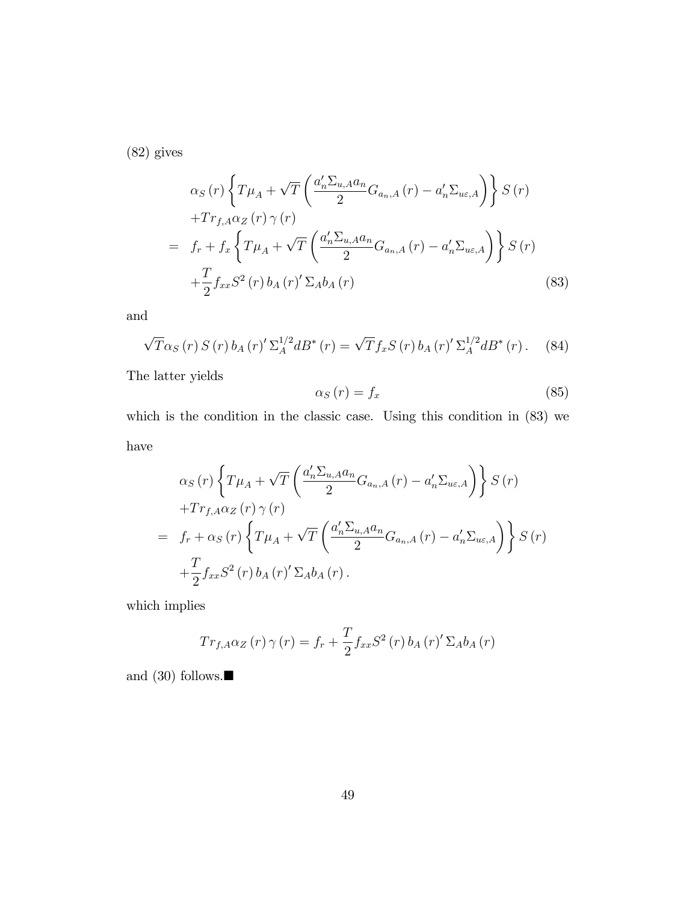(82) gives

$$
\alpha_{S}(r)\left\{T\mu_{A}+\sqrt{T}\left(\frac{a'_{n}\Sigma_{u,A}a_{n}}{2}G_{a_{n},A}(r)-a'_{n}\Sigma_{u\varepsilon,A}\right)\right\}S(r)
$$

$$
+Tr_{f,A}\alpha_{Z}(r)\gamma(r)
$$

$$
= f_{r}+f_{x}\left\{T\mu_{A}+\sqrt{T}\left(\frac{a'_{n}\Sigma_{u,A}a_{n}}{2}G_{a_{n},A}(r)-a'_{n}\Sigma_{u\varepsilon,A}\right)\right\}S(r)
$$

$$
+\frac{T}{2}f_{xx}S^{2}(r)b_{A}(r)'\Sigma_{A}b_{A}(r)
$$
(83)

and

$$
\sqrt{T}\alpha_S(r) S(r) b_A(r)' \Sigma_A^{1/2} dB^*(r) = \sqrt{T} f_x S(r) b_A(r)' \Sigma_A^{1/2} dB^*(r).
$$
 (84)

The latter yields

$$
\alpha_S(r) = f_x \tag{85}
$$

which is the condition in the classic case. Using this condition in (83) we have

$$
\alpha_{S}(r) \left\{ T\mu_{A} + \sqrt{T} \left( \frac{a'_{n} \Sigma_{u,A} a_{n}}{2} G_{a_{n},A}(r) - a'_{n} \Sigma_{u\epsilon,A} \right) \right\} S(r)
$$
  
+
$$
Tr_{f,A} \alpha_{Z}(r) \gamma(r)
$$
  
=  $f_{r} + \alpha_{S}(r) \left\{ T\mu_{A} + \sqrt{T} \left( \frac{a'_{n} \Sigma_{u,A} a_{n}}{2} G_{a_{n},A}(r) - a'_{n} \Sigma_{u\epsilon,A} \right) \right\} S(r)$   
+
$$
\frac{T}{2} f_{xx} S^{2}(r) b_{A}(r)' \Sigma_{A} b_{A}(r).
$$

which implies

$$
Tr_{f,A}\alpha_Z(r)\,\gamma\,(r) = f_r + \frac{T}{2}f_{xx}S^2(r)\,b_A(r)'\,\Sigma_A b_A(r)
$$

and (30) follows.<br> $\blacksquare$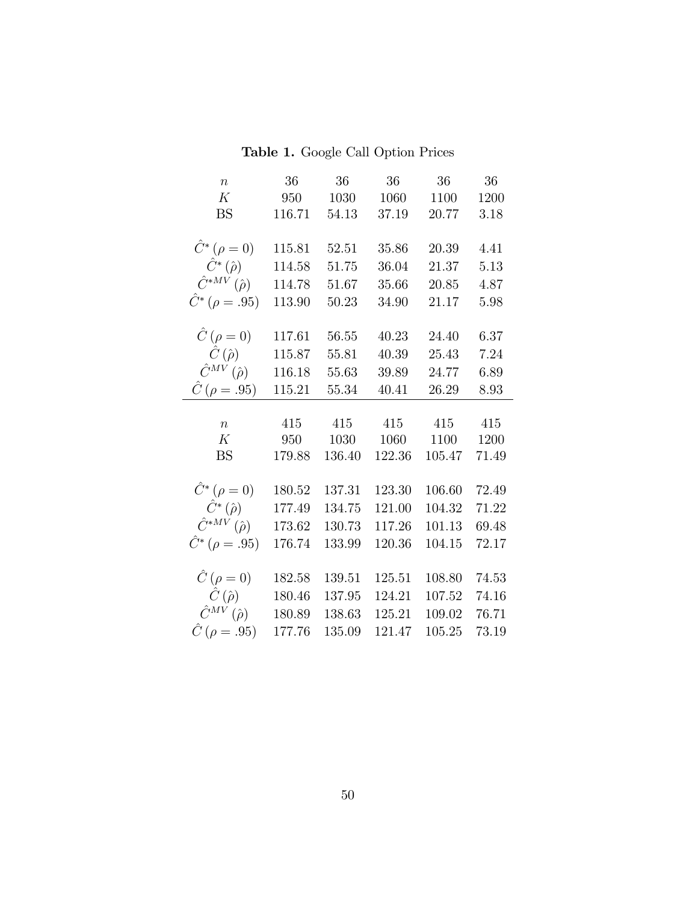Table 1. Google Call Option Prices

| $\boldsymbol{n}$                      | 36     | $36\,$    | $36\,$ | 36     | 36    |
|---------------------------------------|--------|-----------|--------|--------|-------|
| K                                     | 950    | 1030      | 1060   | 1100   | 1200  |
| <b>BS</b>                             | 116.71 | 54.13     | 37.19  | 20.77  | 3.18  |
|                                       |        |           |        |        |       |
| $\hat{C}^*(\rho = 0)$                 | 115.81 | 52.51     | 35.86  | 20.39  | 4.41  |
| $\hat{C}^*\left(\hat{\rho}\right)$    | 114.58 | 51.75     | 36.04  | 21.37  | 5.13  |
| $\hat{C}^{*MV}(\hat{\rho})$           | 114.78 | 51.67     | 35.66  | 20.85  | 4.87  |
| $\hat{C}^*$ ( $\rho = .95$ )          | 113.90 | $50.23\,$ | 34.90  | 21.17  | 5.98  |
|                                       |        |           |        |        |       |
| $\ddot{C}(\rho=0)$                    | 117.61 | 56.55     | 40.23  | 24.40  | 6.37  |
| $\hat{C}(\hat{\rho})$                 | 115.87 | 55.81     | 40.39  | 25.43  | 7.24  |
| $\hat{C}^{MV}(\hat{\rho})$            | 116.18 | 55.63     | 39.89  | 24.77  | 6.89  |
| $\hat{C}(\rho=.95)$                   | 115.21 | 55.34     | 40.41  | 26.29  | 8.93  |
|                                       |        |           |        |        |       |
|                                       |        |           |        |        |       |
| $\boldsymbol{n}$                      | 415    | 415       | 415    | 415    | 415   |
| K                                     | 950    | 1030      | 1060   | 1100   | 1200  |
| <b>BS</b>                             | 179.88 | 136.40    | 122.36 | 105.47 | 71.49 |
|                                       |        |           |        |        |       |
| $\hat{C}^*(\rho = 0)$                 | 180.52 | 137.31    | 123.30 | 106.60 | 72.49 |
| $\hat{C}^*\left(\hat{\rho}\right)$    | 177.49 | 134.75    | 121.00 | 104.32 | 71.22 |
| $\hat{C}^{*MV}(\hat{\rho})$           | 173.62 | 130.73    | 117.26 | 101.13 | 69.48 |
| $\hat{C}^*(\rho=.95)$                 | 176.74 | 133.99    | 120.36 | 104.15 | 72.17 |
|                                       |        |           |        |        |       |
| $\hat{C}(\rho=0)$                     | 182.58 | 139.51    | 125.51 | 108.80 | 74.53 |
| $\hat{C}(\hat{\rho})$                 | 180.46 | 137.95    | 124.21 | 107.52 | 74.16 |
| $\hat{C}^{MV}\left(\hat{\rho}\right)$ | 180.89 | 138.63    | 125.21 | 109.02 | 76.71 |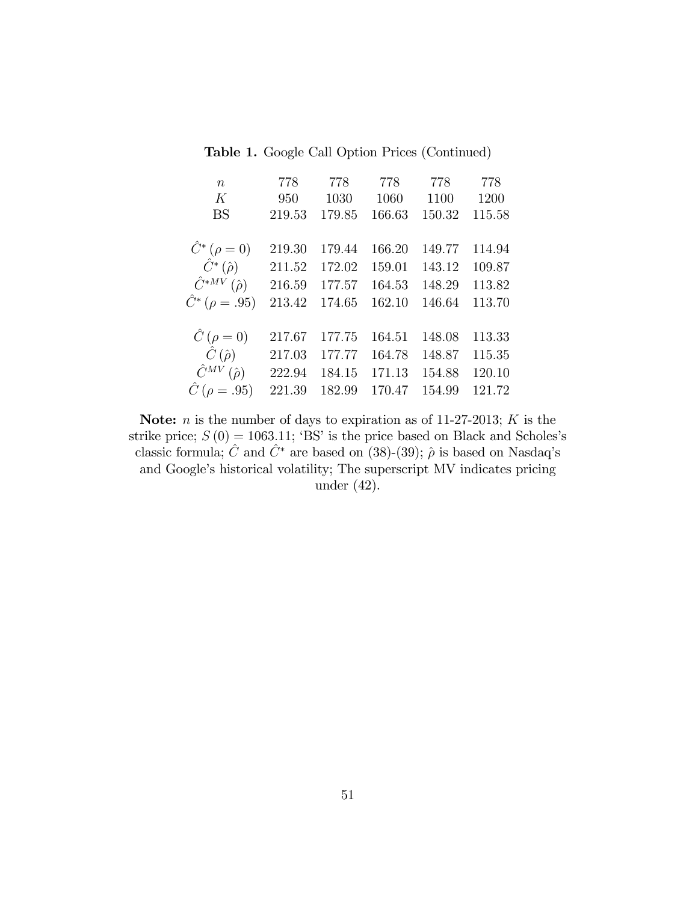Table 1. Google Call Option Prices (Continued)

| $\boldsymbol{n}$                      | 778    | 778    | 778    | 778    | 778    |
|---------------------------------------|--------|--------|--------|--------|--------|
| K                                     | 950    | 1030   | 1060   | 1100   | 1200   |
| <b>BS</b>                             | 219.53 | 179.85 | 166.63 | 150.32 | 115.58 |
|                                       |        |        |        |        |        |
| $\hat{C}^*(\rho = 0)$                 | 219.30 | 179.44 | 166.20 | 149.77 | 114.94 |
| $\hat{C}^*(\hat{\rho})$               | 211.52 | 172.02 | 159.01 | 143.12 | 109.87 |
| $\hat{C}^{*MV}(\hat{\rho})$           | 216.59 | 177.57 | 164.53 | 148.29 | 113.82 |
| $\hat{C}^*(\rho=.95)$                 | 213.42 | 174.65 | 162.10 | 146.64 | 113.70 |
|                                       |        |        |        |        |        |
| $\hat{C}(\rho=0)$                     | 217.67 | 177.75 | 164.51 | 148.08 | 113.33 |
| $\hat{C}(\hat{\rho})$                 | 217.03 | 177.77 | 164.78 | 148.87 | 115.35 |
| $\hat{C}^{MV}\left(\hat{\rho}\right)$ | 222.94 | 184.15 | 171.13 | 154.88 | 120.10 |
| $\hat{C}$ ( $\rho = .95$ )            | 221.39 | 182.99 | 170.47 | 154.99 | 121.72 |

Note:  $n$  is the number of days to expiration as of 11-27-2013;  $K$  is the strike price;  $S(0) = 1063.11$ ; 'BS' is the price based on Black and Scholes's classic formula;  $\hat{C}$  and  $\hat{C}^*$  are based on (38)-(39);  $\hat{\rho}$  is based on Nasdaq's and Google's historical volatility; The superscript MV indicates pricing under (42).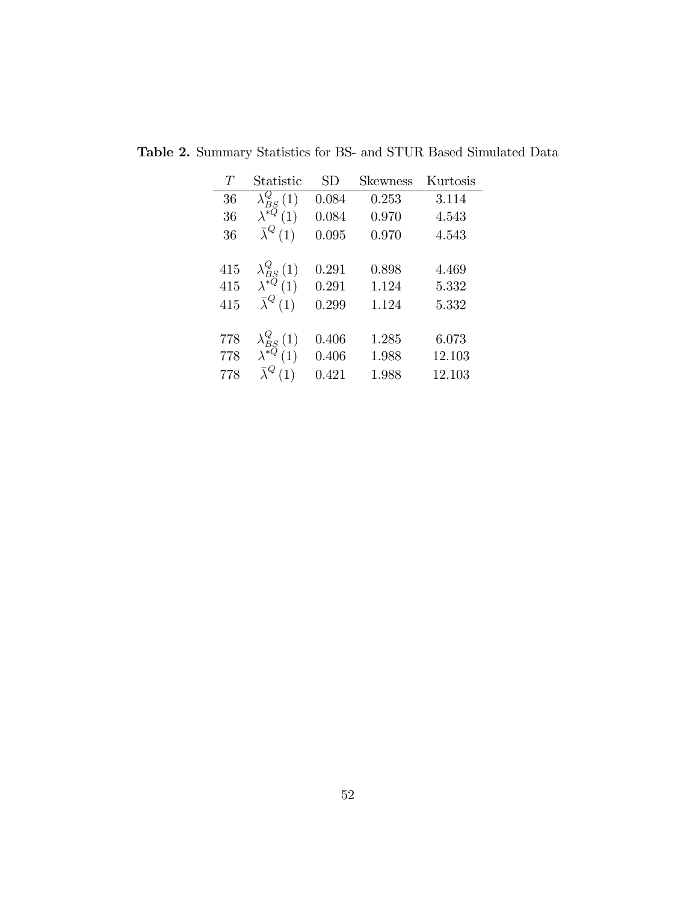| T   | Statistic                                                     | SD    | <b>Skewness</b> | Kurtosis |
|-----|---------------------------------------------------------------|-------|-----------------|----------|
| 36  | $\lambda_{BS}^{Q}(1)$                                         | 0.084 | 0.253           | 3.114    |
| 36  | $\lambda^{*\tilde{Q}}(1)$                                     | 0.084 | 0.970           | 4.543    |
| 36  | $\bar{\lambda}^Q(1)$                                          | 0.095 | 0.970           | 4.543    |
|     |                                                               |       |                 |          |
| 415 | $\lambda_{BS}^{Q}\left(1\right)$ $\lambda^{*Q}\left(1\right)$ | 0.291 | 0.898           | 4.469    |
| 415 |                                                               | 0.291 | 1.124           | 5.332    |
| 415 | $\bar{\lambda}^Q(1)$                                          | 0.299 | 1.124           | 5.332    |
|     |                                                               |       |                 |          |
| 778 | $\lambda_{BS}^{Q}(1)$                                         | 0.406 | 1.285           | 6.073    |
| 778 | $\lambda^{\ast \bar{Q}}(1)$                                   | 0.406 | 1.988           | 12.103   |
| 778 | $\bar{\lambda}^Q$<br>(1)                                      | 0.421 | 1.988           | 12.103   |

Table 2. Summary Statistics for BS- and STUR Based Simulated Data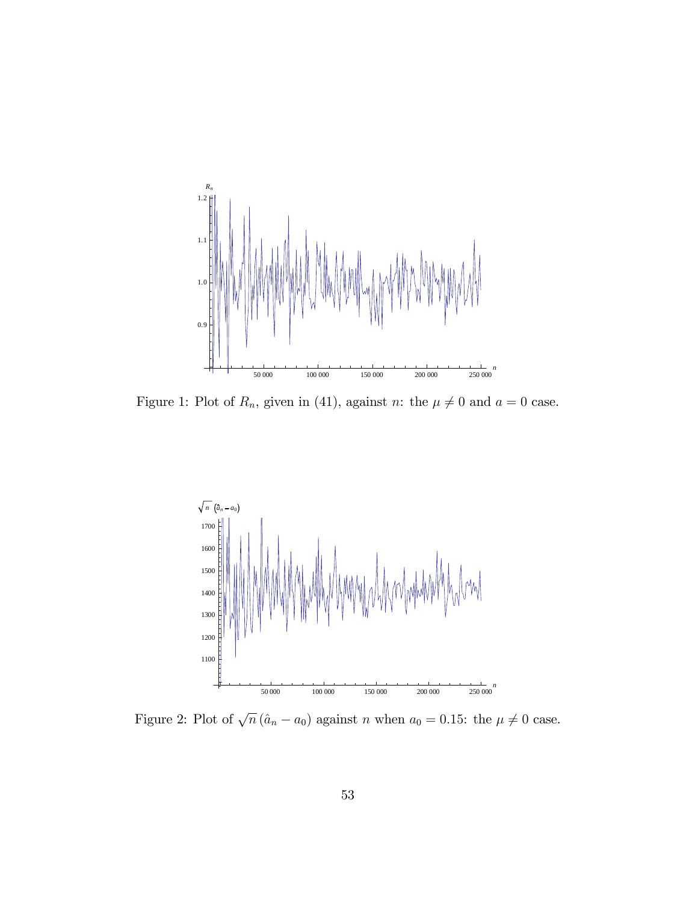

Figure 1: Plot of  $R_n$ , given in (41), against n: the  $\mu \neq 0$  and  $a = 0$  case.



Figure 2: Plot of  $\sqrt{n} (\hat{a}_n - a_0)$  against n when  $a_0 = 0.15$ : the  $\mu \neq 0$  case.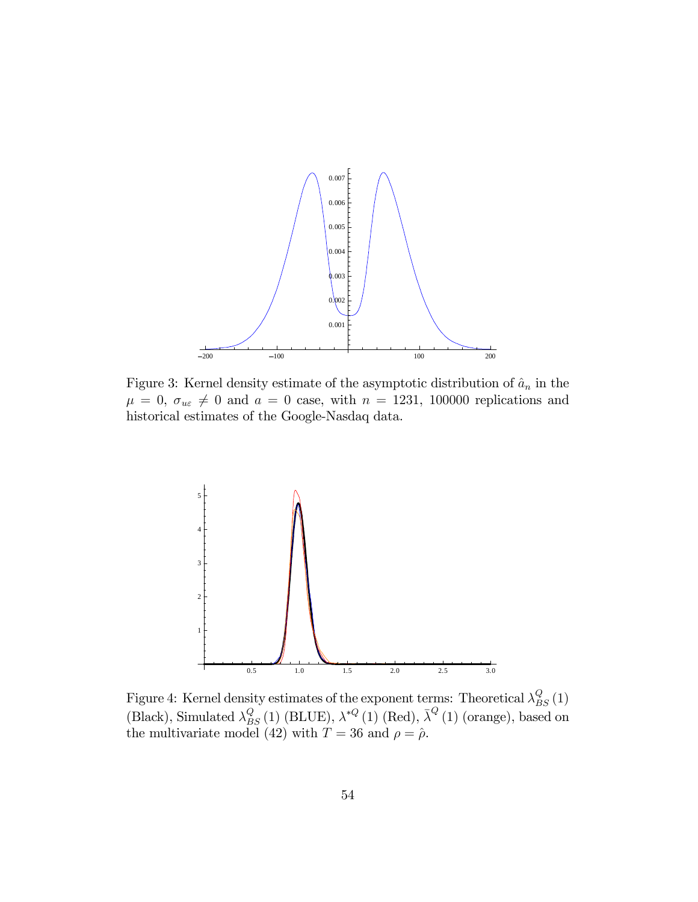

Figure 3: Kernel density estimate of the asymptotic distribution of  $\hat{a}_n$  in the  $\mu = 0, \sigma_{u\epsilon} \neq 0$  and  $a = 0$  case, with  $n = 1231, 100000$  replications and historical estimates of the Google-Nasdaq data.



Figure 4: Kernel density estimates of the exponent terms: Theoretical  $\lambda_{BS}^Q(1)$ (Black), Simulated  $\lambda_{BS}^Q(1)$  (BLUE),  $\lambda^{*Q}(1)$  (Red),  $\bar{\lambda}^Q(1)$  (orange), based on the multivariate model (42) with  $T = 36$  and  $\rho = \hat{\rho}$ .